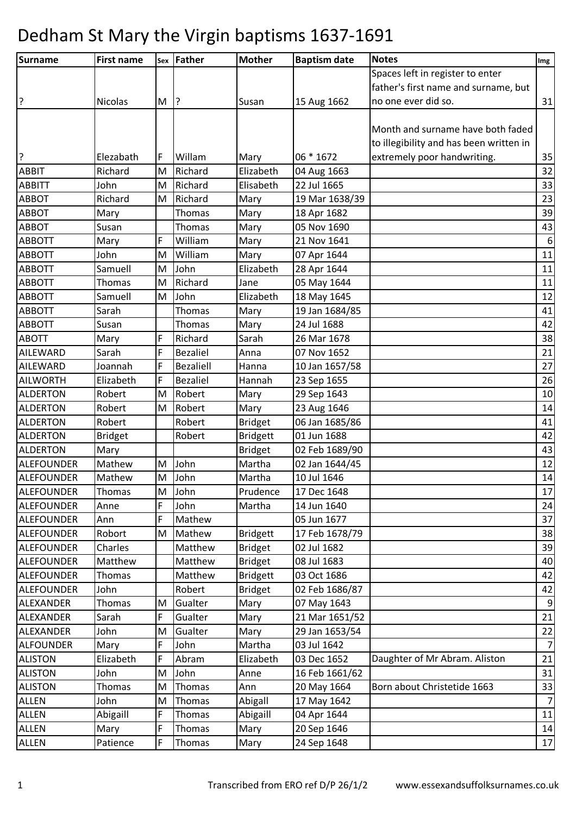| Surname           | <b>First name</b> | Sex         | Father           | <b>Mother</b>   | <b>Baptism date</b> | <b>Notes</b>                            | Img              |
|-------------------|-------------------|-------------|------------------|-----------------|---------------------|-----------------------------------------|------------------|
|                   |                   |             |                  |                 |                     | Spaces left in register to enter        |                  |
|                   |                   |             |                  |                 |                     | father's first name and surname, but    |                  |
| ?                 | <b>Nicolas</b>    | M           | ?                | Susan           | 15 Aug 1662         | no one ever did so.                     | 31               |
|                   |                   |             |                  |                 |                     |                                         |                  |
|                   |                   |             |                  |                 |                     | Month and surname have both faded       |                  |
|                   |                   |             |                  |                 |                     | to illegibility and has been written in |                  |
| ?                 | Elezabath         | F           | Willam           | Mary            | 06 * 1672           | extremely poor handwriting.             | 35               |
| <b>ABBIT</b>      | Richard           | M           | Richard          | Elizabeth       | 04 Aug 1663         |                                         | 32               |
| <b>ABBITT</b>     | John              | M           | Richard          | Elisabeth       | 22 Jul 1665         |                                         | 33               |
| <b>ABBOT</b>      | Richard           | M           | Richard          | Mary            | 19 Mar 1638/39      |                                         | 23               |
| <b>ABBOT</b>      | Mary              |             | Thomas           | Mary            | 18 Apr 1682         |                                         | 39               |
| <b>ABBOT</b>      | Susan             |             | <b>Thomas</b>    | Mary            | 05 Nov 1690         |                                         | 43               |
| <b>ABBOTT</b>     | Mary              | F           | William          | Mary            | 21 Nov 1641         |                                         | $\boldsymbol{6}$ |
| <b>ABBOTT</b>     | John              | M           | William          | Mary            | 07 Apr 1644         |                                         | 11               |
| <b>ABBOTT</b>     | Samuell           | M           | John             | Elizabeth       | 28 Apr 1644         |                                         | 11               |
| <b>ABBOTT</b>     | Thomas            | M           | Richard          | Jane            | 05 May 1644         |                                         | $11\,$           |
| <b>ABBOTT</b>     | Samuell           | M           | John             | Elizabeth       | 18 May 1645         |                                         | 12               |
| <b>ABBOTT</b>     | Sarah             |             | Thomas           | Mary            | 19 Jan 1684/85      |                                         | 41               |
| <b>ABBOTT</b>     | Susan             |             | Thomas           | Mary            | 24 Jul 1688         |                                         | 42               |
| <b>ABOTT</b>      | Mary              | F           | Richard          | Sarah           | 26 Mar 1678         |                                         | 38               |
| AILEWARD          | Sarah             | $\mathsf F$ | <b>Bezaliel</b>  | Anna            | 07 Nov 1652         |                                         | 21               |
| AILEWARD          | Joannah           | F           | <b>Bezaliell</b> | Hanna           | 10 Jan 1657/58      |                                         | 27               |
| <b>AILWORTH</b>   | Elizabeth         | $\mathsf F$ | <b>Bezaliel</b>  | Hannah          | 23 Sep 1655         |                                         | 26               |
| <b>ALDERTON</b>   | Robert            | M           | Robert           | Mary            | 29 Sep 1643         |                                         | 10               |
| <b>ALDERTON</b>   | Robert            | M           | Robert           | Mary            | 23 Aug 1646         |                                         | 14               |
| <b>ALDERTON</b>   | Robert            |             | Robert           | <b>Bridget</b>  | 06 Jan 1685/86      |                                         | 41               |
| <b>ALDERTON</b>   | <b>Bridget</b>    |             | Robert           | <b>Bridgett</b> | 01 Jun 1688         |                                         | 42               |
| <b>ALDERTON</b>   | Mary              |             |                  | <b>Bridget</b>  | 02 Feb 1689/90      |                                         | 43               |
| <b>ALEFOUNDER</b> | Mathew            | M           | John             | Martha          | 02 Jan 1644/45      |                                         | 12               |
| <b>ALEFOUNDER</b> | Mathew            | M           | John             | Martha          | 10 Jul 1646         |                                         | 14               |
| <b>ALEFOUNDER</b> | Thomas            | M           | John             | Prudence        | 17 Dec 1648         |                                         | 17               |
| <b>ALEFOUNDER</b> | Anne              | F           | John             | Martha          | 14 Jun 1640         |                                         | 24               |
| <b>ALEFOUNDER</b> | Ann               | F           | Mathew           |                 | 05 Jun 1677         |                                         | 37               |
| <b>ALEFOUNDER</b> | Robort            | M           | Mathew           | <b>Bridgett</b> | 17 Feb 1678/79      |                                         | 38               |
| <b>ALEFOUNDER</b> | Charles           |             | Matthew          | <b>Bridget</b>  | 02 Jul 1682         |                                         | 39               |
| <b>ALEFOUNDER</b> | Matthew           |             | Matthew          | <b>Bridget</b>  | 08 Jul 1683         |                                         | 40               |
| <b>ALEFOUNDER</b> | Thomas            |             | Matthew          | <b>Bridgett</b> | 03 Oct 1686         |                                         | 42               |
| <b>ALEFOUNDER</b> | John              |             | Robert           | <b>Bridget</b>  | 02 Feb 1686/87      |                                         | 42               |
| ALEXANDER         | Thomas            | M           | Gualter          | Mary            | 07 May 1643         |                                         | 9                |
| ALEXANDER         | Sarah             | F           | Gualter          | Mary            | 21 Mar 1651/52      |                                         | 21               |
| <b>ALEXANDER</b>  | John              | M           | Gualter          | Mary            | 29 Jan 1653/54      |                                         | 22               |
| <b>ALFOUNDER</b>  | Mary              | F           | John             | Martha          | 03 Jul 1642         |                                         | $\overline{7}$   |
| <b>ALISTON</b>    | Elizabeth         | F           | Abram            | Elizabeth       | 03 Dec 1652         | Daughter of Mr Abram. Aliston           | 21               |
| <b>ALISTON</b>    | John              | M           | John             | Anne            | 16 Feb 1661/62      |                                         | 31               |
| <b>ALISTON</b>    | Thomas            | M           | Thomas           | Ann             | 20 May 1664         | Born about Christetide 1663             | 33               |
| <b>ALLEN</b>      | John              | M           | Thomas           | Abigall         | 17 May 1642         |                                         | 7                |
| <b>ALLEN</b>      | Abigaill          | F           | <b>Thomas</b>    | Abigaill        | 04 Apr 1644         |                                         | 11               |
| <b>ALLEN</b>      | Mary              | F           | Thomas           | Mary            | 20 Sep 1646         |                                         | 14               |
| ALLEN             | Patience          | F           | Thomas           | Mary            | 24 Sep 1648         |                                         | 17               |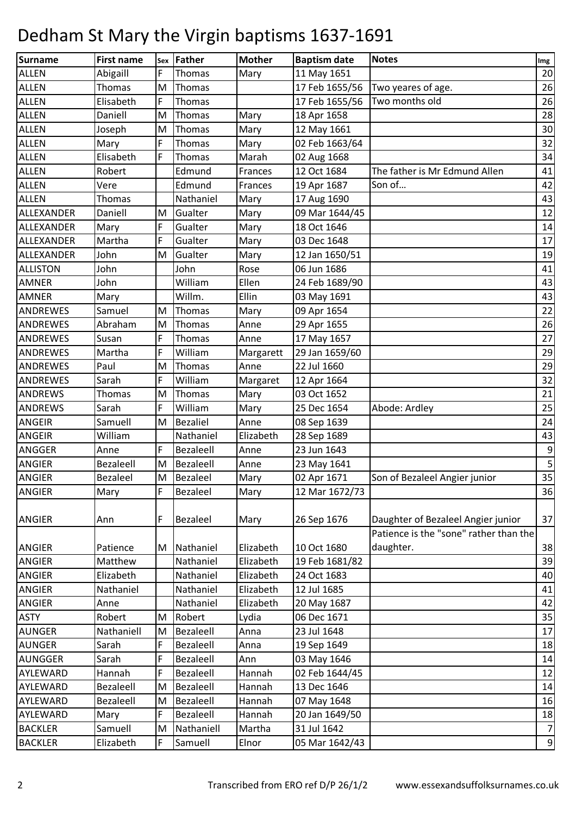| Surname         | <b>First name</b> | Sex | Father          | <b>Mother</b>  | <b>Baptism date</b> | <b>Notes</b>                           | Img            |
|-----------------|-------------------|-----|-----------------|----------------|---------------------|----------------------------------------|----------------|
| <b>ALLEN</b>    | Abigaill          | F   | Thomas          | Mary           | 11 May 1651         |                                        | 20             |
| <b>ALLEN</b>    | Thomas            | M   | Thomas          |                | 17 Feb 1655/56      | Two yeares of age.                     | 26             |
| <b>ALLEN</b>    | Elisabeth         | F   | Thomas          |                | 17 Feb 1655/56      | Two months old                         | 26             |
| <b>ALLEN</b>    | Daniell           | M   | Thomas          | Mary           | 18 Apr 1658         |                                        | 28             |
| <b>ALLEN</b>    | Joseph            | M   | Thomas          | Mary           | 12 May 1661         |                                        | 30             |
| <b>ALLEN</b>    | Mary              | F   | Thomas          | Mary           | 02 Feb 1663/64      |                                        | 32             |
| <b>ALLEN</b>    | Elisabeth         | F   | Thomas          | Marah          | 02 Aug 1668         |                                        | 34             |
| <b>ALLEN</b>    | Robert            |     | Edmund          | Frances        | 12 Oct 1684         | The father is Mr Edmund Allen          | 41             |
| <b>ALLEN</b>    | Vere              |     | Edmund          | <b>Frances</b> | 19 Apr 1687         | Son of                                 | 42             |
| <b>ALLEN</b>    | Thomas            |     | Nathaniel       | Mary           | 17 Aug 1690         |                                        | 43             |
| ALLEXANDER      | Daniell           | M   | Gualter         | Mary           | 09 Mar 1644/45      |                                        | 12             |
| ALLEXANDER      | Mary              | F   | Gualter         | Mary           | 18 Oct 1646         |                                        | 14             |
| ALLEXANDER      | Martha            | F   | Gualter         | Mary           | 03 Dec 1648         |                                        | 17             |
| ALLEXANDER      | John              | M   | Gualter         | Mary           | 12 Jan 1650/51      |                                        | 19             |
| <b>ALLISTON</b> | John              |     | John            | Rose           | 06 Jun 1686         |                                        | 41             |
| <b>AMNER</b>    | John              |     | William         | Ellen          | 24 Feb 1689/90      |                                        | 43             |
| <b>AMNER</b>    | Mary              |     | Willm.          | Ellin          | 03 May 1691         |                                        | 43             |
| <b>ANDREWES</b> | Samuel            | M   | Thomas          | Mary           | 09 Apr 1654         |                                        | 22             |
| <b>ANDREWES</b> | Abraham           | M   | Thomas          | Anne           | 29 Apr 1655         |                                        | 26             |
| <b>ANDREWES</b> | Susan             | F   | Thomas          | Anne           | 17 May 1657         |                                        | 27             |
| <b>ANDREWES</b> | Martha            | F   | William         | Margarett      | 29 Jan 1659/60      |                                        | 29             |
| <b>ANDREWES</b> | Paul              | M   | Thomas          | Anne           | 22 Jul 1660         |                                        | 29             |
| <b>ANDREWES</b> | Sarah             | F   | William         | Margaret       | 12 Apr 1664         |                                        | 32             |
| <b>ANDREWS</b>  | Thomas            | M   | Thomas          | Mary           | 03 Oct 1652         |                                        | 21             |
| <b>ANDREWS</b>  | Sarah             | F   | William         | Mary           | 25 Dec 1654         | Abode: Ardley                          | 25             |
| ANGEIR          | Samuell           | M   | <b>Bezaliel</b> | Anne           | 08 Sep 1639         |                                        | 24             |
| <b>ANGEIR</b>   | William           |     | Nathaniel       | Elizabeth      | 28 Sep 1689         |                                        | 43             |
| ANGGER          | Anne              | F   | Bezaleell       | Anne           | 23 Jun 1643         |                                        | 9              |
| <b>ANGIER</b>   | <b>Bezaleell</b>  | M   | Bezaleell       | Anne           | 23 May 1641         |                                        | 5              |
| <b>ANGIER</b>   | <b>Bezaleel</b>   | M   | <b>Bezaleel</b> | Mary           | 02 Apr 1671         | Son of Bezaleel Angier junior          | 35             |
| ANGIER          | Mary              | F   | Bezaleel        | Mary           | 12 Mar 1672/73      |                                        | 36             |
| <b>ANGIER</b>   | Ann               | F   | Bezaleel        | Mary           | 26 Sep 1676         | Daughter of Bezaleel Angier junior     | 37             |
|                 |                   |     |                 |                |                     | Patience is the "sone" rather than the |                |
| <b>ANGIER</b>   | Patience          | M   | Nathaniel       | Elizabeth      | 10 Oct 1680         | daughter.                              | 38             |
| ANGIER          | Matthew           |     | Nathaniel       | Elizabeth      | 19 Feb 1681/82      |                                        | 39             |
| <b>ANGIER</b>   | Elizabeth         |     | Nathaniel       | Elizabeth      | 24 Oct 1683         |                                        | 40             |
| <b>ANGIER</b>   | Nathaniel         |     | Nathaniel       | Elizabeth      | 12 Jul 1685         |                                        | 41             |
| <b>ANGIER</b>   | Anne              |     | Nathaniel       | Elizabeth      | 20 May 1687         |                                        | 42             |
| <b>ASTY</b>     | Robert            | M   | Robert          | Lydia          | 06 Dec 1671         |                                        | 35             |
| <b>AUNGER</b>   | Nathaniell        | M   | Bezaleell       | Anna           | 23 Jul 1648         |                                        | 17             |
| <b>AUNGER</b>   | Sarah             | F   | Bezaleell       | Anna           | 19 Sep 1649         |                                        | 18             |
| AUNGGER         | Sarah             | F   | Bezaleell       | Ann            | 03 May 1646         |                                        | 14             |
| AYLEWARD        | Hannah            | F   | Bezaleell       | Hannah         | 02 Feb 1644/45      |                                        | 12             |
| AYLEWARD        | Bezaleell         | M   | Bezaleell       | Hannah         | 13 Dec 1646         |                                        | 14             |
| AYLEWARD        | Bezaleell         | M   | Bezaleell       | Hannah         | 07 May 1648         |                                        | 16             |
| AYLEWARD        | Mary              | F   | Bezaleell       | Hannah         | 20 Jan 1649/50      |                                        | 18             |
| <b>BACKLER</b>  | Samuell           | M   | Nathaniell      | Martha         | 31 Jul 1642         |                                        | $\overline{7}$ |
| <b>BACKLER</b>  | Elizabeth         | F   | Samuell         | Elnor          | 05 Mar 1642/43      |                                        | $\overline{9}$ |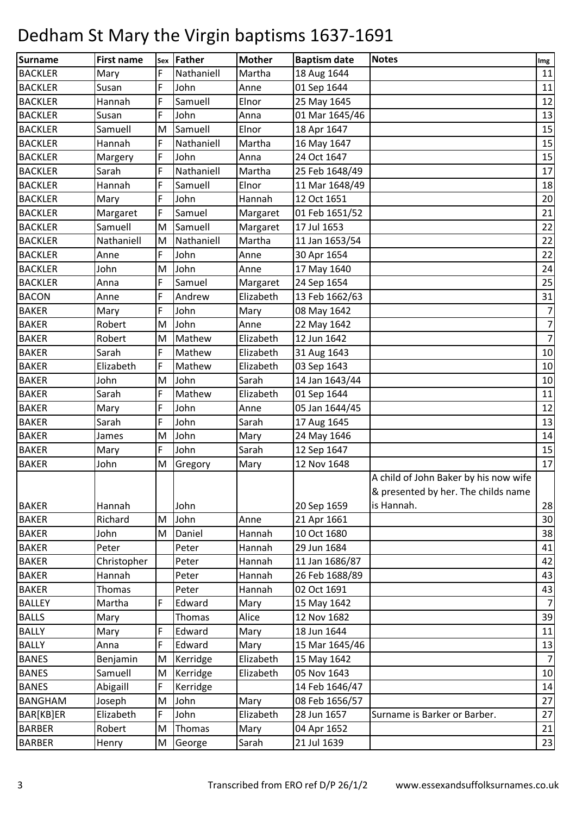| Surname        | <b>First name</b> | Sex | Father     | <b>Mother</b> | <b>Baptism date</b> | <b>Notes</b>                                                                               | Img            |
|----------------|-------------------|-----|------------|---------------|---------------------|--------------------------------------------------------------------------------------------|----------------|
| <b>BACKLER</b> | Mary              | F   | Nathaniell | Martha        | 18 Aug 1644         |                                                                                            | 11             |
| <b>BACKLER</b> | Susan             | F   | John       | Anne          | 01 Sep 1644         |                                                                                            | 11             |
| <b>BACKLER</b> | Hannah            | F   | Samuell    | Elnor         | 25 May 1645         |                                                                                            | 12             |
| <b>BACKLER</b> | Susan             | F   | John       | Anna          | 01 Mar 1645/46      |                                                                                            | 13             |
| <b>BACKLER</b> | Samuell           | M   | Samuell    | Elnor         | 18 Apr 1647         |                                                                                            | 15             |
| <b>BACKLER</b> | Hannah            | F   | Nathaniell | Martha        | 16 May 1647         |                                                                                            | 15             |
| <b>BACKLER</b> | Margery           | F   | John       | Anna          | 24 Oct 1647         |                                                                                            | 15             |
| <b>BACKLER</b> | Sarah             | F   | Nathaniell | Martha        | 25 Feb 1648/49      |                                                                                            | 17             |
| <b>BACKLER</b> | Hannah            | F   | Samuell    | Elnor         | 11 Mar 1648/49      |                                                                                            | 18             |
| <b>BACKLER</b> | Mary              | F   | John       | Hannah        | 12 Oct 1651         |                                                                                            | 20             |
| <b>BACKLER</b> | Margaret          | F   | Samuel     | Margaret      | 01 Feb 1651/52      |                                                                                            | 21             |
| <b>BACKLER</b> | Samuell           | M   | Samuell    | Margaret      | 17 Jul 1653         |                                                                                            | 22             |
| <b>BACKLER</b> | Nathaniell        | M   | Nathaniell | Martha        | 11 Jan 1653/54      |                                                                                            | 22             |
| <b>BACKLER</b> | Anne              | F   | John       | Anne          | 30 Apr 1654         |                                                                                            | 22             |
| <b>BACKLER</b> | John              | M   | John       | Anne          | 17 May 1640         |                                                                                            | 24             |
| <b>BACKLER</b> | Anna              | F   | Samuel     | Margaret      | 24 Sep 1654         |                                                                                            | 25             |
| <b>BACON</b>   | Anne              | F   | Andrew     | Elizabeth     | 13 Feb 1662/63      |                                                                                            | 31             |
| <b>BAKER</b>   | Mary              | F   | John       | Mary          | 08 May 1642         |                                                                                            | $\overline{7}$ |
| <b>BAKER</b>   | Robert            | M   | John       | Anne          | 22 May 1642         |                                                                                            | 7              |
| <b>BAKER</b>   | Robert            | M   | Mathew     | Elizabeth     | 12 Jun 1642         |                                                                                            | 7              |
| <b>BAKER</b>   | Sarah             | F   | Mathew     | Elizabeth     | 31 Aug 1643         |                                                                                            | 10             |
| <b>BAKER</b>   | Elizabeth         | F   | Mathew     | Elizabeth     | 03 Sep 1643         |                                                                                            | $10\,$         |
| <b>BAKER</b>   | John              | M   | John       | Sarah         | 14 Jan 1643/44      |                                                                                            | 10             |
| <b>BAKER</b>   | Sarah             | F   | Mathew     | Elizabeth     | 01 Sep 1644         |                                                                                            | 11             |
| <b>BAKER</b>   | Mary              | F   | John       | Anne          | 05 Jan 1644/45      |                                                                                            | 12             |
| <b>BAKER</b>   | Sarah             | F   | John       | Sarah         | 17 Aug 1645         |                                                                                            | 13             |
| <b>BAKER</b>   | James             | M   | John       | Mary          | 24 May 1646         |                                                                                            | 14             |
| <b>BAKER</b>   | Mary              | F   | John       | Sarah         | 12 Sep 1647         |                                                                                            | 15             |
| <b>BAKER</b>   | John              | M   | Gregory    | Mary          | 12 Nov 1648         |                                                                                            | 17             |
| <b>BAKER</b>   | Hannah            |     | John       |               | 20 Sep 1659         | A child of John Baker by his now wife<br>& presented by her. The childs name<br>is Hannah. | 28             |
| <b>BAKER</b>   | Richard           | M   | John       | Anne          | 21 Apr 1661         |                                                                                            | 30             |
| <b>BAKER</b>   | John              | M   | Daniel     | Hannah        | 10 Oct 1680         |                                                                                            | 38             |
| <b>BAKER</b>   | Peter             |     | Peter      | Hannah        | 29 Jun 1684         |                                                                                            | 41             |
| <b>BAKER</b>   | Christopher       |     | Peter      | Hannah        | 11 Jan 1686/87      |                                                                                            | 42             |
| <b>BAKER</b>   | Hannah            |     | Peter      | Hannah        | 26 Feb 1688/89      |                                                                                            | 43             |
| <b>BAKER</b>   | <b>Thomas</b>     |     | Peter      | Hannah        | 02 Oct 1691         |                                                                                            | 43             |
| <b>BALLEY</b>  | Martha            | F   | Edward     | Mary          | 15 May 1642         |                                                                                            | 7              |
| <b>BALLS</b>   | Mary              |     | Thomas     | Alice         | 12 Nov 1682         |                                                                                            | 39             |
| <b>BALLY</b>   | Mary              | F   | Edward     | Mary          | 18 Jun 1644         |                                                                                            | 11             |
| <b>BALLY</b>   | Anna              | F   | Edward     | Mary          | 15 Mar 1645/46      |                                                                                            | 13             |
| <b>BANES</b>   | Benjamin          | M   | Kerridge   | Elizabeth     | 15 May 1642         |                                                                                            | $\overline{7}$ |
| <b>BANES</b>   | Samuell           | M   | Kerridge   | Elizabeth     | 05 Nov 1643         |                                                                                            | 10             |
| <b>BANES</b>   | Abigaill          | F   | Kerridge   |               | 14 Feb 1646/47      |                                                                                            | 14             |
| <b>BANGHAM</b> | Joseph            | M   | John       | Mary          | 08 Feb 1656/57      |                                                                                            | 27             |
| BAR[KB]ER      | Elizabeth         | F   | John       | Elizabeth     | 28 Jun 1657         | Surname is Barker or Barber.                                                               | 27             |
| <b>BARBER</b>  | Robert            | M   | Thomas     | Mary          | 04 Apr 1652         |                                                                                            | 21             |
| <b>BARBER</b>  | Henry             | M   | George     | Sarah         | 21 Jul 1639         |                                                                                            | 23             |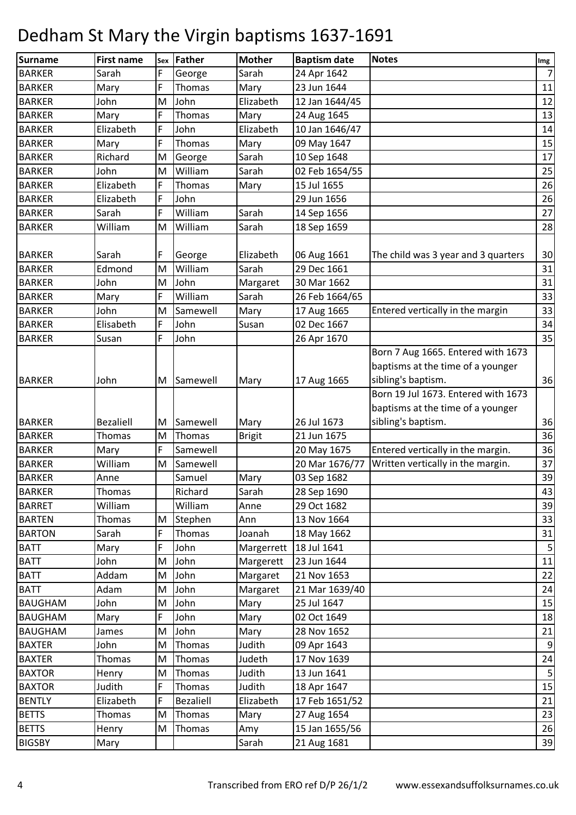| Surname        | <b>First name</b> | Sex | Father           | <b>Mother</b> | <b>Baptism date</b> | <b>Notes</b>                                                            | Img             |
|----------------|-------------------|-----|------------------|---------------|---------------------|-------------------------------------------------------------------------|-----------------|
| <b>BARKER</b>  | Sarah             | F   | George           | Sarah         | 24 Apr 1642         |                                                                         | 7               |
| <b>BARKER</b>  | Mary              | F   | Thomas           | Mary          | 23 Jun 1644         |                                                                         | 11              |
| <b>BARKER</b>  | John              | M   | John             | Elizabeth     | 12 Jan 1644/45      |                                                                         | 12              |
| <b>BARKER</b>  | Mary              | F   | Thomas           | Mary          | 24 Aug 1645         |                                                                         | 13              |
| <b>BARKER</b>  | Elizabeth         | F   | John             | Elizabeth     | 10 Jan 1646/47      |                                                                         | 14              |
| <b>BARKER</b>  | Mary              | F   | Thomas           | Mary          | 09 May 1647         |                                                                         | 15              |
| <b>BARKER</b>  | Richard           | M   | George           | Sarah         | 10 Sep 1648         |                                                                         | 17              |
| <b>BARKER</b>  | John              | M   | William          | Sarah         | 02 Feb 1654/55      |                                                                         | 25              |
| <b>BARKER</b>  | Elizabeth         | F   | Thomas           | Mary          | 15 Jul 1655         |                                                                         | 26              |
| <b>BARKER</b>  | Elizabeth         | F   | John             |               | 29 Jun 1656         |                                                                         | 26              |
| <b>BARKER</b>  | Sarah             | F   | William          | Sarah         | 14 Sep 1656         |                                                                         | 27              |
| <b>BARKER</b>  | William           | M   | William          | Sarah         | 18 Sep 1659         |                                                                         | 28              |
| <b>BARKER</b>  | Sarah             | F   | George           | Elizabeth     | 06 Aug 1661         | The child was 3 year and 3 quarters                                     | 30              |
| <b>BARKER</b>  | Edmond            | M   | William          | Sarah         | 29 Dec 1661         |                                                                         | 31              |
| <b>BARKER</b>  | John              | M   | John             | Margaret      | 30 Mar 1662         |                                                                         | 31              |
| <b>BARKER</b>  | Mary              | F   | William          | Sarah         | 26 Feb 1664/65      |                                                                         | 33              |
| <b>BARKER</b>  | John              | M   | Samewell         | Mary          | 17 Aug 1665         | Entered vertically in the margin                                        | 33              |
| <b>BARKER</b>  | Elisabeth         | F   | John             | Susan         | 02 Dec 1667         |                                                                         | 34              |
| <b>BARKER</b>  | Susan             | F   | John             |               | 26 Apr 1670         |                                                                         | 35              |
|                |                   |     |                  |               |                     | Born 7 Aug 1665. Entered with 1673<br>baptisms at the time of a younger |                 |
| <b>BARKER</b>  | John              | M   | Samewell         | Mary          | 17 Aug 1665         | sibling's baptism.                                                      | 36              |
|                |                   |     |                  |               |                     | Born 19 Jul 1673. Entered with 1673                                     |                 |
|                |                   |     |                  |               |                     | baptisms at the time of a younger                                       |                 |
| <b>BARKER</b>  | <b>Bezaliell</b>  | M   | Samewell         | Mary          | 26 Jul 1673         | sibling's baptism.                                                      | 36              |
| <b>BARKER</b>  | Thomas            | M   | Thomas           | <b>Brigit</b> | 21 Jun 1675         |                                                                         | 36              |
| <b>BARKER</b>  | Mary              | F   | Samewell         |               | 20 May 1675         | Entered vertically in the margin.                                       | 36              |
| <b>BARKER</b>  | William           | M   | Samewell         |               | 20 Mar 1676/77      | Written vertically in the margin.                                       | 37              |
| <b>BARKER</b>  | Anne              |     | Samuel           | Mary          | 03 Sep 1682         |                                                                         | 39              |
| <b>BARKER</b>  | Thomas            |     | Richard          | Sarah         | 28 Sep 1690         |                                                                         | 43              |
| <b>BARRET</b>  | William           |     | William          | Anne          | 29 Oct 1682         |                                                                         | 39              |
| <b>BARTEN</b>  | Thomas            | M   | Stephen          | Ann           | 13 Nov 1664         |                                                                         | 33              |
| <b>BARTON</b>  | Sarah             | F   | Thomas           | Joanah        | 18 May 1662         |                                                                         | 31              |
| <b>BATT</b>    | Mary              | F   | John             | Margerrett    | 18 Jul 1641         |                                                                         | $5\phantom{.0}$ |
| <b>BATT</b>    | John              | M   | John             | Margerett     | 23 Jun 1644         |                                                                         | 11              |
| <b>BATT</b>    | Addam             | M   | John             | Margaret      | 21 Nov 1653         |                                                                         | 22              |
| <b>BATT</b>    | Adam              | M   | John             | Margaret      | 21 Mar 1639/40      |                                                                         | 24              |
| <b>BAUGHAM</b> | John              | M   | John             | Mary          | 25 Jul 1647         |                                                                         | 15              |
| <b>BAUGHAM</b> | Mary              | F   | John             | Mary          | 02 Oct 1649         |                                                                         | 18              |
| <b>BAUGHAM</b> | James             | M   | John             | Mary          | 28 Nov 1652         |                                                                         | 21              |
| <b>BAXTER</b>  | John              | M   | Thomas           | Judith        | 09 Apr 1643         |                                                                         | 9               |
| <b>BAXTER</b>  | <b>Thomas</b>     | M   | Thomas           | Judeth        | 17 Nov 1639         |                                                                         | 24              |
| <b>BAXTOR</b>  | Henry             | M   | Thomas           | Judith        | 13 Jun 1641         |                                                                         | 5               |
| <b>BAXTOR</b>  | Judith            | F   | Thomas           | Judith        | 18 Apr 1647         |                                                                         | 15              |
| <b>BENTLY</b>  | Elizabeth         | F   | <b>Bezaliell</b> | Elizabeth     | 17 Feb 1651/52      |                                                                         | 21              |
| <b>BETTS</b>   | <b>Thomas</b>     | M   | Thomas           | Mary          | 27 Aug 1654         |                                                                         | 23              |
| <b>BETTS</b>   | Henry             | M   | Thomas           | Amy           | 15 Jan 1655/56      |                                                                         | 26              |
| <b>BIGSBY</b>  | Mary              |     |                  | Sarah         | 21 Aug 1681         |                                                                         | 39              |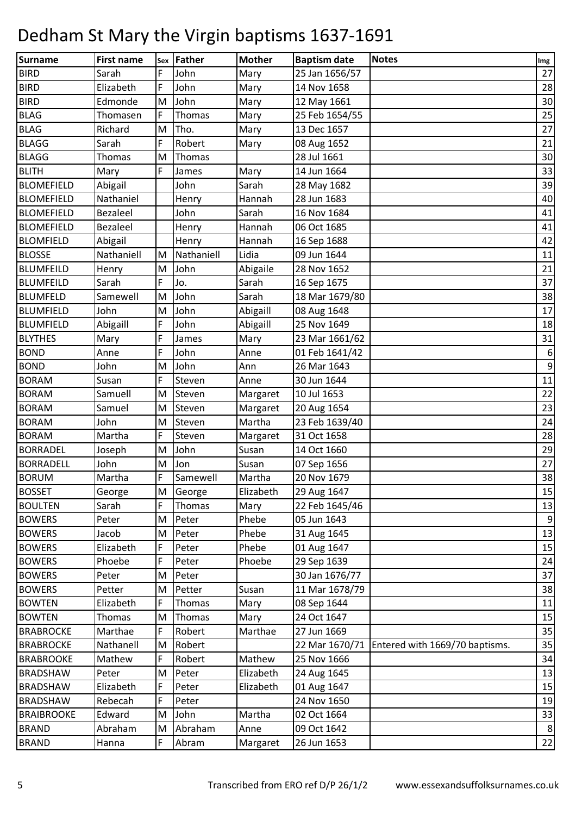| <b>Surname</b>    | <b>First name</b> | Sex | Father     | <b>Mother</b> | <b>Baptism date</b> | <b>Notes</b>                   | Img            |
|-------------------|-------------------|-----|------------|---------------|---------------------|--------------------------------|----------------|
| <b>BIRD</b>       | Sarah             | F   | John       | Mary          | 25 Jan 1656/57      |                                | 27             |
| <b>BIRD</b>       | Elizabeth         | F   | John       | Mary          | 14 Nov 1658         |                                | 28             |
| <b>BIRD</b>       | Edmonde           | M   | John       | Mary          | 12 May 1661         |                                | 30             |
| <b>BLAG</b>       | Thomasen          | F   | Thomas     | Mary          | 25 Feb 1654/55      |                                | 25             |
| <b>BLAG</b>       | Richard           | M   | Tho.       | Mary          | 13 Dec 1657         |                                | 27             |
| <b>BLAGG</b>      | Sarah             | F   | Robert     | Mary          | 08 Aug 1652         |                                | 21             |
| <b>BLAGG</b>      | <b>Thomas</b>     | M   | Thomas     |               | 28 Jul 1661         |                                | 30             |
| <b>BLITH</b>      | Mary              | F   | James      | Mary          | 14 Jun 1664         |                                | 33             |
| <b>BLOMEFIELD</b> | Abigail           |     | John       | Sarah         | 28 May 1682         |                                | 39             |
| <b>BLOMEFIELD</b> | Nathaniel         |     | Henry      | Hannah        | 28 Jun 1683         |                                | 40             |
| <b>BLOMEFIELD</b> | <b>Bezaleel</b>   |     | John       | Sarah         | 16 Nov 1684         |                                | 41             |
| <b>BLOMEFIELD</b> | Bezaleel          |     | Henry      | Hannah        | 06 Oct 1685         |                                | 41             |
| <b>BLOMFIELD</b>  | Abigail           |     | Henry      | Hannah        | 16 Sep 1688         |                                | 42             |
| <b>BLOSSE</b>     | Nathaniell        | M   | Nathaniell | Lidia         | 09 Jun 1644         |                                | 11             |
| <b>BLUMFEILD</b>  | Henry             | M   | John       | Abigaile      | 28 Nov 1652         |                                | 21             |
| <b>BLUMFEILD</b>  | Sarah             | F   | Jo.        | Sarah         | 16 Sep 1675         |                                | 37             |
| <b>BLUMFELD</b>   | Samewell          | M   | John       | Sarah         | 18 Mar 1679/80      |                                | 38             |
| <b>BLUMFIELD</b>  | John              | M   | John       | Abigaill      | 08 Aug 1648         |                                | 17             |
| <b>BLUMFIELD</b>  | Abigaill          | F   | John       | Abigaill      | 25 Nov 1649         |                                | 18             |
| <b>BLYTHES</b>    | Mary              | F   | James      | Mary          | 23 Mar 1661/62      |                                | 31             |
| <b>BOND</b>       | Anne              | F   | John       | Anne          | 01 Feb 1641/42      |                                | 6              |
| <b>BOND</b>       | John              | M   | John       | Ann           | 26 Mar 1643         |                                | $\overline{9}$ |
| <b>BORAM</b>      | Susan             | F   | Steven     | Anne          | 30 Jun 1644         |                                | 11             |
| <b>BORAM</b>      | Samuell           | M   | Steven     | Margaret      | 10 Jul 1653         |                                | 22             |
| <b>BORAM</b>      | Samuel            | M   | Steven     | Margaret      | 20 Aug 1654         |                                | 23             |
| <b>BORAM</b>      | John              | M   | Steven     | Martha        | 23 Feb 1639/40      |                                | 24             |
| <b>BORAM</b>      | Martha            | F   | Steven     | Margaret      | 31 Oct 1658         |                                | 28             |
| <b>BORRADEL</b>   | Joseph            | M   | John       | Susan         | 14 Oct 1660         |                                | 29             |
| <b>BORRADELL</b>  | John              | M   | Jon        | Susan         | 07 Sep 1656         |                                | 27             |
| <b>BORUM</b>      | Martha            | F   | Samewell   | Martha        | 20 Nov 1679         |                                | 38             |
| <b>BOSSET</b>     | George            | M   | George     | Elizabeth     | 29 Aug 1647         |                                | 15             |
| <b>BOULTEN</b>    | Sarah             | F.  | Thomas     | Mary          | 22 Feb 1645/46      |                                | 13             |
| <b>BOWERS</b>     | Peter             | M   | Peter      | Phebe         | 05 Jun 1643         |                                | 9              |
| <b>BOWERS</b>     | Jacob             | M   | Peter      | Phebe         | 31 Aug 1645         |                                | 13             |
| <b>BOWERS</b>     | Elizabeth         | F   | Peter      | Phebe         | 01 Aug 1647         |                                | 15             |
| <b>BOWERS</b>     | Phoebe            | F   | Peter      | Phoebe        | 29 Sep 1639         |                                | 24             |
| <b>BOWERS</b>     | Peter             | M   | Peter      |               | 30 Jan 1676/77      |                                | 37             |
| <b>BOWERS</b>     | Petter            | М   | Petter     | Susan         | 11 Mar 1678/79      |                                | 38             |
| <b>BOWTEN</b>     | Elizabeth         | F   | Thomas     | Mary          | 08 Sep 1644         |                                | 11             |
| <b>BOWTEN</b>     | <b>Thomas</b>     | M   | Thomas     | Mary          | 24 Oct 1647         |                                | 15             |
| <b>BRABROCKE</b>  | Marthae           | F   | Robert     | Marthae       | 27 Jun 1669         |                                | 35             |
| <b>BRABROCKE</b>  | Nathanell         | M   | Robert     |               | 22 Mar 1670/71      | Entered with 1669/70 baptisms. | 35             |
| <b>BRABROOKE</b>  | Mathew            |     | Robert     | Mathew        | 25 Nov 1666         |                                | 34             |
| <b>BRADSHAW</b>   | Peter             | M   | Peter      | Elizabeth     | 24 Aug 1645         |                                | 13             |
| <b>BRADSHAW</b>   | Elizabeth         | F   | Peter      | Elizabeth     | 01 Aug 1647         |                                | 15             |
| <b>BRADSHAW</b>   | Rebecah           | F   | Peter      |               | 24 Nov 1650         |                                | 19             |
| <b>BRAIBROOKE</b> | Edward            | M   | John       | Martha        | 02 Oct 1664         |                                | 33             |
| <b>BRAND</b>      | Abraham           | M   | Abraham    | Anne          | 09 Oct 1642         |                                | 8 <sup>1</sup> |
| <b>BRAND</b>      | Hanna             | F.  | Abram      | Margaret      | 26 Jun 1653         |                                | 22             |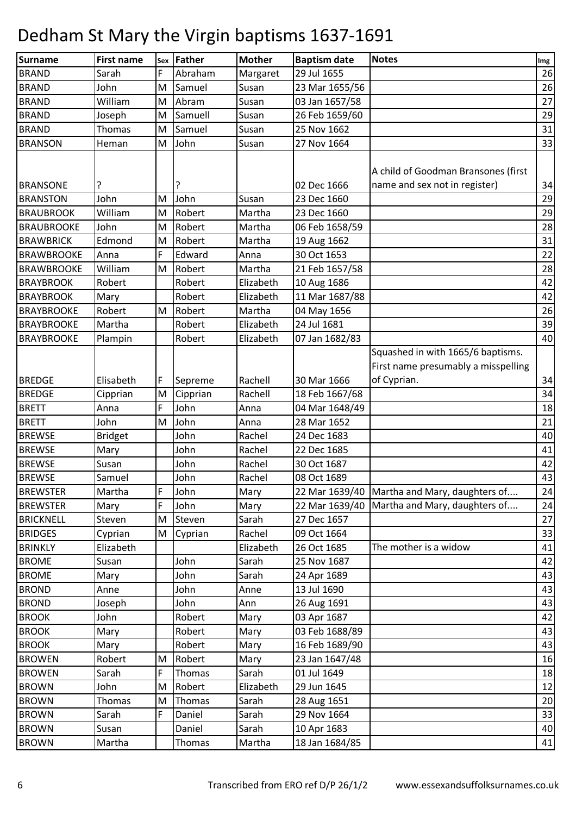| Surname           | <b>First name</b> | Sex | Father   | <b>Mother</b> | <b>Baptism date</b> | <b>Notes</b>                                 | Img |
|-------------------|-------------------|-----|----------|---------------|---------------------|----------------------------------------------|-----|
| <b>BRAND</b>      | Sarah             | F   | Abraham  | Margaret      | 29 Jul 1655         |                                              | 26  |
| <b>BRAND</b>      | John              | M   | Samuel   | Susan         | 23 Mar 1655/56      |                                              | 26  |
| <b>BRAND</b>      | William           | M   | Abram    | Susan         | 03 Jan 1657/58      |                                              | 27  |
| <b>BRAND</b>      | Joseph            | M   | Samuell  | Susan         | 26 Feb 1659/60      |                                              | 29  |
| <b>BRAND</b>      | Thomas            | M   | Samuel   | Susan         | 25 Nov 1662         |                                              | 31  |
| <b>BRANSON</b>    | Heman             | M   | John     | Susan         | 27 Nov 1664         |                                              | 33  |
|                   |                   |     |          |               |                     |                                              |     |
|                   |                   |     |          |               |                     | A child of Goodman Bransones (first          |     |
| <b>BRANSONE</b>   |                   |     |          |               | 02 Dec 1666         | name and sex not in register)                | 34  |
| <b>BRANSTON</b>   | John              | M   | John     | Susan         | 23 Dec 1660         |                                              | 29  |
| <b>BRAUBROOK</b>  | William           | M   | Robert   | Martha        | 23 Dec 1660         |                                              | 29  |
| <b>BRAUBROOKE</b> | John              | M   | Robert   | Martha        | 06 Feb 1658/59      |                                              | 28  |
| <b>BRAWBRICK</b>  | Edmond            | M   | Robert   | Martha        | 19 Aug 1662         |                                              | 31  |
| <b>BRAWBROOKE</b> | Anna              | F   | Edward   | Anna          | 30 Oct 1653         |                                              | 22  |
| <b>BRAWBROOKE</b> | William           | M   | Robert   | Martha        | 21 Feb 1657/58      |                                              | 28  |
| <b>BRAYBROOK</b>  | Robert            |     | Robert   | Elizabeth     | 10 Aug 1686         |                                              | 42  |
| <b>BRAYBROOK</b>  | Mary              |     | Robert   | Elizabeth     | 11 Mar 1687/88      |                                              | 42  |
| <b>BRAYBROOKE</b> | Robert            | M   | Robert   | Martha        | 04 May 1656         |                                              | 26  |
| <b>BRAYBROOKE</b> | Martha            |     | Robert   | Elizabeth     | 24 Jul 1681         |                                              | 39  |
| <b>BRAYBROOKE</b> | Plampin           |     | Robert   | Elizabeth     | 07 Jan 1682/83      |                                              | 40  |
|                   |                   |     |          |               |                     | Squashed in with 1665/6 baptisms.            |     |
|                   |                   |     |          |               |                     | First name presumably a misspelling          |     |
| <b>BREDGE</b>     | Elisabeth         | F   | Sepreme  | Rachell       | 30 Mar 1666         | of Cyprian.                                  | 34  |
| <b>BREDGE</b>     | Cipprian          | M   | Cipprian | Rachell       | 18 Feb 1667/68      |                                              | 34  |
| <b>BRETT</b>      | Anna              | F   | John     | Anna          | 04 Mar 1648/49      |                                              | 18  |
| <b>BRETT</b>      | John              | M   | John     | Anna          | 28 Mar 1652         |                                              | 21  |
| <b>BREWSE</b>     | <b>Bridget</b>    |     | John     | Rachel        | 24 Dec 1683         |                                              | 40  |
| <b>BREWSE</b>     | Mary              |     | John     | Rachel        | 22 Dec 1685         |                                              | 41  |
| <b>BREWSE</b>     | Susan             |     | John     | Rachel        | 30 Oct 1687         |                                              | 42  |
| <b>BREWSE</b>     | Samuel            |     | John     | Rachel        | 08 Oct 1689         |                                              | 43  |
| <b>BREWSTER</b>   | Martha            | F   | John     | Mary          | 22 Mar 1639/40      | Martha and Mary, daughters of                | 24  |
| <b>BREWSTER</b>   | Mary              | F   | John     | Mary          |                     | 22 Mar 1639/40 Martha and Mary, daughters of | 24  |
| <b>BRICKNELL</b>  | Steven            | M   | Steven   | Sarah         | 27 Dec 1657         |                                              | 27  |
| <b>BRIDGES</b>    | Cyprian           | М   | Cyprian  | Rachel        | 09 Oct 1664         |                                              | 33  |
| <b>BRINKLY</b>    | Elizabeth         |     |          | Elizabeth     | 26 Oct 1685         | The mother is a widow                        | 41  |
| <b>BROME</b>      | Susan             |     | John     | Sarah         | 25 Nov 1687         |                                              | 42  |
| <b>BROME</b>      | Mary              |     | John     | Sarah         | 24 Apr 1689         |                                              | 43  |
| <b>BROND</b>      | Anne              |     | John     | Anne          | 13 Jul 1690         |                                              | 43  |
| <b>BROND</b>      | Joseph            |     | John     | Ann           | 26 Aug 1691         |                                              | 43  |
| <b>BROOK</b>      | John              |     | Robert   | Mary          | 03 Apr 1687         |                                              | 42  |
| <b>BROOK</b>      | Mary              |     | Robert   | Mary          | 03 Feb 1688/89      |                                              | 43  |
| <b>BROOK</b>      | Mary              |     | Robert   | Mary          | 16 Feb 1689/90      |                                              | 43  |
| <b>BROWEN</b>     | Robert            | M   | Robert   | Mary          | 23 Jan 1647/48      |                                              | 16  |
| <b>BROWEN</b>     | Sarah             | F   | Thomas   | Sarah         | 01 Jul 1649         |                                              | 18  |
| <b>BROWN</b>      | John              | M   | Robert   | Elizabeth     | 29 Jun 1645         |                                              | 12  |
| <b>BROWN</b>      | Thomas            | M   | Thomas   | Sarah         | 28 Aug 1651         |                                              | 20  |
| <b>BROWN</b>      | Sarah             | F.  | Daniel   | Sarah         | 29 Nov 1664         |                                              | 33  |
| <b>BROWN</b>      | Susan             |     | Daniel   | Sarah         | 10 Apr 1683         |                                              | 40  |
| <b>BROWN</b>      | Martha            |     | Thomas   | Martha        | 18 Jan 1684/85      |                                              | 41  |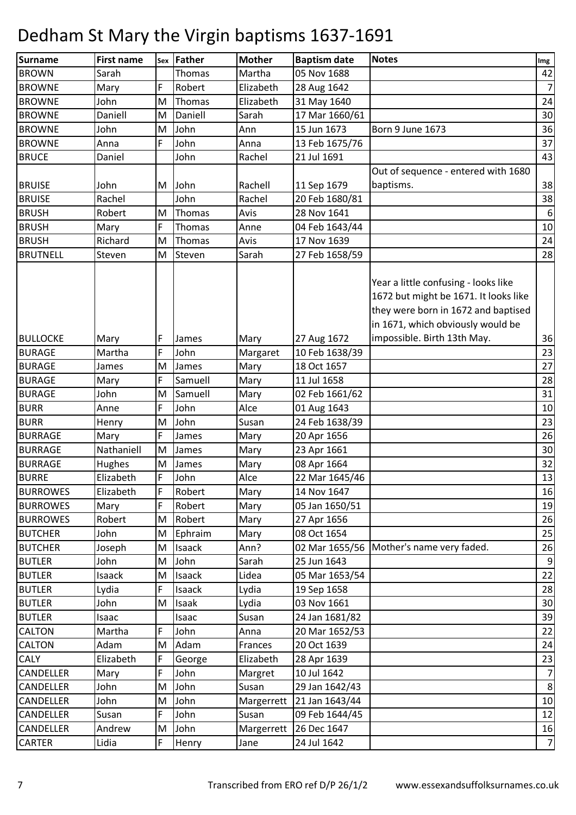| Surname                        | First name      | Sex | Father        | <b>Mother</b>    | <b>Baptism date</b>              | <b>Notes</b>                                                                                                                                              | Img            |
|--------------------------------|-----------------|-----|---------------|------------------|----------------------------------|-----------------------------------------------------------------------------------------------------------------------------------------------------------|----------------|
| <b>BROWN</b>                   | Sarah           |     | Thomas        | Martha           | 05 Nov 1688                      |                                                                                                                                                           | 42             |
| <b>BROWNE</b>                  | Mary            | F   | Robert        | Elizabeth        | 28 Aug 1642                      |                                                                                                                                                           | $\overline{7}$ |
| <b>BROWNE</b>                  | John            | M   | Thomas        | Elizabeth        | 31 May 1640                      |                                                                                                                                                           | 24             |
| <b>BROWNE</b>                  | Daniell         | M   | Daniell       | Sarah            | 17 Mar 1660/61                   |                                                                                                                                                           | 30             |
| <b>BROWNE</b>                  | John            | M   | John          | Ann              | 15 Jun 1673                      | Born 9 June 1673                                                                                                                                          | 36             |
| <b>BROWNE</b>                  | Anna            | F   | John          | Anna             | 13 Feb 1675/76                   |                                                                                                                                                           | 37             |
| <b>BRUCE</b>                   | Daniel          |     | John          | Rachel           | 21 Jul 1691                      |                                                                                                                                                           | 43             |
|                                |                 |     |               |                  |                                  | Out of sequence - entered with 1680                                                                                                                       |                |
| <b>BRUISE</b>                  | John            | M   | John          | Rachell          | 11 Sep 1679                      | baptisms.                                                                                                                                                 | 38             |
| <b>BRUISE</b>                  | Rachel          |     | John          | Rachel           | 20 Feb 1680/81                   |                                                                                                                                                           | 38             |
| <b>BRUSH</b>                   | Robert          | M   | Thomas        | Avis             | 28 Nov 1641                      |                                                                                                                                                           | 6              |
| <b>BRUSH</b>                   | Mary            | F   | Thomas        | Anne             | 04 Feb 1643/44                   |                                                                                                                                                           | $10\,$         |
| <b>BRUSH</b>                   | Richard         | M   | Thomas        | Avis             | 17 Nov 1639                      |                                                                                                                                                           | 24             |
| <b>BRUTNELL</b>                | Steven          | M   | Steven        | Sarah            | 27 Feb 1658/59                   |                                                                                                                                                           | 28             |
|                                |                 |     |               |                  |                                  | Year a little confusing - looks like<br>1672 but might be 1671. It looks like<br>they were born in 1672 and baptised<br>in 1671, which obviously would be |                |
| <b>BULLOCKE</b>                | Mary            | F   | James         | Mary             | 27 Aug 1672                      | impossible. Birth 13th May.                                                                                                                               | 36             |
| <b>BURAGE</b>                  | Martha          | F   | John          | Margaret         | 10 Feb 1638/39                   |                                                                                                                                                           | 23             |
| <b>BURAGE</b>                  | James           | M   | James         | Mary             | 18 Oct 1657                      |                                                                                                                                                           | 27             |
| <b>BURAGE</b>                  | Mary            | F   | Samuell       | Mary             | 11 Jul 1658                      |                                                                                                                                                           | 28             |
| <b>BURAGE</b>                  | John            | M   | Samuell       | Mary             | 02 Feb 1661/62                   |                                                                                                                                                           | 31             |
| <b>BURR</b>                    | Anne            | F   | John          | Alce             | 01 Aug 1643                      |                                                                                                                                                           | 10             |
| <b>BURR</b>                    | Henry           | M   | John          | Susan            | 24 Feb 1638/39                   |                                                                                                                                                           | 23             |
| <b>BURRAGE</b>                 | Mary            | F   | James         | Mary             | 20 Apr 1656                      |                                                                                                                                                           | 26             |
| <b>BURRAGE</b>                 | Nathaniell      | M   | James         | Mary             | 23 Apr 1661                      |                                                                                                                                                           | 30             |
| <b>BURRAGE</b>                 | Hughes          | M   | James         | Mary             | 08 Apr 1664                      |                                                                                                                                                           | 32             |
| <b>BURRE</b>                   | Elizabeth       | F   | John          | Alce             | 22 Mar 1645/46                   |                                                                                                                                                           | 13             |
| <b>BURROWES</b>                | Elizabeth       | F   | Robert        | Mary             | 14 Nov 1647                      |                                                                                                                                                           | 16             |
| <b>BURROWES</b>                | Mary            | F   | Robert        | Mary             | 05 Jan 1650/51                   |                                                                                                                                                           | 19             |
| <b>BURROWES</b>                | Robert          | M   | Robert        | Mary             | 27 Apr 1656                      |                                                                                                                                                           | 26             |
| <b>BUTCHER</b>                 | John            | M   | Ephraim       | Mary             | 08 Oct 1654                      |                                                                                                                                                           | 25             |
| <b>BUTCHER</b>                 | Joseph          | M   | Isaack        | Ann?             |                                  | 02 Mar 1655/56 Mother's name very faded.                                                                                                                  | 26             |
| <b>BUTLER</b>                  | John            | Μ   | John          | Sarah            | 25 Jun 1643                      |                                                                                                                                                           | 9              |
| <b>BUTLER</b>                  | Isaack          | M   | Isaack        | Lidea            | 05 Mar 1653/54                   |                                                                                                                                                           | 22             |
| <b>BUTLER</b>                  | Lydia           | F   | Isaack        | Lydia            | 19 Sep 1658                      |                                                                                                                                                           | 28             |
| <b>BUTLER</b>                  | John            | M   | Isaak         | Lydia            | 03 Nov 1661                      |                                                                                                                                                           | 30             |
| <b>BUTLER</b><br><b>CALTON</b> | Isaac<br>Martha | F   | Isaac<br>John | Susan            | 24 Jan 1681/82<br>20 Mar 1652/53 |                                                                                                                                                           | 39<br>22       |
| <b>CALTON</b>                  | Adam            | M   | Adam          | Anna<br>Frances  | 20 Oct 1639                      |                                                                                                                                                           | 24             |
| CALY                           | Elizabeth       | F   | George        | Elizabeth        | 28 Apr 1639                      |                                                                                                                                                           | 23             |
| <b>CANDELLER</b>               | Mary            | F   | John          |                  | 10 Jul 1642                      |                                                                                                                                                           | 7              |
| <b>CANDELLER</b>               | John            | M   | John          | Margret<br>Susan | 29 Jan 1642/43                   |                                                                                                                                                           | 8              |
| <b>CANDELLER</b>               | John            | Μ   | John          | Margerrett       | 21 Jan 1643/44                   |                                                                                                                                                           | 10             |
| <b>CANDELLER</b>               | Susan           | F   | John          | Susan            | 09 Feb 1644/45                   |                                                                                                                                                           | 12             |
| CANDELLER                      | Andrew          | M   | John          | Margerrett       | 26 Dec 1647                      |                                                                                                                                                           | 16             |
| <b>CARTER</b>                  | Lidia           | F   | Henry         | Jane             | 24 Jul 1642                      |                                                                                                                                                           | $7\vert$       |
|                                |                 |     |               |                  |                                  |                                                                                                                                                           |                |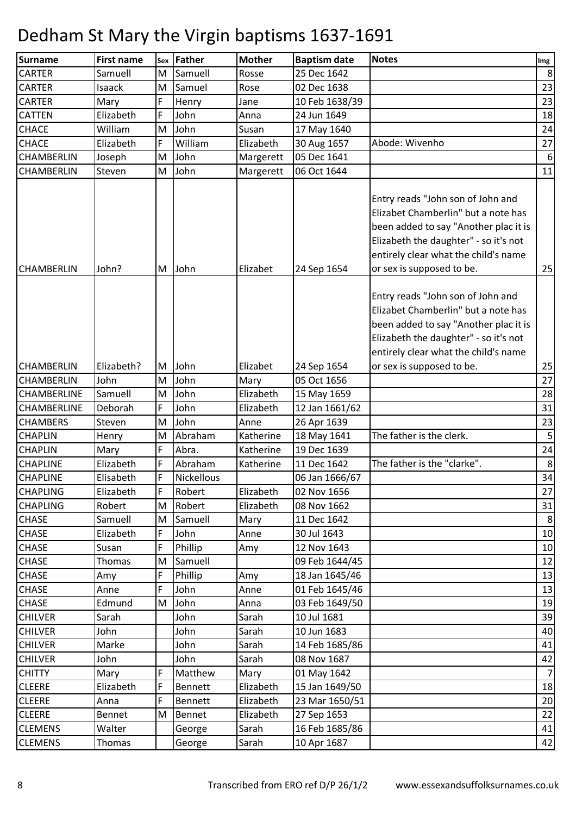| <b>Surname</b>    | <b>First name</b> | Sex         | Father            | <b>Mother</b> | <b>Baptism date</b> | <b>Notes</b>                                                                                                                                                                                                                    | Img |
|-------------------|-------------------|-------------|-------------------|---------------|---------------------|---------------------------------------------------------------------------------------------------------------------------------------------------------------------------------------------------------------------------------|-----|
| <b>CARTER</b>     | Samuell           | M           | Samuell           | Rosse         | 25 Dec 1642         |                                                                                                                                                                                                                                 | 8   |
| <b>CARTER</b>     | Isaack            | M           | Samuel            | Rose          | 02 Dec 1638         |                                                                                                                                                                                                                                 | 23  |
| <b>CARTER</b>     | Mary              | F           | Henry             | Jane          | 10 Feb 1638/39      |                                                                                                                                                                                                                                 | 23  |
| <b>CATTEN</b>     | Elizabeth         | F           | John              | Anna          | 24 Jun 1649         |                                                                                                                                                                                                                                 | 18  |
| CHACE             | William           | M           | John              | Susan         | 17 May 1640         |                                                                                                                                                                                                                                 | 24  |
| <b>CHACE</b>      | Elizabeth         | F           | William           | Elizabeth     | 30 Aug 1657         | Abode: Wivenho                                                                                                                                                                                                                  | 27  |
| CHAMBERLIN        | Joseph            | M           | John              | Margerett     | 05 Dec 1641         |                                                                                                                                                                                                                                 | 6   |
| CHAMBERLIN        | Steven            | M           | John              | Margerett     | 06 Oct 1644         |                                                                                                                                                                                                                                 | 11  |
| <b>CHAMBERLIN</b> | John?             | M           | John              | Elizabet      | 24 Sep 1654         | Entry reads "John son of John and<br>Elizabet Chamberlin" but a note has<br>been added to say "Another plac it is<br>Elizabeth the daughter" - so it's not<br>entirely clear what the child's name<br>or sex is supposed to be. | 25  |
|                   |                   |             |                   |               |                     | Entry reads "John son of John and<br>Elizabet Chamberlin" but a note has<br>been added to say "Another plac it is<br>Elizabeth the daughter" - so it's not<br>entirely clear what the child's name                              |     |
| <b>CHAMBERLIN</b> | Elizabeth?        | M           | John              | Elizabet      | 24 Sep 1654         | or sex is supposed to be.                                                                                                                                                                                                       | 25  |
| CHAMBERLIN        | John              | M           | John              | Mary          | 05 Oct 1656         |                                                                                                                                                                                                                                 | 27  |
| CHAMBERLINE       | Samuell           | M           | John              | Elizabeth     | 15 May 1659         |                                                                                                                                                                                                                                 | 28  |
| CHAMBERLINE       | Deborah           | F           | John              | Elizabeth     | 12 Jan 1661/62      |                                                                                                                                                                                                                                 | 31  |
| <b>CHAMBERS</b>   | Steven            | M           | John              | Anne          | 26 Apr 1639         |                                                                                                                                                                                                                                 | 23  |
| <b>CHAPLIN</b>    | Henry             | M           | Abraham           | Katherine     | 18 May 1641         | The father is the clerk.                                                                                                                                                                                                        | 5   |
| <b>CHAPLIN</b>    | Mary              | F           | Abra.             | Katherine     | 19 Dec 1639         |                                                                                                                                                                                                                                 | 24  |
| <b>CHAPLINE</b>   | Elizabeth         | F           | Abraham           | Katherine     | 11 Dec 1642         | The father is the "clarke".                                                                                                                                                                                                     | 8   |
| <b>CHAPLINE</b>   | Elisabeth         | $\mathsf F$ | <b>Nickellous</b> |               | 06 Jan 1666/67      |                                                                                                                                                                                                                                 | 34  |
| <b>CHAPLING</b>   | Elizabeth         | IF.         | Robert            | Elizabeth     | 02 Nov 1656         |                                                                                                                                                                                                                                 | 27  |
| <b>CHAPLING</b>   | Robert            | M           | Robert            | Elizabeth     | 08 Nov 1662         |                                                                                                                                                                                                                                 | 31  |
| <b>CHASE</b>      | Samuell           | M           | Samuell           | Mary          | 11 Dec 1642         |                                                                                                                                                                                                                                 | 8   |
| <b>CHASE</b>      | Elizabeth         | F.          | John              | Anne          | 30 Jul 1643         |                                                                                                                                                                                                                                 | 10  |
| <b>CHASE</b>      | Susan             | F           | Phillip           | Amy           | 12 Nov 1643         |                                                                                                                                                                                                                                 | 10  |
| <b>CHASE</b>      | Thomas            | M           | Samuell           |               | 09 Feb 1644/45      |                                                                                                                                                                                                                                 | 12  |
| <b>CHASE</b>      | Amy               | F           | Phillip           | Amy           | 18 Jan 1645/46      |                                                                                                                                                                                                                                 | 13  |
| CHASE             | Anne              | F           | John              | Anne          | 01 Feb 1645/46      |                                                                                                                                                                                                                                 | 13  |
| <b>CHASE</b>      | Edmund            | M           | John              | Anna          | 03 Feb 1649/50      |                                                                                                                                                                                                                                 | 19  |
| <b>CHILVER</b>    | Sarah             |             | John              | Sarah         | 10 Jul 1681         |                                                                                                                                                                                                                                 | 39  |
| <b>CHILVER</b>    | John              |             | John              | Sarah         | 10 Jun 1683         |                                                                                                                                                                                                                                 | 40  |
| <b>CHILVER</b>    | Marke             |             | John              | Sarah         | 14 Feb 1685/86      |                                                                                                                                                                                                                                 | 41  |
| <b>CHILVER</b>    | John              |             | John              | Sarah         | 08 Nov 1687         |                                                                                                                                                                                                                                 | 42  |
| <b>CHITTY</b>     | Mary              | F           | Matthew           | Mary          | 01 May 1642         |                                                                                                                                                                                                                                 | 7   |
| <b>CLEERE</b>     | Elizabeth         | F           | Bennett           | Elizabeth     | 15 Jan 1649/50      |                                                                                                                                                                                                                                 | 18  |
| <b>CLEERE</b>     | Anna              | F           | Bennett           | Elizabeth     | 23 Mar 1650/51      |                                                                                                                                                                                                                                 | 20  |
| <b>CLEERE</b>     | Bennet            | M           | Bennet            | Elizabeth     | 27 Sep 1653         |                                                                                                                                                                                                                                 | 22  |
| <b>CLEMENS</b>    | Walter            |             | George            | Sarah         | 16 Feb 1685/86      |                                                                                                                                                                                                                                 | 41  |
| <b>CLEMENS</b>    | Thomas            |             | George            | Sarah         | 10 Apr 1687         |                                                                                                                                                                                                                                 | 42  |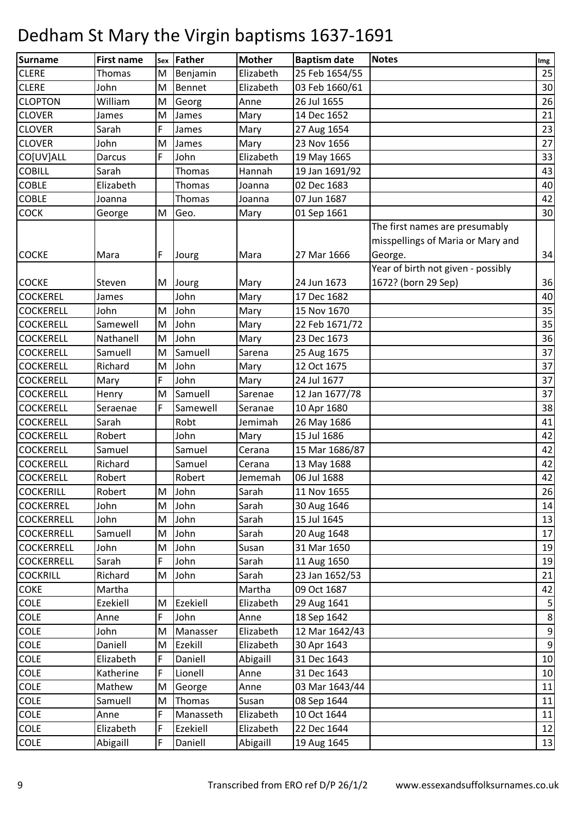| Surname           | <b>First name</b> | Sex | Father    | <b>Mother</b> | <b>Baptism date</b> | <b>Notes</b>                                                                   | Img            |
|-------------------|-------------------|-----|-----------|---------------|---------------------|--------------------------------------------------------------------------------|----------------|
| <b>CLERE</b>      | Thomas            | M   | Benjamin  | Elizabeth     | 25 Feb 1654/55      |                                                                                | 25             |
| <b>CLERE</b>      | John              | M   | Bennet    | Elizabeth     | 03 Feb 1660/61      |                                                                                | 30             |
| <b>CLOPTON</b>    | William           | M   | Georg     | Anne          | 26 Jul 1655         |                                                                                | 26             |
| <b>CLOVER</b>     | James             | M   | James     | Mary          | 14 Dec 1652         |                                                                                | 21             |
| <b>CLOVER</b>     | Sarah             | F   | James     | Mary          | 27 Aug 1654         |                                                                                | 23             |
| <b>CLOVER</b>     | John              | M   | James     | Mary          | 23 Nov 1656         |                                                                                | 27             |
| CO[UV]ALL         | Darcus            | F   | John      | Elizabeth     | 19 May 1665         |                                                                                | 33             |
| <b>COBILL</b>     | Sarah             |     | Thomas    | Hannah        | 19 Jan 1691/92      |                                                                                | 43             |
| <b>COBLE</b>      | Elizabeth         |     | Thomas    | Joanna        | 02 Dec 1683         |                                                                                | 40             |
| <b>COBLE</b>      | Joanna            |     | Thomas    | Joanna        | 07 Jun 1687         |                                                                                | 42             |
| <b>COCK</b>       | George            | M   | Geo.      | Mary          | 01 Sep 1661         |                                                                                | 30             |
| <b>COCKE</b>      | Mara              | F   | Jourg     | Mara          | 27 Mar 1666         | The first names are presumably<br>misspellings of Maria or Mary and<br>George. | 34             |
| <b>COCKE</b>      | Steven            | M   | Jourg     | Mary          | 24 Jun 1673         | Year of birth not given - possibly<br>1672? (born 29 Sep)                      | 36             |
| <b>COCKEREL</b>   | James             |     | John      | Mary          | 17 Dec 1682         |                                                                                | 40             |
| <b>COCKERELL</b>  | John              | M   | John      | Mary          | 15 Nov 1670         |                                                                                | 35             |
| <b>COCKERELL</b>  | Samewell          | M   | John      | Mary          | 22 Feb 1671/72      |                                                                                | 35             |
| <b>COCKERELL</b>  | Nathanell         | M   | John      | Mary          | 23 Dec 1673         |                                                                                | 36             |
| <b>COCKERELL</b>  | Samuell           | M   | Samuell   | Sarena        | 25 Aug 1675         |                                                                                | 37             |
| <b>COCKERELL</b>  | Richard           | M   | John      | Mary          | 12 Oct 1675         |                                                                                | 37             |
| <b>COCKERELL</b>  | Mary              | F   | John      | Mary          | 24 Jul 1677         |                                                                                | 37             |
| <b>COCKERELL</b>  | Henry             | M   | Samuell   | Sarenae       | 12 Jan 1677/78      |                                                                                | 37             |
| <b>COCKERELL</b>  | Seraenae          | F   | Samewell  | Seranae       | 10 Apr 1680         |                                                                                | 38             |
| <b>COCKERELL</b>  | Sarah             |     | Robt      | Jemimah       | 26 May 1686         |                                                                                | 41             |
| <b>COCKERELL</b>  | Robert            |     | John      | Mary          | 15 Jul 1686         |                                                                                | 42             |
| <b>COCKERELL</b>  | Samuel            |     | Samuel    | Cerana        | 15 Mar 1686/87      |                                                                                | 42             |
| <b>COCKERELL</b>  | Richard           |     | Samuel    | Cerana        | 13 May 1688         |                                                                                | 42             |
| <b>COCKERELL</b>  | Robert            |     | Robert    | Jememah       | 06 Jul 1688         |                                                                                | 42             |
| <b>COCKERILL</b>  | Robert            | M   | John      | Sarah         | 11 Nov 1655         |                                                                                | 26             |
| <b>COCKERREL</b>  | John              | M   | John      | Sarah         | 30 Aug 1646         |                                                                                | 14             |
| <b>COCKERRELL</b> | John              | M   | John      | Sarah         | 15 Jul 1645         |                                                                                | 13             |
| <b>COCKERRELL</b> | Samuell           | M   | John      | Sarah         | 20 Aug 1648         |                                                                                | 17             |
| <b>COCKERRELL</b> | John              | M   | John      | Susan         | 31 Mar 1650         |                                                                                | 19             |
| <b>COCKERRELL</b> | Sarah             | F   | John      | Sarah         | 11 Aug 1650         |                                                                                | 19             |
| <b>COCKRILL</b>   | Richard           | M   | John      | Sarah         | 23 Jan 1652/53      |                                                                                | 21             |
| <b>COKE</b>       | Martha            |     |           | Martha        | 09 Oct 1687         |                                                                                | 42             |
| <b>COLE</b>       | Ezekiell          | M   | Ezekiell  | Elizabeth     | 29 Aug 1641         |                                                                                | 5              |
| <b>COLE</b>       | Anne              | F   | John      | Anne          | 18 Sep 1642         |                                                                                | 8              |
| <b>COLE</b>       | John              | M   | Manasser  | Elizabeth     | 12 Mar 1642/43      |                                                                                | 9              |
| COLE              | Daniell           | M   | Ezekill   | Elizabeth     | 30 Apr 1643         |                                                                                | $\overline{9}$ |
| COLE              | Elizabeth         | F   | Daniell   | Abigaill      | 31 Dec 1643         |                                                                                | 10             |
| <b>COLE</b>       | Katherine         | F   | Lionell   | Anne          | 31 Dec 1643         |                                                                                | 10             |
| COLE              | Mathew            | M   | George    | Anne          | 03 Mar 1643/44      |                                                                                | 11             |
| <b>COLE</b>       | Samuell           | M   | Thomas    | Susan         | 08 Sep 1644         |                                                                                | 11             |
| COLE              | Anne              | F   | Manasseth | Elizabeth     | 10 Oct 1644         |                                                                                | 11             |
| COLE              | Elizabeth         | F   | Ezekiell  | Elizabeth     | 22 Dec 1644         |                                                                                | 12             |
| <b>COLE</b>       | Abigaill          | F   | Daniell   | Abigaill      | 19 Aug 1645         |                                                                                | 13             |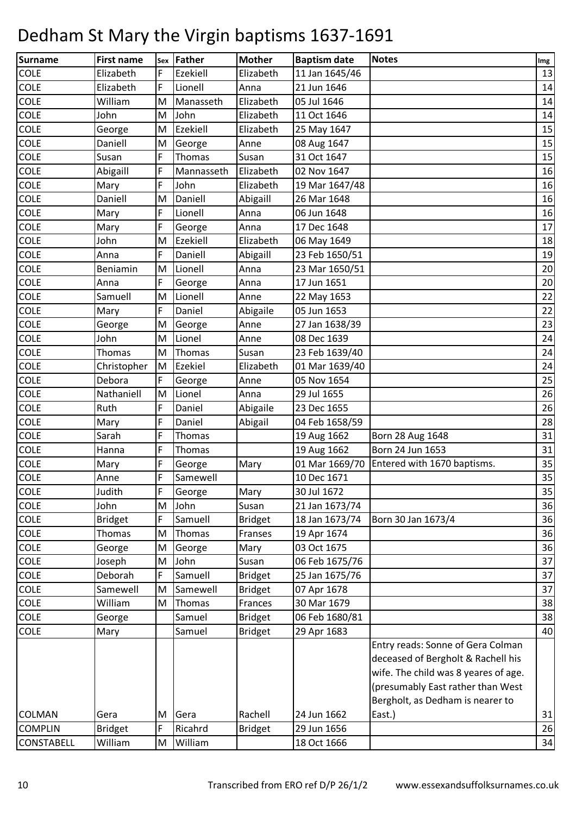| <b>Surname</b> | <b>First name</b> | Sex | Father     | <b>Mother</b>  | <b>Baptism date</b> | <b>Notes</b>                         | Img |
|----------------|-------------------|-----|------------|----------------|---------------------|--------------------------------------|-----|
| <b>COLE</b>    | Elizabeth         | F   | Ezekiell   | Elizabeth      | 11 Jan 1645/46      |                                      | 13  |
| COLE           | Elizabeth         | F   | Lionell    | Anna           | 21 Jun 1646         |                                      | 14  |
| COLE           | William           | M   | Manasseth  | Elizabeth      | 05 Jul 1646         |                                      | 14  |
| COLE           | John              | M   | John       | Elizabeth      | 11 Oct 1646         |                                      | 14  |
| COLE           | George            | M   | Ezekiell   | Elizabeth      | 25 May 1647         |                                      | 15  |
| COLE           | Daniell           | M   | George     | Anne           | 08 Aug 1647         |                                      | 15  |
| COLE           | Susan             | F   | Thomas     | Susan          | 31 Oct 1647         |                                      | 15  |
| COLE           | Abigaill          | F   | Mannasseth | Elizabeth      | 02 Nov 1647         |                                      | 16  |
| COLE           | Mary              | F   | John       | Elizabeth      | 19 Mar 1647/48      |                                      | 16  |
| COLE           | Daniell           | M   | Daniell    | Abigaill       | 26 Mar 1648         |                                      | 16  |
| COLE           | Mary              | F   | Lionell    | Anna           | 06 Jun 1648         |                                      | 16  |
| COLE           | Mary              | F   | George     | Anna           | 17 Dec 1648         |                                      | 17  |
| COLE           | John              | M   | Ezekiell   | Elizabeth      | 06 May 1649         |                                      | 18  |
| COLE           | Anna              | F   | Daniell    | Abigaill       | 23 Feb 1650/51      |                                      | 19  |
| COLE           | Beniamin          | M   | Lionell    | Anna           | 23 Mar 1650/51      |                                      | 20  |
| <b>COLE</b>    | Anna              | F   | George     | Anna           | 17 Jun 1651         |                                      | 20  |
| COLE           | Samuell           | M   | Lionell    | Anne           | 22 May 1653         |                                      | 22  |
| <b>COLE</b>    | Mary              | F   | Daniel     | Abigaile       | 05 Jun 1653         |                                      | 22  |
| COLE           | George            | M   | George     | Anne           | 27 Jan 1638/39      |                                      | 23  |
| COLE           | John              | M   | Lionel     | Anne           | 08 Dec 1639         |                                      | 24  |
| COLE           | <b>Thomas</b>     | M   | Thomas     | Susan          | 23 Feb 1639/40      |                                      | 24  |
| <b>COLE</b>    | Christopher       | M   | Ezekiel    | Elizabeth      | 01 Mar 1639/40      |                                      | 24  |
| <b>COLE</b>    | Debora            | F   | George     | Anne           | 05 Nov 1654         |                                      | 25  |
| COLE           | Nathaniell        | M   | Lionel     | Anna           | 29 Jul 1655         |                                      | 26  |
| <b>COLE</b>    | Ruth              | F   | Daniel     | Abigaile       | 23 Dec 1655         |                                      | 26  |
| COLE           | Mary              | F   | Daniel     | Abigail        | 04 Feb 1658/59      |                                      | 28  |
| COLE           | Sarah             | F   | Thomas     |                | 19 Aug 1662         | Born 28 Aug 1648                     | 31  |
| COLE           | Hanna             | F   | Thomas     |                | 19 Aug 1662         | Born 24 Jun 1653                     | 31  |
| COLE           | Mary              | F   | George     | Mary           | 01 Mar 1669/70      | Entered with 1670 baptisms.          | 35  |
| <b>COLE</b>    | Anne              | F   | Samewell   |                | 10 Dec 1671         |                                      | 35  |
| COLE           | Judith            | F   | George     | Mary           | 30 Jul 1672         |                                      | 35  |
| <b>COLE</b>    | John              | M   | John       | Susan          | 21 Jan 1673/74      |                                      | 36  |
| COLE           | <b>Bridget</b>    | F   | Samuell    | <b>Bridget</b> | 18 Jan 1673/74      | Born 30 Jan 1673/4                   | 36  |
| <b>COLE</b>    | Thomas            | M   | Thomas     | Franses        | 19 Apr 1674         |                                      | 36  |
| <b>COLE</b>    | George            | M   | George     | Mary           | 03 Oct 1675         |                                      | 36  |
| <b>COLE</b>    | Joseph            | M   | John       | Susan          | 06 Feb 1675/76      |                                      | 37  |
| COLE           | Deborah           | F   | Samuell    | <b>Bridget</b> | 25 Jan 1675/76      |                                      | 37  |
| COLE           | Samewell          | M   | Samewell   | <b>Bridget</b> | 07 Apr 1678         |                                      | 37  |
| <b>COLE</b>    | William           | M   | Thomas     | Frances        | 30 Mar 1679         |                                      | 38  |
| <b>COLE</b>    | George            |     | Samuel     | <b>Bridget</b> | 06 Feb 1680/81      |                                      | 38  |
| <b>COLE</b>    | Mary              |     | Samuel     | <b>Bridget</b> | 29 Apr 1683         |                                      | 40  |
|                |                   |     |            |                |                     | Entry reads: Sonne of Gera Colman    |     |
|                |                   |     |            |                |                     | deceased of Bergholt & Rachell his   |     |
|                |                   |     |            |                |                     | wife. The child was 8 yeares of age. |     |
|                |                   |     |            |                |                     | (presumably East rather than West    |     |
|                |                   |     |            |                |                     | Bergholt, as Dedham is nearer to     |     |
| <b>COLMAN</b>  | Gera              | M   | Gera       | Rachell        | 24 Jun 1662         | East.)                               | 31  |
| <b>COMPLIN</b> | <b>Bridget</b>    | F   | Ricahrd    | <b>Bridget</b> | 29 Jun 1656         |                                      | 26  |
| CONSTABELL     | William           | M   | William    |                | 18 Oct 1666         |                                      | 34  |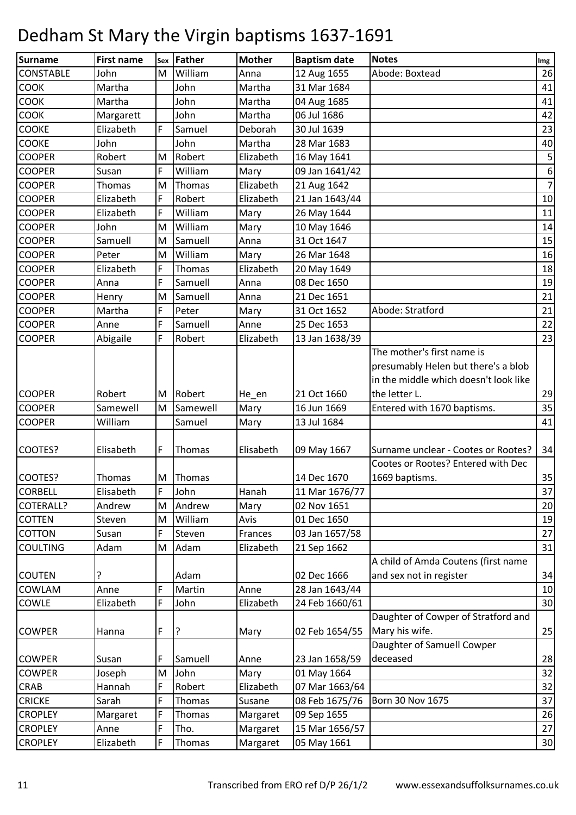| Surname          | <b>First name</b> | Sex    | Father        | <b>Mother</b> | <b>Baptism date</b> | <b>Notes</b>                                                              | Img              |
|------------------|-------------------|--------|---------------|---------------|---------------------|---------------------------------------------------------------------------|------------------|
| <b>CONSTABLE</b> | John              | M      | William       | Anna          | 12 Aug 1655         | Abode: Boxtead                                                            | 26               |
| COOK             | Martha            |        | John          | Martha        | 31 Mar 1684         |                                                                           | 41               |
| COOK             | Martha            |        | John          | Martha        | 04 Aug 1685         |                                                                           | 41               |
| <b>COOK</b>      | Margarett         |        | John          | Martha        | 06 Jul 1686         |                                                                           | 42               |
| COOKE            | Elizabeth         | F      | Samuel        | Deborah       | 30 Jul 1639         |                                                                           | 23               |
| <b>COOKE</b>     | John              |        | John          | Martha        | 28 Mar 1683         |                                                                           | 40               |
| <b>COOPER</b>    | Robert            | M      | Robert        | Elizabeth     | 16 May 1641         |                                                                           | $\mathsf S$      |
| <b>COOPER</b>    | Susan             | F      | William       | Mary          | 09 Jan 1641/42      |                                                                           | $\boldsymbol{6}$ |
| <b>COOPER</b>    | Thomas            | M      | Thomas        | Elizabeth     | 21 Aug 1642         |                                                                           | 7                |
| <b>COOPER</b>    | Elizabeth         | F      | Robert        | Elizabeth     | 21 Jan 1643/44      |                                                                           | 10               |
| <b>COOPER</b>    | Elizabeth         | F      | William       | Mary          | 26 May 1644         |                                                                           | 11               |
| <b>COOPER</b>    | John              | M      | William       | Mary          | 10 May 1646         |                                                                           | 14               |
| <b>COOPER</b>    | Samuell           | M      | Samuell       | Anna          | 31 Oct 1647         |                                                                           | 15               |
| <b>COOPER</b>    | Peter             | M      | William       | Mary          | 26 Mar 1648         |                                                                           | 16               |
| <b>COOPER</b>    | Elizabeth         | F      | <b>Thomas</b> | Elizabeth     | 20 May 1649         |                                                                           | 18               |
| <b>COOPER</b>    | Anna              | F      | Samuell       | Anna          | 08 Dec 1650         |                                                                           | 19               |
| <b>COOPER</b>    | Henry             | M      | Samuell       | Anna          | 21 Dec 1651         |                                                                           | 21               |
| <b>COOPER</b>    | Martha            | F      | Peter         | Mary          | 31 Oct 1652         | Abode: Stratford                                                          | 21               |
| <b>COOPER</b>    | Anne              | F      | Samuell       | Anne          | 25 Dec 1653         |                                                                           | 22               |
| <b>COOPER</b>    | Abigaile          | F      | Robert        | Elizabeth     | 13 Jan 1638/39      |                                                                           | 23               |
|                  |                   |        |               |               |                     | The mother's first name is                                                |                  |
|                  |                   |        |               |               |                     | presumably Helen but there's a blob                                       |                  |
|                  |                   |        |               |               |                     | in the middle which doesn't look like                                     |                  |
| <b>COOPER</b>    | Robert            | M      | Robert        | He_en         | 21 Oct 1660         | the letter L.                                                             | 29               |
| <b>COOPER</b>    | Samewell          | M      | Samewell      | Mary          | 16 Jun 1669         | Entered with 1670 baptisms.                                               | 35               |
| <b>COOPER</b>    | William           |        | Samuel        | Mary          | 13 Jul 1684         |                                                                           | 41               |
|                  |                   |        |               |               |                     |                                                                           |                  |
| COOTES?          | Elisabeth         | F      | Thomas        | Elisabeth     | 09 May 1667         | Surname unclear - Cootes or Rootes?<br>Cootes or Rootes? Entered with Dec | 34               |
| COOTES?          | Thomas            |        | Thomas        |               | 14 Dec 1670         | 1669 baptisms.                                                            | 35               |
| <b>CORBELL</b>   | Elisabeth         | M<br>F | John          | Hanah         | 11 Mar 1676/77      |                                                                           | 37               |
| COTERALL?        | Andrew            | M      | Andrew        | Mary          | 02 Nov 1651         |                                                                           | 20               |
| <b>COTTEN</b>    | Steven            | M      | William       | Avis          | 01 Dec 1650         |                                                                           | 19               |
| COTTON           | Susan             | F      | Steven        | Frances       | 03 Jan 1657/58      |                                                                           | 27               |
| <b>COULTING</b>  | Adam              | M      | Adam          | Elizabeth     | 21 Sep 1662         |                                                                           | 31               |
|                  |                   |        |               |               |                     | A child of Amda Coutens (first name                                       |                  |
| <b>COUTEN</b>    | ?                 |        | Adam          |               | 02 Dec 1666         | and sex not in register                                                   | 34               |
| COWLAM           | Anne              | F      | Martin        | Anne          | 28 Jan 1643/44      |                                                                           | 10               |
| COWLE            | Elizabeth         | F      | John          | Elizabeth     | 24 Feb 1660/61      |                                                                           | 30               |
|                  |                   |        |               |               |                     | Daughter of Cowper of Stratford and                                       |                  |
| <b>COWPER</b>    | Hanna             | F      |               | Mary          | 02 Feb 1654/55      | Mary his wife.                                                            | 25               |
|                  |                   |        |               |               |                     | Daughter of Samuell Cowper                                                |                  |
| <b>COWPER</b>    | Susan             | F      | Samuell       | Anne          | 23 Jan 1658/59      | deceased                                                                  | 28               |
| <b>COWPER</b>    | Joseph            | M      | John          | Mary          | 01 May 1664         |                                                                           | 32               |
| CRAB             | Hannah            | F      | Robert        | Elizabeth     | 07 Mar 1663/64      |                                                                           | 32               |
| <b>CRICKE</b>    | Sarah             | F      | <b>Thomas</b> | Susane        | 08 Feb 1675/76      | Born 30 Nov 1675                                                          | 37               |
| <b>CROPLEY</b>   | Margaret          | F      | <b>Thomas</b> | Margaret      | 09 Sep 1655         |                                                                           | 26               |
| <b>CROPLEY</b>   | Anne              | F      | Tho.          | Margaret      | 15 Mar 1656/57      |                                                                           | 27               |
| <b>CROPLEY</b>   | Elizabeth         | F      | Thomas        | Margaret      | 05 May 1661         |                                                                           | 30               |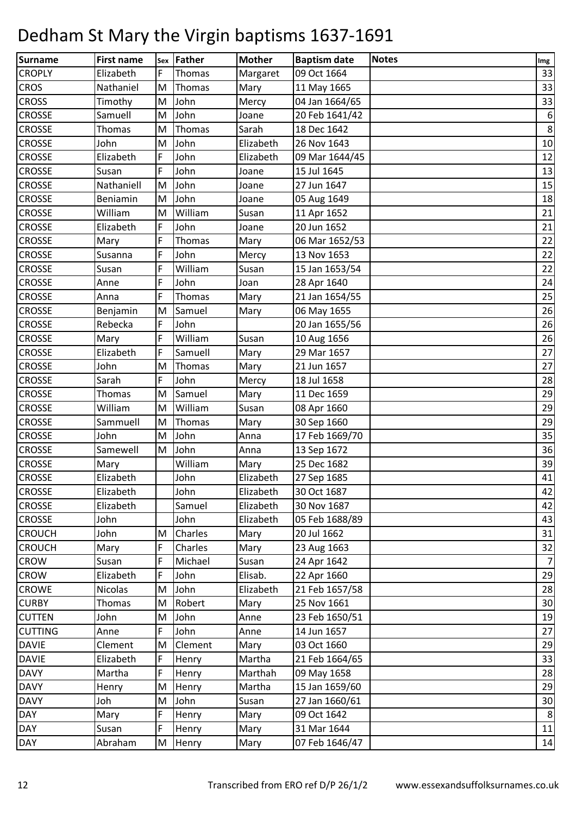| Surname        | <b>First name</b> | Sex | <b>Father</b> | <b>Mother</b> | <b>Baptism date</b> | <b>Notes</b> | Img            |
|----------------|-------------------|-----|---------------|---------------|---------------------|--------------|----------------|
| <b>CROPLY</b>  | Elizabeth         | F   | Thomas        | Margaret      | 09 Oct 1664         |              | 33             |
| <b>CROS</b>    | Nathaniel         | M   | Thomas        | Mary          | 11 May 1665         |              | 33             |
| <b>CROSS</b>   | Timothy           | M   | John          | Mercy         | 04 Jan 1664/65      |              | 33             |
| <b>CROSSE</b>  | Samuell           | M   | John          | Joane         | 20 Feb 1641/42      |              | 6              |
| <b>CROSSE</b>  | Thomas            | M   | Thomas        | Sarah         | 18 Dec 1642         |              | $8\phantom{1}$ |
| <b>CROSSE</b>  | John              | M   | John          | Elizabeth     | 26 Nov 1643         |              | 10             |
| <b>CROSSE</b>  | Elizabeth         | F   | John          | Elizabeth     | 09 Mar 1644/45      |              | 12             |
| <b>CROSSE</b>  | Susan             | F   | John          | Joane         | 15 Jul 1645         |              | 13             |
| <b>CROSSE</b>  | Nathaniell        | M   | John          | Joane         | 27 Jun 1647         |              | 15             |
| <b>CROSSE</b>  | Beniamin          | M   | John          | Joane         | 05 Aug 1649         |              | 18             |
| <b>CROSSE</b>  | William           | M   | William       | Susan         | 11 Apr 1652         |              | 21             |
| <b>CROSSE</b>  | Elizabeth         | F   | John          | Joane         | 20 Jun 1652         |              | 21             |
| <b>CROSSE</b>  | Mary              | F   | Thomas        | Mary          | 06 Mar 1652/53      |              | 22             |
| <b>CROSSE</b>  | Susanna           | F   | John          | Mercy         | 13 Nov 1653         |              | 22             |
| <b>CROSSE</b>  | Susan             | F   | William       | Susan         | 15 Jan 1653/54      |              | 22             |
| <b>CROSSE</b>  | Anne              | F   | John          | Joan          | 28 Apr 1640         |              | 24             |
| <b>CROSSE</b>  | Anna              | F   | Thomas        | Mary          | 21 Jan 1654/55      |              | 25             |
| <b>CROSSE</b>  | Benjamin          | M   | Samuel        | Mary          | 06 May 1655         |              | 26             |
| <b>CROSSE</b>  | Rebecka           | F   | John          |               | 20 Jan 1655/56      |              | 26             |
| <b>CROSSE</b>  | Mary              | F   | William       | Susan         | 10 Aug 1656         |              | 26             |
| <b>CROSSE</b>  | Elizabeth         | F   | Samuell       | Mary          | 29 Mar 1657         |              | 27             |
| <b>CROSSE</b>  | John              | M   | Thomas        | Mary          | 21 Jun 1657         |              | 27             |
| <b>CROSSE</b>  | Sarah             | F   | John          | Mercy         | 18 Jul 1658         |              | 28             |
| <b>CROSSE</b>  | Thomas            | M   | Samuel        | Mary          | 11 Dec 1659         |              | 29             |
| <b>CROSSE</b>  | William           | M   | William       | Susan         | 08 Apr 1660         |              | 29             |
| <b>CROSSE</b>  | Sammuell          | M   | Thomas        | Mary          | 30 Sep 1660         |              | 29             |
| <b>CROSSE</b>  | John              | M   | John          | Anna          | 17 Feb 1669/70      |              | 35             |
| <b>CROSSE</b>  | Samewell          | M   | John          | Anna          | 13 Sep 1672         |              | 36             |
| <b>CROSSE</b>  | Mary              |     | William       | Mary          | 25 Dec 1682         |              | 39             |
| <b>CROSSE</b>  | Elizabeth         |     | John          | Elizabeth     | 27 Sep 1685         |              | 41             |
| <b>CROSSE</b>  | Elizabeth         |     | John          | Elizabeth     | 30 Oct 1687         |              | 42             |
| <b>CROSSE</b>  | Elizabeth         |     | Samuel        | Elizabeth     | 30 Nov 1687         |              | 42             |
| <b>CROSSE</b>  | John              |     | John          | Elizabeth     | 05 Feb 1688/89      |              | 43             |
| <b>CROUCH</b>  | John              | M   | Charles       | Mary          | 20 Jul 1662         |              | 31             |
| <b>CROUCH</b>  | Mary              | F   | Charles       | Mary          | 23 Aug 1663         |              | 32             |
| <b>CROW</b>    | Susan             | F   | Michael       | Susan         | 24 Apr 1642         |              | 7              |
| <b>CROW</b>    | Elizabeth         | F   | John          | Elisab.       | 22 Apr 1660         |              | 29             |
| <b>CROWE</b>   | Nicolas           | M   | John          | Elizabeth     | 21 Feb 1657/58      |              | 28             |
| <b>CURBY</b>   | Thomas            | M   | Robert        | Mary          | 25 Nov 1661         |              | 30             |
| <b>CUTTEN</b>  | John              | M   | John          | Anne          | 23 Feb 1650/51      |              | 19             |
| <b>CUTTING</b> | Anne              | F   | John          | Anne          | 14 Jun 1657         |              | 27             |
| <b>DAVIE</b>   | Clement           | M   | Clement       | Mary          | 03 Oct 1660         |              | 29             |
| <b>DAVIE</b>   | Elizabeth         | F   | Henry         | Martha        | 21 Feb 1664/65      |              | 33             |
| <b>DAVY</b>    | Martha            | F   | Henry         | Marthah       | 09 May 1658         |              | 28             |
| <b>DAVY</b>    | Henry             | M   | Henry         | Martha        | 15 Jan 1659/60      |              | 29             |
| <b>DAVY</b>    | Joh               | M   | John          | Susan         | 27 Jan 1660/61      |              | 30             |
| <b>DAY</b>     | Mary              | F   | Henry         | Mary          | 09 Oct 1642         |              | 8              |
| <b>DAY</b>     | Susan             | F   | Henry         | Mary          | 31 Mar 1644         |              | 11             |
| <b>DAY</b>     | Abraham           | M   | Henry         | Mary          | 07 Feb 1646/47      |              | 14             |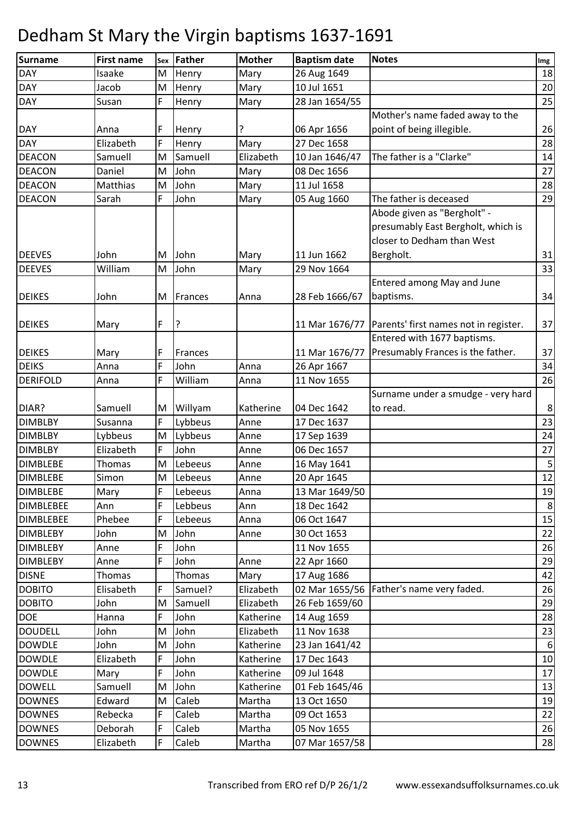| DAY<br>26 Aug 1649<br>18<br>Isaake<br>M<br>Henry<br>Mary<br><b>DAY</b><br>10 Jul 1651<br>20<br>Jacob<br>Mary<br>M<br>Henry<br>F<br>25<br>28 Jan 1654/55<br><b>DAY</b><br>Susan<br>Henry<br>Mary<br>Mother's name faded away to the<br>point of being illegible.<br>26<br><b>DAY</b><br>F<br>06 Apr 1656<br>?<br>Anna<br>Henry<br>F<br>28<br><b>DAY</b><br>Elizabeth<br>Henry<br>Mary<br>27 Dec 1658<br>The father is a "Clarke"<br><b>DEACON</b><br>Samuell<br>M<br>Samuell<br>Elizabeth<br>10 Jan 1646/47<br>14<br>John<br>27<br><b>DEACON</b><br>08 Dec 1656<br>Daniel<br>M<br>Mary<br><b>DEACON</b><br>John<br>11 Jul 1658<br>28<br>Matthias<br>M<br>Mary<br>F<br>John<br><b>DEACON</b><br>Sarah<br>The father is deceased<br>29<br>05 Aug 1660<br>Mary<br>Abode given as "Bergholt" -<br>presumably East Bergholt, which is<br>closer to Dedham than West<br><b>DEEVES</b><br>11 Jun 1662<br>Bergholt.<br>31<br>John<br>John<br>Mary<br>М<br>William<br><b>DEEVES</b><br>M<br>John<br>29 Nov 1664<br>33<br>Mary<br>Entered among May and June |
|---------------------------------------------------------------------------------------------------------------------------------------------------------------------------------------------------------------------------------------------------------------------------------------------------------------------------------------------------------------------------------------------------------------------------------------------------------------------------------------------------------------------------------------------------------------------------------------------------------------------------------------------------------------------------------------------------------------------------------------------------------------------------------------------------------------------------------------------------------------------------------------------------------------------------------------------------------------------------------------------------------------------------------------------------|
|                                                                                                                                                                                                                                                                                                                                                                                                                                                                                                                                                                                                                                                                                                                                                                                                                                                                                                                                                                                                                                                   |
|                                                                                                                                                                                                                                                                                                                                                                                                                                                                                                                                                                                                                                                                                                                                                                                                                                                                                                                                                                                                                                                   |
|                                                                                                                                                                                                                                                                                                                                                                                                                                                                                                                                                                                                                                                                                                                                                                                                                                                                                                                                                                                                                                                   |
|                                                                                                                                                                                                                                                                                                                                                                                                                                                                                                                                                                                                                                                                                                                                                                                                                                                                                                                                                                                                                                                   |
|                                                                                                                                                                                                                                                                                                                                                                                                                                                                                                                                                                                                                                                                                                                                                                                                                                                                                                                                                                                                                                                   |
|                                                                                                                                                                                                                                                                                                                                                                                                                                                                                                                                                                                                                                                                                                                                                                                                                                                                                                                                                                                                                                                   |
|                                                                                                                                                                                                                                                                                                                                                                                                                                                                                                                                                                                                                                                                                                                                                                                                                                                                                                                                                                                                                                                   |
|                                                                                                                                                                                                                                                                                                                                                                                                                                                                                                                                                                                                                                                                                                                                                                                                                                                                                                                                                                                                                                                   |
|                                                                                                                                                                                                                                                                                                                                                                                                                                                                                                                                                                                                                                                                                                                                                                                                                                                                                                                                                                                                                                                   |
|                                                                                                                                                                                                                                                                                                                                                                                                                                                                                                                                                                                                                                                                                                                                                                                                                                                                                                                                                                                                                                                   |
|                                                                                                                                                                                                                                                                                                                                                                                                                                                                                                                                                                                                                                                                                                                                                                                                                                                                                                                                                                                                                                                   |
|                                                                                                                                                                                                                                                                                                                                                                                                                                                                                                                                                                                                                                                                                                                                                                                                                                                                                                                                                                                                                                                   |
|                                                                                                                                                                                                                                                                                                                                                                                                                                                                                                                                                                                                                                                                                                                                                                                                                                                                                                                                                                                                                                                   |
|                                                                                                                                                                                                                                                                                                                                                                                                                                                                                                                                                                                                                                                                                                                                                                                                                                                                                                                                                                                                                                                   |
|                                                                                                                                                                                                                                                                                                                                                                                                                                                                                                                                                                                                                                                                                                                                                                                                                                                                                                                                                                                                                                                   |
|                                                                                                                                                                                                                                                                                                                                                                                                                                                                                                                                                                                                                                                                                                                                                                                                                                                                                                                                                                                                                                                   |
| 28 Feb 1666/67<br>baptisms.<br>34<br><b>DEIKES</b><br>John<br>M<br>Frances<br>Anna                                                                                                                                                                                                                                                                                                                                                                                                                                                                                                                                                                                                                                                                                                                                                                                                                                                                                                                                                                |
|                                                                                                                                                                                                                                                                                                                                                                                                                                                                                                                                                                                                                                                                                                                                                                                                                                                                                                                                                                                                                                                   |
| F<br>Parents' first names not in register.<br>37<br>11 Mar 1676/77<br><b>DEIKES</b><br>Mary                                                                                                                                                                                                                                                                                                                                                                                                                                                                                                                                                                                                                                                                                                                                                                                                                                                                                                                                                       |
| Entered with 1677 baptisms.                                                                                                                                                                                                                                                                                                                                                                                                                                                                                                                                                                                                                                                                                                                                                                                                                                                                                                                                                                                                                       |
| 37<br>Presumably Frances is the father.<br><b>DEIKES</b><br>F<br>11 Mar 1676/77<br>Mary<br>Frances                                                                                                                                                                                                                                                                                                                                                                                                                                                                                                                                                                                                                                                                                                                                                                                                                                                                                                                                                |
| F<br>John<br><b>DEIKS</b><br>Anna<br>26 Apr 1667<br>34<br>Anna                                                                                                                                                                                                                                                                                                                                                                                                                                                                                                                                                                                                                                                                                                                                                                                                                                                                                                                                                                                    |
| F<br>26<br><b>DERIFOLD</b><br>William<br>11 Nov 1655<br>Anna<br>Anna                                                                                                                                                                                                                                                                                                                                                                                                                                                                                                                                                                                                                                                                                                                                                                                                                                                                                                                                                                              |
| Surname under a smudge - very hard                                                                                                                                                                                                                                                                                                                                                                                                                                                                                                                                                                                                                                                                                                                                                                                                                                                                                                                                                                                                                |
| $\,8\,$<br>DIAR?<br>Willyam<br>Samuell<br>M<br>Katherine<br>04 Dec 1642<br>to read.                                                                                                                                                                                                                                                                                                                                                                                                                                                                                                                                                                                                                                                                                                                                                                                                                                                                                                                                                               |
| F<br>23<br>Lybbeus<br><b>DIMBLBY</b><br>Susanna<br>Anne<br>17 Dec 1637                                                                                                                                                                                                                                                                                                                                                                                                                                                                                                                                                                                                                                                                                                                                                                                                                                                                                                                                                                            |
| 24<br><b>DIMBLBY</b><br>M<br>Lybbeus<br>Lybbeus<br>Anne<br>17 Sep 1639                                                                                                                                                                                                                                                                                                                                                                                                                                                                                                                                                                                                                                                                                                                                                                                                                                                                                                                                                                            |
| F<br>John<br>27<br><b>DIMBLBY</b><br>Elizabeth<br>06 Dec 1657<br>Anne                                                                                                                                                                                                                                                                                                                                                                                                                                                                                                                                                                                                                                                                                                                                                                                                                                                                                                                                                                             |
| 5<br>M<br>Lebeeus<br><b>DIMBLEBE</b><br>Thomas<br>16 May 1641<br>Anne                                                                                                                                                                                                                                                                                                                                                                                                                                                                                                                                                                                                                                                                                                                                                                                                                                                                                                                                                                             |
| 12<br><b>DIMBLEBE</b><br>M<br>Simon<br>Lebeeus<br>20 Apr 1645<br>Anne                                                                                                                                                                                                                                                                                                                                                                                                                                                                                                                                                                                                                                                                                                                                                                                                                                                                                                                                                                             |
| Lebeeus<br>13 Mar 1649/50<br><b>DIMBLEBE</b><br>Mary<br>F<br>Anna<br>19                                                                                                                                                                                                                                                                                                                                                                                                                                                                                                                                                                                                                                                                                                                                                                                                                                                                                                                                                                           |
| F<br>Lebbeus<br>18 Dec 1642<br>8<br><b>DIMBLEBEE</b><br>Ann<br>Ann                                                                                                                                                                                                                                                                                                                                                                                                                                                                                                                                                                                                                                                                                                                                                                                                                                                                                                                                                                                |
| F<br>Phebee<br>Lebeeus<br>06 Oct 1647<br>15<br><b>DIMBLEBEE</b><br>Anna                                                                                                                                                                                                                                                                                                                                                                                                                                                                                                                                                                                                                                                                                                                                                                                                                                                                                                                                                                           |
| John<br>30 Oct 1653<br><b>DIMBLEBY</b><br>John<br>22<br>M<br>Anne                                                                                                                                                                                                                                                                                                                                                                                                                                                                                                                                                                                                                                                                                                                                                                                                                                                                                                                                                                                 |
| F<br>John<br>26<br><b>DIMBLEBY</b><br>11 Nov 1655<br>Anne                                                                                                                                                                                                                                                                                                                                                                                                                                                                                                                                                                                                                                                                                                                                                                                                                                                                                                                                                                                         |
| F<br>John<br>22 Apr 1660<br>29<br><b>DIMBLEBY</b><br>Anne<br>Anne                                                                                                                                                                                                                                                                                                                                                                                                                                                                                                                                                                                                                                                                                                                                                                                                                                                                                                                                                                                 |
| <b>DISNE</b><br>Thomas<br>42<br>Thomas<br>Mary<br>17 Aug 1686                                                                                                                                                                                                                                                                                                                                                                                                                                                                                                                                                                                                                                                                                                                                                                                                                                                                                                                                                                                     |
| 02 Mar 1655/56   Father's name very faded.<br>F<br><b>DOBITO</b><br>Elisabeth<br>Samuel?<br>Elizabeth<br>26                                                                                                                                                                                                                                                                                                                                                                                                                                                                                                                                                                                                                                                                                                                                                                                                                                                                                                                                       |
| Samuell<br>26 Feb 1659/60<br>29<br><b>DOBITO</b><br>John<br>Elizabeth<br>M                                                                                                                                                                                                                                                                                                                                                                                                                                                                                                                                                                                                                                                                                                                                                                                                                                                                                                                                                                        |
| <b>DOE</b><br>F<br>John<br>28<br>Katherine<br>14 Aug 1659<br>Hanna                                                                                                                                                                                                                                                                                                                                                                                                                                                                                                                                                                                                                                                                                                                                                                                                                                                                                                                                                                                |
| <b>DOUDELL</b><br>John<br>Elizabeth<br>11 Nov 1638<br>John<br>M<br>23                                                                                                                                                                                                                                                                                                                                                                                                                                                                                                                                                                                                                                                                                                                                                                                                                                                                                                                                                                             |
| John<br><b>DOWDLE</b><br>23 Jan 1641/42<br>John<br>M<br>Katherine<br>6                                                                                                                                                                                                                                                                                                                                                                                                                                                                                                                                                                                                                                                                                                                                                                                                                                                                                                                                                                            |
| F<br>John<br><b>DOWDLE</b><br>Elizabeth<br>17 Dec 1643<br>Katherine<br>10                                                                                                                                                                                                                                                                                                                                                                                                                                                                                                                                                                                                                                                                                                                                                                                                                                                                                                                                                                         |
| <b>DOWDLE</b><br>F<br>John<br>09 Jul 1648<br>17<br>Mary<br>Katherine                                                                                                                                                                                                                                                                                                                                                                                                                                                                                                                                                                                                                                                                                                                                                                                                                                                                                                                                                                              |
| John<br><b>DOWELL</b><br>Samuell<br>M<br>Katherine<br>01 Feb 1645/46<br>13                                                                                                                                                                                                                                                                                                                                                                                                                                                                                                                                                                                                                                                                                                                                                                                                                                                                                                                                                                        |
| Caleb<br><b>DOWNES</b><br>Edward<br>Martha<br>13 Oct 1650<br>19<br>M                                                                                                                                                                                                                                                                                                                                                                                                                                                                                                                                                                                                                                                                                                                                                                                                                                                                                                                                                                              |
| Caleb<br><b>DOWNES</b><br>Martha<br>09 Oct 1653<br>22<br>Rebecka<br>F                                                                                                                                                                                                                                                                                                                                                                                                                                                                                                                                                                                                                                                                                                                                                                                                                                                                                                                                                                             |
| F<br>Caleb<br>05 Nov 1655<br><b>DOWNES</b><br>Deborah<br>Martha<br>26                                                                                                                                                                                                                                                                                                                                                                                                                                                                                                                                                                                                                                                                                                                                                                                                                                                                                                                                                                             |
| <b>DOWNES</b><br>F<br>Elizabeth<br>Caleb<br>Martha<br>07 Mar 1657/58<br>28                                                                                                                                                                                                                                                                                                                                                                                                                                                                                                                                                                                                                                                                                                                                                                                                                                                                                                                                                                        |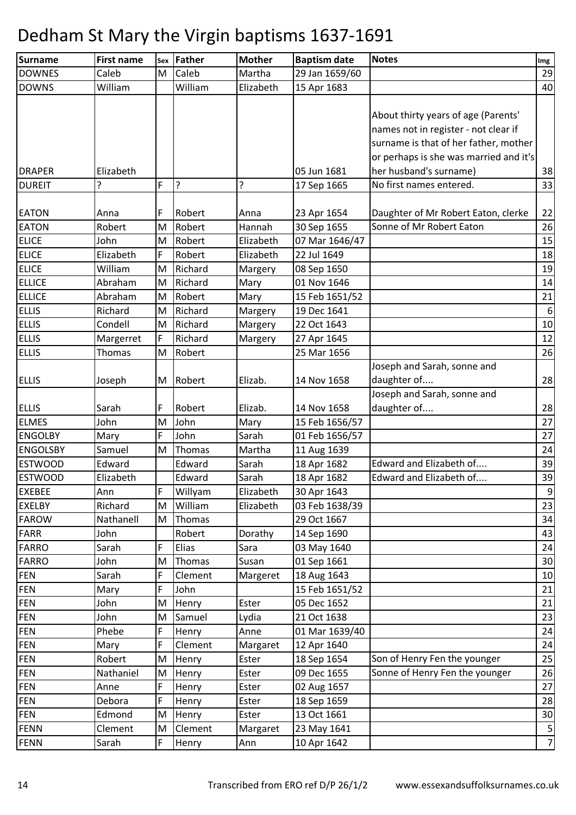| <b>Surname</b>           | <b>First name</b> | Sex    | Father          | <b>Mother</b> | <b>Baptism date</b>           | <b>Notes</b>                           | Img            |
|--------------------------|-------------------|--------|-----------------|---------------|-------------------------------|----------------------------------------|----------------|
| <b>DOWNES</b>            | Caleb             | M      | Caleb           | Martha        | 29 Jan 1659/60                |                                        | 29             |
| <b>DOWNS</b>             | William           |        | William         | Elizabeth     | 15 Apr 1683                   |                                        | 40             |
|                          |                   |        |                 |               |                               |                                        |                |
|                          |                   |        |                 |               |                               | About thirty years of age (Parents'    |                |
|                          |                   |        |                 |               |                               | names not in register - not clear if   |                |
|                          |                   |        |                 |               |                               | surname is that of her father, mother  |                |
|                          |                   |        |                 |               |                               | or perhaps is she was married and it's |                |
| <b>DRAPER</b>            | Elizabeth         |        |                 |               | 05 Jun 1681                   | her husband's surname)                 | 38             |
| <b>DUREIT</b>            | 5.                | F      | ļ۶              | ?             | 17 Sep 1665                   | No first names entered.                | 33             |
|                          |                   |        |                 |               |                               |                                        |                |
| <b>EATON</b>             | Anna              | F      | Robert          | Anna          | 23 Apr 1654                   | Daughter of Mr Robert Eaton, clerke    | 22             |
| <b>EATON</b>             | Robert            | M      | Robert          | Hannah        | 30 Sep 1655                   | Sonne of Mr Robert Eaton               | 26             |
| <b>ELICE</b>             | John              | M      | Robert          | Elizabeth     | 07 Mar 1646/47                |                                        | 15             |
| <b>ELICE</b>             | Elizabeth         | F      | Robert          | Elizabeth     | 22 Jul 1649                   |                                        | 18             |
| <b>ELICE</b>             | William           | M      | Richard         | Margery       | 08 Sep 1650                   |                                        | 19             |
| <b>ELLICE</b>            | Abraham           | M      | Richard         | Mary          | 01 Nov 1646                   |                                        | 14             |
| <b>ELLICE</b>            | Abraham           | M      | Robert          | Mary          | 15 Feb 1651/52                |                                        | 21             |
| <b>ELLIS</b>             | Richard           | M      | Richard         | Margery       | 19 Dec 1641                   |                                        | 6              |
| <b>ELLIS</b>             | Condell           | M      | Richard         | Margery       | 22 Oct 1643                   |                                        | 10             |
| <b>ELLIS</b>             | Margerret         | F      | Richard         | Margery       | 27 Apr 1645                   |                                        | 12             |
| <b>ELLIS</b>             | Thomas            | M      | Robert          |               | 25 Mar 1656                   |                                        | 26             |
|                          |                   |        |                 |               |                               | Joseph and Sarah, sonne and            |                |
| <b>ELLIS</b>             | Joseph            | M      | Robert          | Elizab.       | 14 Nov 1658                   | daughter of                            | 28             |
|                          |                   |        |                 |               |                               | Joseph and Sarah, sonne and            |                |
| <b>ELLIS</b>             | Sarah             | F      | Robert          | Elizab.       | 14 Nov 1658                   | daughter of                            | 28             |
| <b>ELMES</b>             | John              | M      | John            | Mary          | 15 Feb 1656/57                |                                        | 27             |
| <b>ENGOLBY</b>           | Mary              | F      | John            | Sarah         | 01 Feb 1656/57                |                                        | 27             |
| <b>ENGOLSBY</b>          | Samuel            | M      | Thomas          | Martha        | 11 Aug 1639                   |                                        | 24             |
| <b>ESTWOOD</b>           | Edward            |        | Edward          | Sarah         | 18 Apr 1682                   | Edward and Elizabeth of                | 39             |
| <b>ESTWOOD</b>           | Elizabeth         |        | Edward          | Sarah         | 18 Apr 1682                   | Edward and Elizabeth of                | 39             |
| <b>EXEBEE</b>            | Ann               | F      | Willyam         | Elizabeth     | 30 Apr 1643                   |                                        | 9              |
| <b>EXELBY</b>            | Richard           | M      | William         | Elizabeth     | 03 Feb 1638/39                |                                        | 23             |
| <b>FAROW</b>             | Nathanell         | M      | Thomas          |               | 29 Oct 1667                   |                                        | 34             |
| <b>FARR</b>              | John              |        | Robert          | Dorathy       | 14 Sep 1690                   |                                        | 43             |
| <b>FARRO</b>             | Sarah             | F      | Elias           | Sara          | 03 May 1640                   |                                        | 24             |
| <b>FARRO</b>             | John<br>Sarah     | M      | Thomas          | Susan         | 01 Sep 1661                   |                                        | 30<br>10       |
| <b>FEN</b><br><b>FEN</b> |                   | F<br>F | Clement<br>John | Margeret      | 18 Aug 1643                   |                                        | 21             |
| <b>FEN</b>               | Mary<br>John      |        |                 | Ester         | 15 Feb 1651/52<br>05 Dec 1652 |                                        | 21             |
| <b>FEN</b>               | John              | M<br>M | Henry<br>Samuel | Lydia         | 21 Oct 1638                   |                                        | 23             |
| <b>FEN</b>               | Phebe             | F      | Henry           | Anne          | 01 Mar 1639/40                |                                        | 24             |
| <b>FEN</b>               | Mary              | F      | Clement         | Margaret      | 12 Apr 1640                   |                                        | 24             |
| <b>FEN</b>               | Robert            | M      | Henry           | Ester         | 18 Sep 1654                   | Son of Henry Fen the younger           | 25             |
| <b>FEN</b>               | Nathaniel         | M      | Henry           | Ester         | 09 Dec 1655                   | Sonne of Henry Fen the younger         | 26             |
| <b>FEN</b>               | Anne              | F      | Henry           | Ester         | 02 Aug 1657                   |                                        | 27             |
| <b>FEN</b>               | Debora            | F      | Henry           | Ester         | 18 Sep 1659                   |                                        | 28             |
| <b>FEN</b>               | Edmond            | M      | Henry           | Ester         | 13 Oct 1661                   |                                        | 30             |
| <b>FENN</b>              | Clement           | M      | Clement         | Margaret      | 23 May 1641                   |                                        | $\sqrt{5}$     |
| <b>FENN</b>              | Sarah             | F      | Henry           | Ann           | 10 Apr 1642                   |                                        | $\overline{7}$ |
|                          |                   |        |                 |               |                               |                                        |                |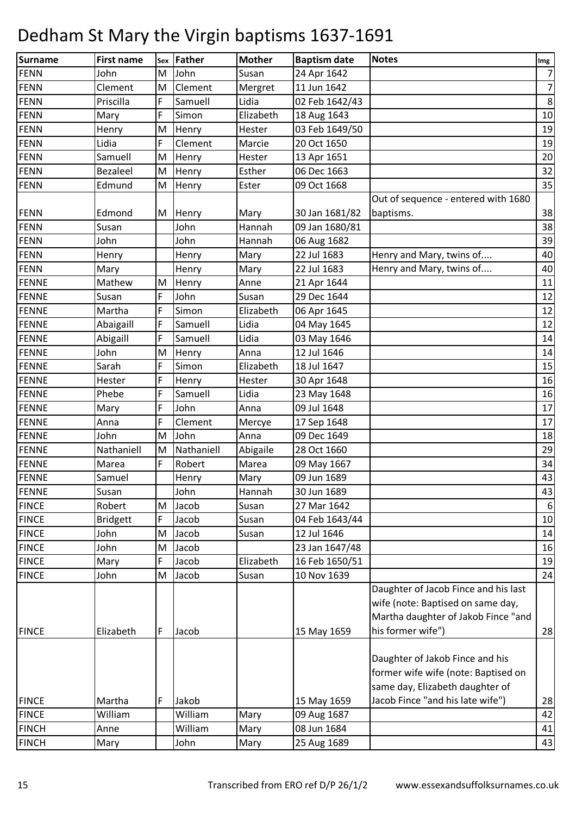| <b>Surname</b> | <b>First name</b> | Sex | Father     | <b>Mother</b> | <b>Baptism date</b> | <b>Notes</b>                                                                                                     | Img              |
|----------------|-------------------|-----|------------|---------------|---------------------|------------------------------------------------------------------------------------------------------------------|------------------|
| <b>FENN</b>    | John              | M   | John       | Susan         | 24 Apr 1642         |                                                                                                                  | $\overline{7}$   |
| <b>FENN</b>    | Clement           | M   | Clement    | Mergret       | 11 Jun 1642         |                                                                                                                  | $\overline{7}$   |
| <b>FENN</b>    | Priscilla         | F   | Samuell    | Lidia         | 02 Feb 1642/43      |                                                                                                                  | $\,8\,$          |
| <b>FENN</b>    | Mary              | F   | Simon      | Elizabeth     | 18 Aug 1643         |                                                                                                                  | 10               |
| <b>FENN</b>    | Henry             | M   | Henry      | Hester        | 03 Feb 1649/50      |                                                                                                                  | 19               |
| <b>FENN</b>    | Lidia             | F   | Clement    | Marcie        | 20 Oct 1650         |                                                                                                                  | 19               |
| <b>FENN</b>    | Samuell           | M   | Henry      | Hester        | 13 Apr 1651         |                                                                                                                  | 20               |
| <b>FENN</b>    | <b>Bezaleel</b>   | M   | Henry      | Esther        | 06 Dec 1663         |                                                                                                                  | 32               |
| <b>FENN</b>    | Edmund            | M   | Henry      | Ester         | 09 Oct 1668         |                                                                                                                  | 35               |
|                |                   |     |            |               |                     | Out of sequence - entered with 1680                                                                              |                  |
| <b>FENN</b>    | Edmond            | M   | Henry      | Mary          | 30 Jan 1681/82      | baptisms.                                                                                                        | 38               |
| <b>FENN</b>    | Susan             |     | John       | Hannah        | 09 Jan 1680/81      |                                                                                                                  | 38               |
| <b>FENN</b>    | John              |     | John       | Hannah        | 06 Aug 1682         |                                                                                                                  | 39               |
| <b>FENN</b>    | Henry             |     | Henry      | Mary          | 22 Jul 1683         | Henry and Mary, twins of                                                                                         | 40               |
| <b>FENN</b>    | Mary              |     | Henry      | Mary          | 22 Jul 1683         | Henry and Mary, twins of                                                                                         | 40               |
| <b>FENNE</b>   | Mathew            | M   | Henry      | Anne          | 21 Apr 1644         |                                                                                                                  | 11               |
| <b>FENNE</b>   | Susan             | F   | John       | Susan         | 29 Dec 1644         |                                                                                                                  | 12               |
| <b>FENNE</b>   | Martha            | F   | Simon      | Elizabeth     | 06 Apr 1645         |                                                                                                                  | 12               |
| <b>FENNE</b>   | Abaigaill         | F   | Samuell    | Lidia         | 04 May 1645         |                                                                                                                  | 12               |
| <b>FENNE</b>   | Abigaill          | F   | Samuell    | Lidia         | 03 May 1646         |                                                                                                                  | 14               |
| <b>FENNE</b>   | John              | M   | Henry      | Anna          | 12 Jul 1646         |                                                                                                                  | 14               |
| <b>FENNE</b>   | Sarah             | F   | Simon      | Elizabeth     | 18 Jul 1647         |                                                                                                                  | 15               |
| <b>FENNE</b>   | Hester            | F   | Henry      | Hester        | 30 Apr 1648         |                                                                                                                  | 16               |
| <b>FENNE</b>   | Phebe             | F   | Samuell    | Lidia         | 23 May 1648         |                                                                                                                  | 16               |
| <b>FENNE</b>   | Mary              | F   | John       | Anna          | 09 Jul 1648         |                                                                                                                  | 17               |
| <b>FENNE</b>   | Anna              | F   | Clement    | Mercye        | 17 Sep 1648         |                                                                                                                  | 17               |
| <b>FENNE</b>   | John              | M   | John       | Anna          | 09 Dec 1649         |                                                                                                                  | 18               |
| <b>FENNE</b>   | Nathaniell        | M   | Nathaniell | Abigaile      | 28 Oct 1660         |                                                                                                                  | 29               |
| <b>FENNE</b>   | Marea             | F   | Robert     | Marea         | 09 May 1667         |                                                                                                                  | 34               |
| <b>FENNE</b>   | Samuel            |     | Henry      | Mary          | 09 Jun 1689         |                                                                                                                  | 43               |
| <b>FENNE</b>   | Susan             |     | John       | Hannah        | 30 Jun 1689         |                                                                                                                  | 43               |
| <b>FINCE</b>   | Robert            | M   | Jacob      | Susan         | 27 Mar 1642         |                                                                                                                  | $6 \overline{6}$ |
| <b>FINCE</b>   | <b>Bridgett</b>   | F   | Jacob      | Susan         | 04 Feb 1643/44      |                                                                                                                  | 10               |
| <b>FINCE</b>   | John              | M   | Jacob      | Susan         | 12 Jul 1646         |                                                                                                                  | 14               |
| <b>FINCE</b>   | John              | M   | Jacob      |               | 23 Jan 1647/48      |                                                                                                                  | 16               |
| <b>FINCE</b>   | Mary              | F   | Jacob      | Elizabeth     | 16 Feb 1650/51      |                                                                                                                  | 19               |
| <b>FINCE</b>   | John              | M   | Jacob      | Susan         | 10 Nov 1639         |                                                                                                                  | 24               |
|                |                   |     |            |               |                     | Daughter of Jacob Fince and his last<br>wife (note: Baptised on same day,<br>Martha daughter of Jakob Fince "and |                  |
| <b>FINCE</b>   | Elizabeth         | F   | Jacob      |               | 15 May 1659         | his former wife")                                                                                                | 28               |
|                |                   |     |            |               |                     | Daughter of Jakob Fince and his<br>former wife wife (note: Baptised on<br>same day, Elizabeth daughter of        |                  |
| <b>FINCE</b>   | Martha            | F   | Jakob      |               | 15 May 1659         | Jacob Fince "and his late wife")                                                                                 | 28               |
| <b>FINCE</b>   | William           |     | William    | Mary          | 09 Aug 1687         |                                                                                                                  | 42               |
| <b>FINCH</b>   | Anne              |     | William    | Mary          | 08 Jun 1684         |                                                                                                                  | 41               |
| <b>FINCH</b>   | Mary              |     | John       | Mary          | 25 Aug 1689         |                                                                                                                  | 43               |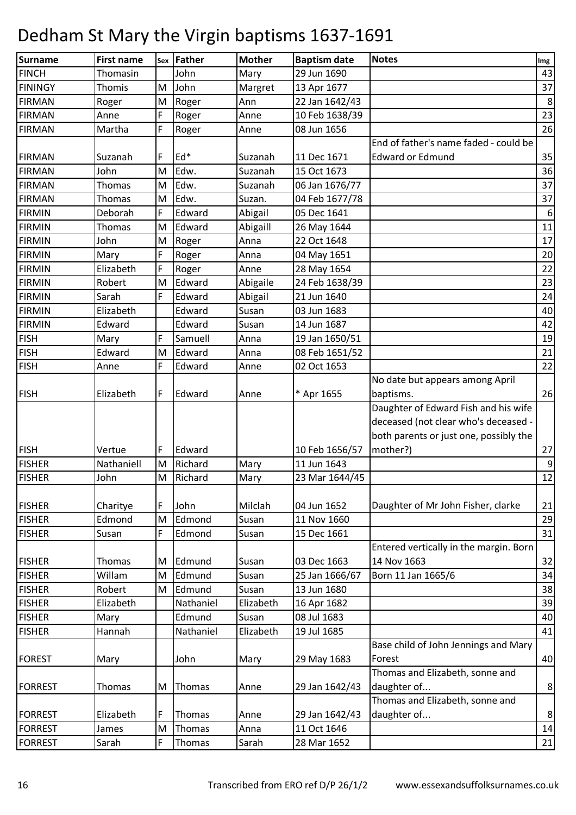| <b>Surname</b>                 | <b>First name</b> | Sex | Father              | <b>Mother</b>      | <b>Baptism date</b>           | <b>Notes</b>                           | Img      |
|--------------------------------|-------------------|-----|---------------------|--------------------|-------------------------------|----------------------------------------|----------|
| <b>FINCH</b>                   | Thomasin          |     | John                | Mary               | 29 Jun 1690                   |                                        | 43       |
| <b>FININGY</b>                 | Thomis            | M   | John                | Margret            | 13 Apr 1677                   |                                        | 37       |
| <b>FIRMAN</b>                  | Roger             | M   | Roger               | Ann                | 22 Jan 1642/43                |                                        | $\,8\,$  |
| <b>FIRMAN</b>                  | Anne              | F   | Roger               | Anne               | 10 Feb 1638/39                |                                        | 23       |
| <b>FIRMAN</b>                  | Martha            | F   | Roger               | Anne               | 08 Jun 1656                   |                                        | 26       |
|                                |                   |     |                     |                    |                               | End of father's name faded - could be  |          |
| <b>FIRMAN</b>                  | Suzanah           | F   | Ed*                 | Suzanah            | 11 Dec 1671                   | <b>Edward or Edmund</b>                | 35       |
| <b>FIRMAN</b>                  | John              | M   | Edw.                | Suzanah            | 15 Oct 1673                   |                                        | 36       |
| <b>FIRMAN</b>                  | Thomas            | M   | Edw.                | Suzanah            | 06 Jan 1676/77                |                                        | 37       |
| <b>FIRMAN</b>                  | Thomas            | M   | Edw.                | Suzan.             | 04 Feb 1677/78                |                                        | 37       |
| <b>FIRMIN</b>                  | Deborah           | F   | Edward              | Abigail            | 05 Dec 1641                   |                                        | 6        |
| <b>FIRMIN</b>                  | <b>Thomas</b>     | M   | Edward              | Abigaill           | 26 May 1644                   |                                        | 11       |
| <b>FIRMIN</b>                  | John              | M   | Roger               | Anna               | 22 Oct 1648                   |                                        | 17       |
| <b>FIRMIN</b>                  | Mary              | F   | Roger               | Anna               | 04 May 1651                   |                                        | 20       |
| <b>FIRMIN</b>                  | Elizabeth         | F   | Roger               | Anne               | 28 May 1654                   |                                        | 22       |
| <b>FIRMIN</b>                  | Robert            | M   | Edward              | Abigaile           | 24 Feb 1638/39                |                                        | 23       |
| <b>FIRMIN</b>                  | Sarah             | F   | Edward              | Abigail            | 21 Jun 1640                   |                                        | 24       |
| <b>FIRMIN</b>                  | Elizabeth         |     | Edward              | Susan              | 03 Jun 1683                   |                                        | 40       |
| <b>FIRMIN</b>                  | Edward            |     | Edward              | Susan              | 14 Jun 1687                   |                                        | 42       |
| <b>FISH</b>                    | Mary              | F   | Samuell             | Anna               | 19 Jan 1650/51                |                                        | 19       |
| <b>FISH</b>                    | Edward            | M   | Edward              | Anna               | 08 Feb 1651/52                |                                        | 21       |
| <b>FISH</b>                    | Anne              | F   | Edward              | Anne               | 02 Oct 1653                   |                                        | 22       |
|                                |                   |     |                     |                    |                               | No date but appears among April        |          |
| <b>FISH</b>                    | Elizabeth         | F   | Edward              | Anne               | * Apr 1655                    | baptisms.                              | 26       |
|                                |                   |     |                     |                    |                               | Daughter of Edward Fish and his wife   |          |
|                                |                   |     |                     |                    |                               | deceased (not clear who's deceased -   |          |
|                                |                   |     |                     |                    |                               | both parents or just one, possibly the |          |
| <b>FISH</b>                    | Vertue            | F   | Edward              |                    | 10 Feb 1656/57                | mother?)                               | 27       |
| <b>FISHER</b>                  | Nathaniell        | M   | Richard             | Mary               | 11 Jun 1643                   |                                        | 9        |
| <b>FISHER</b>                  | John              | M   | Richard             | Mary               | 23 Mar 1644/45                |                                        | 12       |
|                                |                   |     |                     |                    |                               |                                        |          |
| <b>FISHER</b>                  | Charitye          | F   | John                | Milclah            | 04 Jun 1652                   | Daughter of Mr John Fisher, clarke     | 21       |
| <b>FISHER</b>                  | Edmond            | M   | Edmond              | Susan              | 11 Nov 1660                   |                                        | 29       |
| <b>FISHER</b>                  | Susan             | F   | Edmond              | Susan              | 15 Dec 1661                   |                                        | 31       |
|                                |                   |     |                     |                    |                               | Entered vertically in the margin. Born |          |
| <b>FISHER</b>                  | Thomas            | M   | Edmund              | Susan              | 03 Dec 1663<br>25 Jan 1666/67 | 14 Nov 1663<br>Born 11 Jan 1665/6      | 32       |
| <b>FISHER</b>                  | Willam            | M   | Edmund              | Susan              |                               |                                        | 34       |
| <b>FISHER</b>                  | Robert            | M   | Edmund<br>Nathaniel | Susan<br>Elizabeth | 13 Jun 1680                   |                                        | 38<br>39 |
| <b>FISHER</b><br><b>FISHER</b> | Elizabeth         |     | Edmund              | Susan              | 16 Apr 1682<br>08 Jul 1683    |                                        |          |
| <b>FISHER</b>                  | Mary<br>Hannah    |     | Nathaniel           | Elizabeth          | 19 Jul 1685                   |                                        | 40<br>41 |
|                                |                   |     |                     |                    |                               | Base child of John Jennings and Mary   |          |
| <b>FOREST</b>                  |                   |     | John                |                    | 29 May 1683                   | Forest                                 | 40       |
|                                | Mary              |     |                     | Mary               |                               | Thomas and Elizabeth, sonne and        |          |
|                                |                   | M   |                     |                    |                               | daughter of                            |          |
| <b>FORREST</b>                 | Thomas            |     | Thomas              | Anne               | 29 Jan 1642/43                | Thomas and Elizabeth, sonne and        | $\bf 8$  |
| <b>FORREST</b>                 | Elizabeth         | F   | Thomas              | Anne               | 29 Jan 1642/43                | daughter of                            | $\bf 8$  |
| <b>FORREST</b>                 | James             | M   | Thomas              | Anna               | 11 Oct 1646                   |                                        | $14\,$   |
| <b>FORREST</b>                 | Sarah             | F   | Thomas              | Sarah              | 28 Mar 1652                   |                                        | 21       |
|                                |                   |     |                     |                    |                               |                                        |          |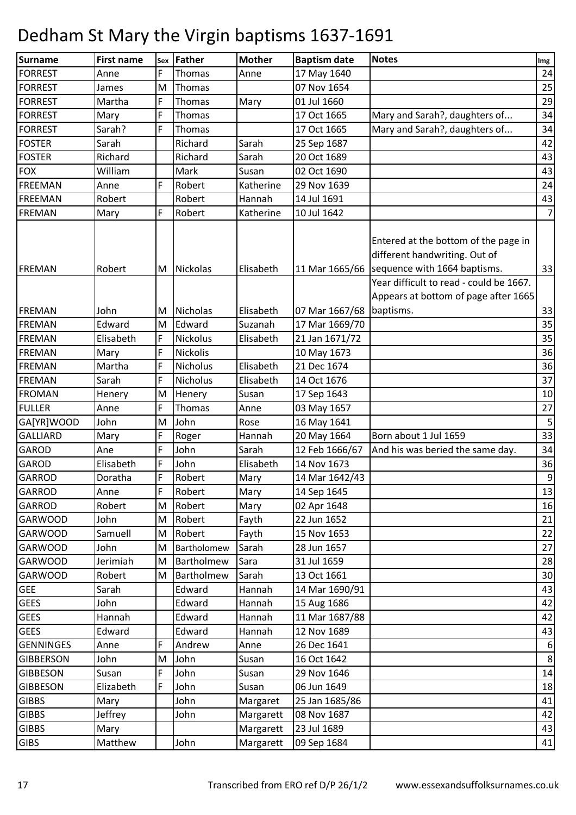| <b>Surname</b>   | <b>First name</b> | <b>Sex</b> | Father          | <b>Mother</b> | <b>Baptism date</b> | <b>Notes</b>                                                                                                                                                    | Img              |
|------------------|-------------------|------------|-----------------|---------------|---------------------|-----------------------------------------------------------------------------------------------------------------------------------------------------------------|------------------|
| <b>FORREST</b>   | Anne              | F          | Thomas          | Anne          | 17 May 1640         |                                                                                                                                                                 | 24               |
| <b>FORREST</b>   | James             | M          | Thomas          |               | 07 Nov 1654         |                                                                                                                                                                 | 25               |
| <b>FORREST</b>   | Martha            | F          | Thomas          | Mary          | 01 Jul 1660         |                                                                                                                                                                 | 29               |
| <b>FORREST</b>   | Mary              | F          | Thomas          |               | 17 Oct 1665         | Mary and Sarah?, daughters of                                                                                                                                   | 34               |
| <b>FORREST</b>   | Sarah?            | F          | Thomas          |               | 17 Oct 1665         | Mary and Sarah?, daughters of                                                                                                                                   | 34               |
| <b>FOSTER</b>    | Sarah             |            | Richard         | Sarah         | 25 Sep 1687         |                                                                                                                                                                 | 42               |
| <b>FOSTER</b>    | Richard           |            | Richard         | Sarah         | 20 Oct 1689         |                                                                                                                                                                 | 43               |
| <b>FOX</b>       | William           |            | Mark            | Susan         | 02 Oct 1690         |                                                                                                                                                                 | 43               |
| <b>FREEMAN</b>   | Anne              | F          | Robert          | Katherine     | 29 Nov 1639         |                                                                                                                                                                 | 24               |
| <b>FREEMAN</b>   | Robert            |            | Robert          | Hannah        | 14 Jul 1691         |                                                                                                                                                                 | 43               |
| FREMAN           | Mary              | F          | Robert          | Katherine     | 10 Jul 1642         |                                                                                                                                                                 | $\overline{7}$   |
| FREMAN           | Robert            | M          | <b>Nickolas</b> | Elisabeth     |                     | Entered at the bottom of the page in<br>different handwriting. Out of<br>11 Mar 1665/66 sequence with 1664 baptisms.<br>Year difficult to read - could be 1667. | 33               |
|                  |                   |            |                 |               |                     | Appears at bottom of page after 1665                                                                                                                            |                  |
| FREMAN           | John              | M          | <b>Nicholas</b> | Elisabeth     | 07 Mar 1667/68      | baptisms.                                                                                                                                                       | 33               |
| <b>FREMAN</b>    | Edward            | M          | Edward          | Suzanah       | 17 Mar 1669/70      |                                                                                                                                                                 | 35               |
| <b>FREMAN</b>    | Elisabeth         | F          | Nickolus        | Elisabeth     | 21 Jan 1671/72      |                                                                                                                                                                 | 35               |
| <b>FREMAN</b>    | Mary              | F          | Nickolis        |               | 10 May 1673         |                                                                                                                                                                 | 36               |
| <b>FREMAN</b>    | Martha            | F          | Nicholus        | Elisabeth     | 21 Dec 1674         |                                                                                                                                                                 | 36               |
| <b>FREMAN</b>    | Sarah             | F          | Nicholus        | Elisabeth     | 14 Oct 1676         |                                                                                                                                                                 | 37               |
| <b>FROMAN</b>    | Henery            | M          | Henery          | Susan         | 17 Sep 1643         |                                                                                                                                                                 | 10               |
| <b>FULLER</b>    | Anne              | F          | Thomas          | Anne          | 03 May 1657         |                                                                                                                                                                 | 27               |
| GA[YR]WOOD       | John              | M          | John            | Rose          | 16 May 1641         |                                                                                                                                                                 | 5                |
| <b>GALLIARD</b>  | Mary              | F          | Roger           | Hannah        | 20 May 1664         | Born about 1 Jul 1659                                                                                                                                           | 33               |
| <b>GAROD</b>     | Ane               | F          | John            | Sarah         | 12 Feb 1666/67      | And his was beried the same day.                                                                                                                                | 34               |
| <b>GAROD</b>     | Elisabeth         | F          | John            | Elisabeth     | 14 Nov 1673         |                                                                                                                                                                 | 36               |
| <b>GARROD</b>    | Doratha           | F          | Robert          | Mary          | 14 Mar 1642/43      |                                                                                                                                                                 | $\boldsymbol{9}$ |
| <b>GARROD</b>    | Anne              | F          | Robert          | Mary          | 14 Sep 1645         |                                                                                                                                                                 | 13               |
| <b>GARROD</b>    | Robert            | M          | Robert          | Mary          | 02 Apr 1648         |                                                                                                                                                                 | 16               |
| <b>GARWOOD</b>   | John              | M          | Robert          | Fayth         | 22 Jun 1652         |                                                                                                                                                                 | 21               |
| <b>GARWOOD</b>   | Samuell           | M          | Robert          | Fayth         | 15 Nov 1653         |                                                                                                                                                                 | 22               |
| <b>GARWOOD</b>   | John              | M          | Bartholomew     | Sarah         | 28 Jun 1657         |                                                                                                                                                                 | 27               |
| <b>GARWOOD</b>   | Jerimiah          | M          | Bartholmew      | Sara          | 31 Jul 1659         |                                                                                                                                                                 | 28               |
| <b>GARWOOD</b>   | Robert            | M          | Bartholmew      | Sarah         | 13 Oct 1661         |                                                                                                                                                                 | 30               |
| <b>GEE</b>       | Sarah             |            | Edward          | Hannah        | 14 Mar 1690/91      |                                                                                                                                                                 | 43               |
| <b>GEES</b>      | John              |            | Edward          | Hannah        | 15 Aug 1686         |                                                                                                                                                                 | 42               |
| <b>GEES</b>      | Hannah            |            | Edward          | Hannah        | 11 Mar 1687/88      |                                                                                                                                                                 | 42               |
| <b>GEES</b>      | Edward            |            | Edward          | Hannah        | 12 Nov 1689         |                                                                                                                                                                 | 43               |
| <b>GENNINGES</b> | Anne              | F          | Andrew          | Anne          | 26 Dec 1641         |                                                                                                                                                                 | 6                |
| <b>GIBBERSON</b> | John              | M          | John            | Susan         | 16 Oct 1642         |                                                                                                                                                                 | 8                |
| <b>GIBBESON</b>  | Susan             | F          | John            | Susan         | 29 Nov 1646         |                                                                                                                                                                 | 14               |
| <b>GIBBESON</b>  | Elizabeth         | F          | John            | Susan         | 06 Jun 1649         |                                                                                                                                                                 | 18               |
| <b>GIBBS</b>     | Mary              |            | John            | Margaret      | 25 Jan 1685/86      |                                                                                                                                                                 | 41               |
| <b>GIBBS</b>     | Jeffrey           |            | John            | Margarett     | 08 Nov 1687         |                                                                                                                                                                 | 42               |
| <b>GIBBS</b>     | Mary              |            |                 | Margarett     | 23 Jul 1689         |                                                                                                                                                                 | 43               |
| <b>GIBS</b>      | Matthew           |            | John            | Margarett     | 09 Sep 1684         |                                                                                                                                                                 | 41               |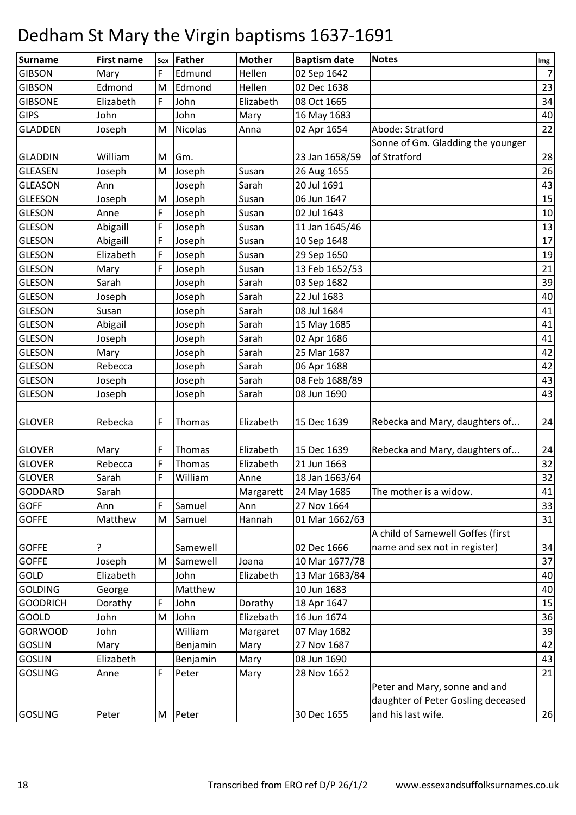| <b>Surname</b>  | <b>First name</b> | Sex | Father         | <b>Mother</b> | <b>Baptism date</b> | <b>Notes</b>                       | Img            |
|-----------------|-------------------|-----|----------------|---------------|---------------------|------------------------------------|----------------|
| <b>GIBSON</b>   | Mary              | F   | Edmund         | Hellen        | 02 Sep 1642         |                                    | 7 <sup>1</sup> |
| <b>GIBSON</b>   | Edmond            | M   | Edmond         | Hellen        | 02 Dec 1638         |                                    | 23             |
| <b>GIBSONE</b>  | Elizabeth         | F   | John           | Elizabeth     | 08 Oct 1665         |                                    | 34             |
| <b>GIPS</b>     | John              |     | John           | Mary          | 16 May 1683         |                                    | 40             |
| <b>GLADDEN</b>  | Joseph            | M   | <b>Nicolas</b> | Anna          | 02 Apr 1654         | Abode: Stratford                   | 22             |
|                 |                   |     |                |               |                     | Sonne of Gm. Gladding the younger  |                |
| <b>GLADDIN</b>  | William           | M   | Gm.            |               | 23 Jan 1658/59      | of Stratford                       | 28             |
| <b>GLEASEN</b>  | Joseph            | M   | Joseph         | Susan         | 26 Aug 1655         |                                    | 26             |
| <b>GLEASON</b>  | Ann               |     | Joseph         | Sarah         | 20 Jul 1691         |                                    | 43             |
| <b>GLEESON</b>  | Joseph            | M   | Joseph         | Susan         | 06 Jun 1647         |                                    | 15             |
| <b>GLESON</b>   | Anne              | F   | Joseph         | Susan         | 02 Jul 1643         |                                    | 10             |
| <b>GLESON</b>   | Abigaill          | F   | Joseph         | Susan         | 11 Jan 1645/46      |                                    | 13             |
| <b>GLESON</b>   | Abigaill          | F   | Joseph         | Susan         | 10 Sep 1648         |                                    | 17             |
| <b>GLESON</b>   | Elizabeth         | F   | Joseph         | Susan         | 29 Sep 1650         |                                    | 19             |
| <b>GLESON</b>   | Mary              | F   | Joseph         | Susan         | 13 Feb 1652/53      |                                    | 21             |
| <b>GLESON</b>   | Sarah             |     | Joseph         | Sarah         | 03 Sep 1682         |                                    | 39             |
| <b>GLESON</b>   | Joseph            |     | Joseph         | Sarah         | 22 Jul 1683         |                                    | 40             |
| <b>GLESON</b>   | Susan             |     | Joseph         | Sarah         | 08 Jul 1684         |                                    | 41             |
| <b>GLESON</b>   | Abigail           |     | Joseph         | Sarah         | 15 May 1685         |                                    | 41             |
| <b>GLESON</b>   | Joseph            |     | Joseph         | Sarah         | 02 Apr 1686         |                                    | 41             |
| <b>GLESON</b>   | Mary              |     | Joseph         | Sarah         | 25 Mar 1687         |                                    | 42             |
| <b>GLESON</b>   | Rebecca           |     | Joseph         | Sarah         | 06 Apr 1688         |                                    | 42             |
| <b>GLESON</b>   | Joseph            |     | Joseph         | Sarah         | 08 Feb 1688/89      |                                    | 43             |
| <b>GLESON</b>   | Joseph            |     | Joseph         | Sarah         | 08 Jun 1690         |                                    | 43             |
|                 |                   |     |                |               |                     |                                    |                |
| <b>GLOVER</b>   | Rebecka           | F   | Thomas         | Elizabeth     | 15 Dec 1639         | Rebecka and Mary, daughters of     | 24             |
|                 |                   |     |                |               |                     |                                    |                |
| <b>GLOVER</b>   | Mary              | F   | Thomas         | Elizabeth     | 15 Dec 1639         | Rebecka and Mary, daughters of     | 24             |
| <b>GLOVER</b>   | Rebecca           | F   | <b>Thomas</b>  | Elizabeth     | 21 Jun 1663         |                                    | 32             |
| <b>GLOVER</b>   | Sarah             | F   | William        | Anne          | 18 Jan 1663/64      |                                    | 32             |
| GODDARD         | Sarah             |     |                | Margarett     | 24 May 1685         | The mother is a widow.             | 41             |
| <b>GOFF</b>     | Ann               | F   | Samuel         | Ann           | 27 Nov 1664         |                                    | 33             |
| <b>GOFFE</b>    | Matthew           | M   | Samuel         | Hannah        | 01 Mar 1662/63      |                                    | 31             |
|                 |                   |     |                |               |                     | A child of Samewell Goffes (first  |                |
| <b>GOFFE</b>    | ?                 |     | Samewell       |               | 02 Dec 1666         | name and sex not in register)      | 34             |
| <b>GOFFE</b>    | Joseph            | M   | Samewell       | Joana         | 10 Mar 1677/78      |                                    | 37             |
| GOLD            | Elizabeth         |     | John           | Elizabeth     | 13 Mar 1683/84      |                                    | 40             |
| <b>GOLDING</b>  | George            |     | Matthew        |               | 10 Jun 1683         |                                    | 40             |
| <b>GOODRICH</b> | Dorathy           | F   | John           | Dorathy       | 18 Apr 1647         |                                    | 15             |
| <b>GOOLD</b>    | John              | M   | John           | Elizebath     | 16 Jun 1674         |                                    | 36             |
| <b>GORWOOD</b>  | John              |     | William        | Margaret      | 07 May 1682         |                                    | 39             |
| <b>GOSLIN</b>   | Mary              |     | Benjamin       | Mary          | 27 Nov 1687         |                                    | 42             |
| <b>GOSLIN</b>   | Elizabeth         |     | Benjamin       | Mary          | 08 Jun 1690         |                                    | 43             |
| <b>GOSLING</b>  | Anne              | F   | Peter          | Mary          | 28 Nov 1652         |                                    | 21             |
|                 |                   |     |                |               |                     | Peter and Mary, sonne and and      |                |
|                 |                   |     |                |               |                     | daughter of Peter Gosling deceased |                |
| <b>GOSLING</b>  | Peter             | M   | Peter          |               | 30 Dec 1655         | and his last wife.                 | 26             |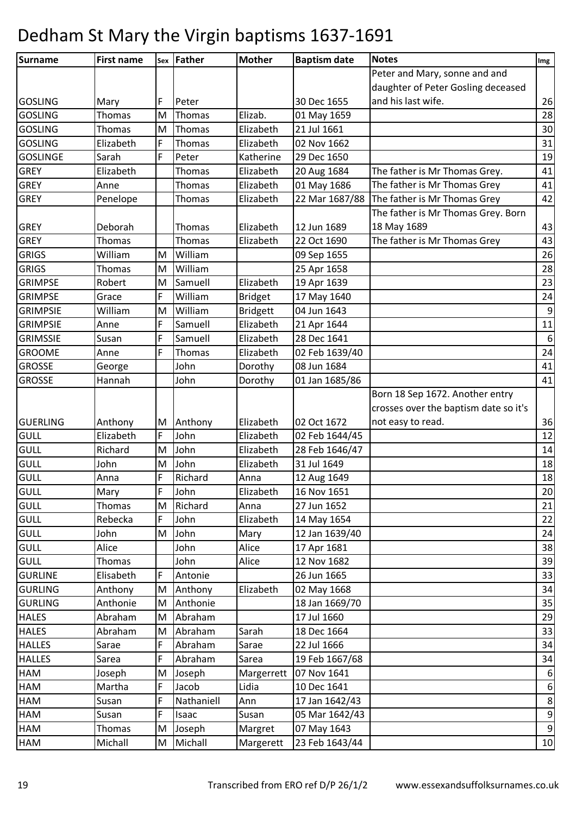| Surname         | <b>First name</b> | Sex | Father        | <b>Mother</b>   | <b>Baptism date</b> | <b>Notes</b>                          | Img            |
|-----------------|-------------------|-----|---------------|-----------------|---------------------|---------------------------------------|----------------|
|                 |                   |     |               |                 |                     | Peter and Mary, sonne and and         |                |
|                 |                   |     |               |                 |                     | daughter of Peter Gosling deceased    |                |
| <b>GOSLING</b>  | Mary              | F   | Peter         |                 | 30 Dec 1655         | and his last wife.                    | 26             |
| <b>GOSLING</b>  | Thomas            | M   | Thomas        | Elizab.         | 01 May 1659         |                                       | 28             |
| <b>GOSLING</b>  | Thomas            | M   | <b>Thomas</b> | Elizabeth       | 21 Jul 1661         |                                       | 30             |
| <b>GOSLING</b>  | Elizabeth         | F   | Thomas        | Elizabeth       | 02 Nov 1662         |                                       | 31             |
| <b>GOSLINGE</b> | Sarah             | F   | Peter         | Katherine       | 29 Dec 1650         |                                       | 19             |
| <b>GREY</b>     | Elizabeth         |     | <b>Thomas</b> | Elizabeth       | 20 Aug 1684         | The father is Mr Thomas Grey.         | 41             |
| <b>GREY</b>     | Anne              |     | Thomas        | Elizabeth       | 01 May 1686         | The father is Mr Thomas Grey          | 41             |
| <b>GREY</b>     | Penelope          |     | <b>Thomas</b> | Elizabeth       | 22 Mar 1687/88      | The father is Mr Thomas Grey          | 42             |
|                 |                   |     |               |                 |                     | The father is Mr Thomas Grey. Born    |                |
| <b>GREY</b>     | Deborah           |     | Thomas        | Elizabeth       | 12 Jun 1689         | 18 May 1689                           | 43             |
| <b>GREY</b>     | Thomas            |     | <b>Thomas</b> | Elizabeth       | 22 Oct 1690         | The father is Mr Thomas Grey          | 43             |
| <b>GRIGS</b>    | William           | M   | William       |                 | 09 Sep 1655         |                                       | 26             |
| <b>GRIGS</b>    | <b>Thomas</b>     | M   | William       |                 | 25 Apr 1658         |                                       | 28             |
| <b>GRIMPSE</b>  | Robert            | M   | Samuell       | Elizabeth       | 19 Apr 1639         |                                       | 23             |
| <b>GRIMPSE</b>  | Grace             | F   | William       | <b>Bridget</b>  | 17 May 1640         |                                       | 24             |
| <b>GRIMPSIE</b> | William           | M   | William       | <b>Bridgett</b> | 04 Jun 1643         |                                       | $9\,$          |
| <b>GRIMPSIE</b> | Anne              | F   | Samuell       | Elizabeth       | 21 Apr 1644         |                                       | 11             |
| <b>GRIMSSIE</b> | Susan             | F   | Samuell       | Elizabeth       | 28 Dec 1641         |                                       | $6\,$          |
| <b>GROOME</b>   | Anne              | F   | Thomas        | Elizabeth       | 02 Feb 1639/40      |                                       | 24             |
| <b>GROSSE</b>   | George            |     | John          | Dorothy         | 08 Jun 1684         |                                       | 41             |
| <b>GROSSE</b>   | Hannah            |     | John          | Dorothy         | 01 Jan 1685/86      |                                       | 41             |
|                 |                   |     |               |                 |                     | Born 18 Sep 1672. Another entry       |                |
|                 |                   |     |               |                 |                     | crosses over the baptism date so it's |                |
| <b>GUERLING</b> | Anthony           | M   | Anthony       | Elizabeth       | 02 Oct 1672         | not easy to read.                     | 36             |
| <b>GULL</b>     | Elizabeth         | F   | John          | Elizabeth       | 02 Feb 1644/45      |                                       | 12             |
| <b>GULL</b>     | Richard           | M   | John          | Elizabeth       | 28 Feb 1646/47      |                                       | 14             |
| GULL            | John              | M   | John          | Elizabeth       | 31 Jul 1649         |                                       | 18             |
| <b>GULL</b>     | Anna              | F   | Richard       | Anna            | 12 Aug 1649         |                                       | 18             |
| <b>GULL</b>     | Mary              | F   | John          | Elizabeth       | 16 Nov 1651         |                                       | 20             |
| <b>GULL</b>     | Thomas            | M   | Richard       | Anna            | 27 Jun 1652         |                                       | 21             |
| <b>GULL</b>     | Rebecka           | F   | John          | Elizabeth       | 14 May 1654         |                                       | 22             |
| <b>GULL</b>     | John              | M   | John          | Mary            | 12 Jan 1639/40      |                                       | 24             |
| <b>GULL</b>     | Alice             |     | John          | Alice           | 17 Apr 1681         |                                       | 38             |
| <b>GULL</b>     | Thomas            |     | John          | Alice           | 12 Nov 1682         |                                       | 39             |
| <b>GURLINE</b>  | Elisabeth         | F   | Antonie       |                 | 26 Jun 1665         |                                       | 33             |
| <b>GURLING</b>  | Anthony           | M   | Anthony       | Elizabeth       | 02 May 1668         |                                       | 34             |
| <b>GURLING</b>  | Anthonie          | M   | Anthonie      |                 | 18 Jan 1669/70      |                                       | 35             |
| <b>HALES</b>    | Abraham           | M   | Abraham       |                 | 17 Jul 1660         |                                       | 29             |
| <b>HALES</b>    | Abraham           | M   | Abraham       | Sarah           | 18 Dec 1664         |                                       | 33             |
| <b>HALLES</b>   | Sarae             | F   | Abraham       | Sarae           | 22 Jul 1666         |                                       | 34             |
| <b>HALLES</b>   | Sarea             | F   | Abraham       | Sarea           | 19 Feb 1667/68      |                                       | 34             |
| HAM             | Joseph            | M   | Joseph        | Margerrett      | 07 Nov 1641         |                                       | 6              |
| HAM             | Martha            | F   | Jacob         | Lidia           | 10 Dec 1641         |                                       | 6 <sup>1</sup> |
| HAM             | Susan             | F   | Nathaniell    | Ann             | 17 Jan 1642/43      |                                       | 8 <sup>1</sup> |
| HAM             | Susan             | F   | Isaac         | Susan           | 05 Mar 1642/43      |                                       | 9              |
| HAM             | Thomas            | M   | Joseph        | Margret         | 07 May 1643         |                                       | 9              |
| HAM             | Michall           | M   | Michall       | Margerett       | 23 Feb 1643/44      |                                       | 10             |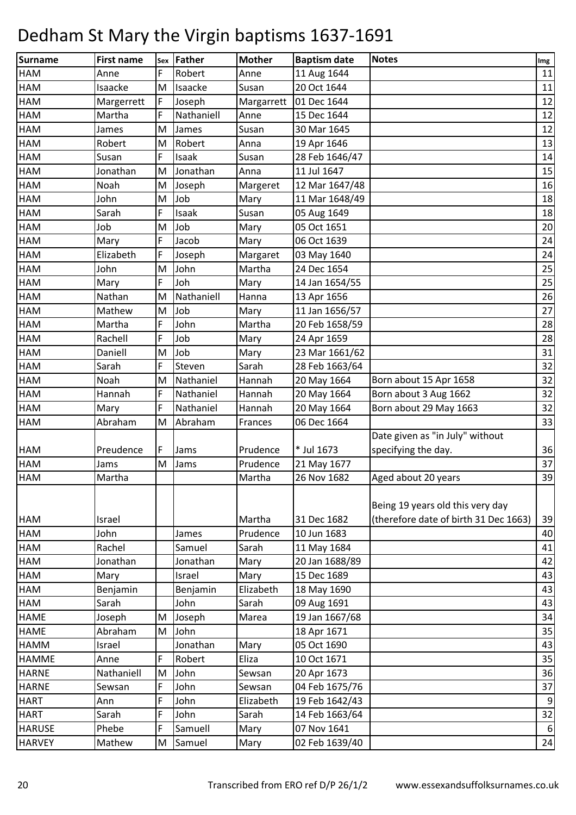| Surname       | <b>First name</b> | Sex | Father     | <b>Mother</b> | <b>Baptism date</b> | <b>Notes</b>                                                              | Img              |
|---------------|-------------------|-----|------------|---------------|---------------------|---------------------------------------------------------------------------|------------------|
| HAM           | Anne              | F   | Robert     | Anne          | 11 Aug 1644         |                                                                           | 11               |
| <b>HAM</b>    | Isaacke           | M   | Isaacke    | Susan         | 20 Oct 1644         |                                                                           | 11               |
| <b>HAM</b>    | Margerrett        | F   | Joseph     | Margarrett    | 01 Dec 1644         |                                                                           | 12               |
| HAM           | Martha            | F   | Nathaniell | Anne          | 15 Dec 1644         |                                                                           | 12               |
| HAM           | James             | M   | James      | Susan         | 30 Mar 1645         |                                                                           | 12               |
| HAM           | Robert            | M   | Robert     | Anna          | 19 Apr 1646         |                                                                           | 13               |
| <b>HAM</b>    | Susan             | F   | Isaak      | Susan         | 28 Feb 1646/47      |                                                                           | 14               |
| HAM           | Jonathan          | M   | Jonathan   | Anna          | 11 Jul 1647         |                                                                           | 15               |
| <b>HAM</b>    | Noah              | M   | Joseph     | Margeret      | 12 Mar 1647/48      |                                                                           | 16               |
| HAM           | John              | M   | Job        | Mary          | 11 Mar 1648/49      |                                                                           | 18               |
| HAM           | Sarah             | F   | Isaak      | Susan         | 05 Aug 1649         |                                                                           | 18               |
| <b>HAM</b>    | Job               | M   | Job        | Mary          | 05 Oct 1651         |                                                                           | 20               |
| <b>HAM</b>    | Mary              | F   | Jacob      | Mary          | 06 Oct 1639         |                                                                           | 24               |
| HAM           | Elizabeth         | F   | Joseph     | Margaret      | 03 May 1640         |                                                                           | 24               |
| HAM           | John              | M   | John       | Martha        | 24 Dec 1654         |                                                                           | 25               |
| HAM           | Mary              | F   | Joh        | Mary          | 14 Jan 1654/55      |                                                                           | 25               |
| <b>HAM</b>    | Nathan            | M   | Nathaniell | Hanna         | 13 Apr 1656         |                                                                           | 26               |
| HAM           | Mathew            | M   | Job        | Mary          | 11 Jan 1656/57      |                                                                           | 27               |
| <b>HAM</b>    | Martha            | F   | John       | Martha        | 20 Feb 1658/59      |                                                                           | 28               |
| HAM           | Rachell           | F   | Job        | Mary          | 24 Apr 1659         |                                                                           | 28               |
| HAM           | Daniell           | M   | Job        | Mary          | 23 Mar 1661/62      |                                                                           | 31               |
| <b>HAM</b>    | Sarah             | F   | Steven     | Sarah         | 28 Feb 1663/64      |                                                                           | 32               |
| HAM           | Noah              | M   | Nathaniel  | Hannah        | 20 May 1664         | Born about 15 Apr 1658                                                    | 32               |
| HAM           | Hannah            | F   | Nathaniel  | Hannah        | 20 May 1664         | Born about 3 Aug 1662                                                     | 32               |
| <b>HAM</b>    | Mary              | F   | Nathaniel  | Hannah        | 20 May 1664         | Born about 29 May 1663                                                    | 32               |
| <b>HAM</b>    | Abraham           | M   | Abraham    | Frances       | 06 Dec 1664         |                                                                           | 33               |
|               |                   |     |            |               |                     | Date given as "in July" without                                           |                  |
| <b>HAM</b>    | Preudence         | F   | Jams       | Prudence      | * Jul 1673          | specifying the day.                                                       | 36               |
| <b>HAM</b>    | Jams              | M   | Jams       | Prudence      | 21 May 1677         |                                                                           | 37               |
| <b>HAM</b>    | Martha            |     |            | Martha        | 26 Nov 1682         | Aged about 20 years                                                       | 39               |
| <b>HAM</b>    | Israel            |     |            | Martha        | 31 Dec 1682         | Being 19 years old this very day<br>(therefore date of birth 31 Dec 1663) | 39               |
| <b>HAM</b>    | John              |     | James      | Prudence      | 10 Jun 1683         |                                                                           | 40               |
| <b>HAM</b>    | Rachel            |     | Samuel     | Sarah         | 11 May 1684         |                                                                           | 41               |
| HAM           | Jonathan          |     | Jonathan   | Mary          | 20 Jan 1688/89      |                                                                           | 42               |
| HAM           | Mary              |     | Israel     | Mary          | 15 Dec 1689         |                                                                           | 43               |
| <b>HAM</b>    | Benjamin          |     | Benjamin   | Elizabeth     | 18 May 1690         |                                                                           | 43               |
| <b>HAM</b>    | Sarah             |     | John       | Sarah         | 09 Aug 1691         |                                                                           | 43               |
| <b>HAME</b>   | Joseph            | M   | Joseph     | Marea         | 19 Jan 1667/68      |                                                                           | 34               |
| <b>HAME</b>   | Abraham           | M   | John       |               | 18 Apr 1671         |                                                                           | 35               |
| <b>HAMM</b>   | Israel            |     | Jonathan   | Mary          | 05 Oct 1690         |                                                                           | 43               |
| <b>HAMME</b>  | Anne              | F   | Robert     | Eliza         | 10 Oct 1671         |                                                                           | 35               |
| <b>HARNE</b>  | Nathaniell        | M   | John       | Sewsan        | 20 Apr 1673         |                                                                           | 36               |
| <b>HARNE</b>  | Sewsan            | F   | John       | Sewsan        | 04 Feb 1675/76      |                                                                           | 37               |
| <b>HART</b>   | Ann               | F   | John       | Elizabeth     | 19 Feb 1642/43      |                                                                           | 9                |
| <b>HART</b>   | Sarah             | F   | John       | Sarah         | 14 Feb 1663/64      |                                                                           | 32               |
| <b>HARUSE</b> | Phebe             | F   | Samuell    | Mary          | 07 Nov 1641         |                                                                           | $6 \overline{6}$ |
| <b>HARVEY</b> | Mathew            | M   | Samuel     | Mary          | 02 Feb 1639/40      |                                                                           | 24               |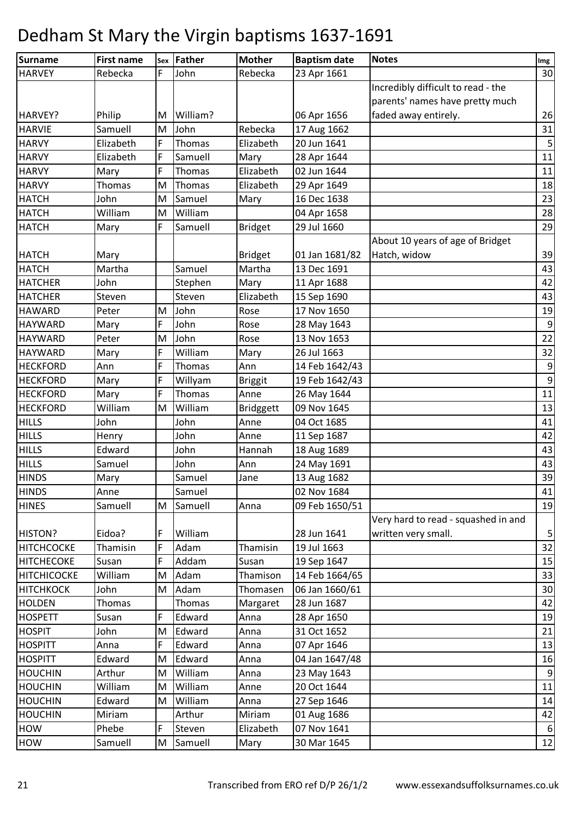| <b>Surname</b>     | <b>First name</b> | Sex | Father   | <b>Mother</b>  | <b>Baptism date</b> | <b>Notes</b>                        | Img              |
|--------------------|-------------------|-----|----------|----------------|---------------------|-------------------------------------|------------------|
| <b>HARVEY</b>      | Rebecka           | F   | John     | Rebecka        | 23 Apr 1661         |                                     | 30               |
|                    |                   |     |          |                |                     | Incredibly difficult to read - the  |                  |
|                    |                   |     |          |                |                     | parents' names have pretty much     |                  |
| HARVEY?            | Philip            | M   | William? |                | 06 Apr 1656         | faded away entirely.                | 26               |
| <b>HARVIE</b>      | Samuell           | M   | John     | Rebecka        | 17 Aug 1662         |                                     | 31               |
| <b>HARVY</b>       | Elizabeth         | F   | Thomas   | Elizabeth      | 20 Jun 1641         |                                     | 5                |
| <b>HARVY</b>       | Elizabeth         | F   | Samuell  | Mary           | 28 Apr 1644         |                                     | 11               |
| <b>HARVY</b>       | Mary              | F   | Thomas   | Elizabeth      | 02 Jun 1644         |                                     | 11               |
| <b>HARVY</b>       | Thomas            | M   | Thomas   | Elizabeth      | 29 Apr 1649         |                                     | 18               |
| <b>HATCH</b>       | John              | M   | Samuel   | Mary           | 16 Dec 1638         |                                     | 23               |
| <b>HATCH</b>       | William           | M   | William  |                | 04 Apr 1658         |                                     | 28               |
| <b>HATCH</b>       | Mary              | F   | Samuell  | <b>Bridget</b> | 29 Jul 1660         |                                     | 29               |
|                    |                   |     |          |                |                     | About 10 years of age of Bridget    |                  |
| <b>HATCH</b>       | Mary              |     |          | <b>Bridget</b> | 01 Jan 1681/82      | Hatch, widow                        | 39               |
| <b>HATCH</b>       | Martha            |     | Samuel   | Martha         | 13 Dec 1691         |                                     | 43               |
| <b>HATCHER</b>     | John              |     | Stephen  | Mary           | 11 Apr 1688         |                                     | 42               |
| <b>HATCHER</b>     | Steven            |     | Steven   | Elizabeth      | 15 Sep 1690         |                                     | 43               |
| <b>HAWARD</b>      | Peter             | M   | John     | Rose           | 17 Nov 1650         |                                     | 19               |
| <b>HAYWARD</b>     | Mary              | F   | John     | Rose           | 28 May 1643         |                                     | $\boldsymbol{9}$ |
| <b>HAYWARD</b>     | Peter             | M   | John     | Rose           | 13 Nov 1653         |                                     | 22               |
| <b>HAYWARD</b>     | Mary              | F   | William  | Mary           | 26 Jul 1663         |                                     | 32               |
| <b>HECKFORD</b>    | Ann               | F   | Thomas   | Ann            | 14 Feb 1642/43      |                                     | 9                |
| <b>HECKFORD</b>    | Mary              | F   | Willyam  | <b>Briggit</b> | 19 Feb 1642/43      |                                     | $\boldsymbol{9}$ |
| <b>HECKFORD</b>    | Mary              | F   | Thomas   | Anne           | 26 May 1644         |                                     | 11               |
| <b>HECKFORD</b>    | William           | M   | William  | Bridggett      | 09 Nov 1645         |                                     | 13               |
| <b>HILLS</b>       | John              |     | John     | Anne           | 04 Oct 1685         |                                     | 41               |
| <b>HILLS</b>       | Henry             |     | John     | Anne           | 11 Sep 1687         |                                     | 42               |
| <b>HILLS</b>       | Edward            |     | John     | Hannah         | 18 Aug 1689         |                                     | 43               |
| <b>HILLS</b>       | Samuel            |     | John     | Ann            | 24 May 1691         |                                     | 43               |
| <b>HINDS</b>       | Mary              |     | Samuel   | Jane           | 13 Aug 1682         |                                     | 39               |
| <b>HINDS</b>       | Anne              |     | Samuel   |                | 02 Nov 1684         |                                     | 41               |
| <b>HINES</b>       | Samuell           | M   | Samuell  | Anna           | 09 Feb 1650/51      |                                     | 19               |
|                    |                   |     |          |                |                     | Very hard to read - squashed in and |                  |
| <b>HISTON?</b>     | Eidoa?            | F   | William  |                | 28 Jun 1641         | written very small.                 | 5                |
| <b>HITCHCOCKE</b>  | Thamisin          | F   | Adam     | Thamisin       | 19 Jul 1663         |                                     | 32               |
| <b>HITCHECOKE</b>  | Susan             | F   | Addam    | Susan          | 19 Sep 1647         |                                     | 15               |
| <b>HITCHICOCKE</b> | William           | M   | Adam     | Thamison       | 14 Feb 1664/65      |                                     | 33               |
| <b>HITCHKOCK</b>   | John              | M   | Adam     | Thomasen       | 06 Jan 1660/61      |                                     | 30               |
| <b>HOLDEN</b>      | Thomas            |     | Thomas   | Margaret       | 28 Jun 1687         |                                     | 42               |
| <b>HOSPETT</b>     | Susan             | F   | Edward   | Anna           | 28 Apr 1650         |                                     | 19               |
| <b>HOSPIT</b>      | John              | M   | Edward   | Anna           | 31 Oct 1652         |                                     | 21               |
| <b>HOSPITT</b>     | Anna              | F   | Edward   | Anna           | 07 Apr 1646         |                                     | 13               |
| <b>HOSPITT</b>     | Edward            | M   | Edward   | Anna           | 04 Jan 1647/48      |                                     | 16               |
| <b>HOUCHIN</b>     | Arthur            | M   | William  | Anna           | 23 May 1643         |                                     | 9                |
| <b>HOUCHIN</b>     | William           | M   | William  | Anne           | 20 Oct 1644         |                                     | 11               |
| <b>HOUCHIN</b>     | Edward            | M   | William  | Anna           | 27 Sep 1646         |                                     | 14               |
| <b>HOUCHIN</b>     | Miriam            |     | Arthur   | Miriam         | 01 Aug 1686         |                                     | 42               |
| <b>HOW</b>         | Phebe             | F   | Steven   | Elizabeth      | 07 Nov 1641         |                                     | 6                |
| <b>HOW</b>         | Samuell           | M   | Samuell  | Mary           | 30 Mar 1645         |                                     | 12               |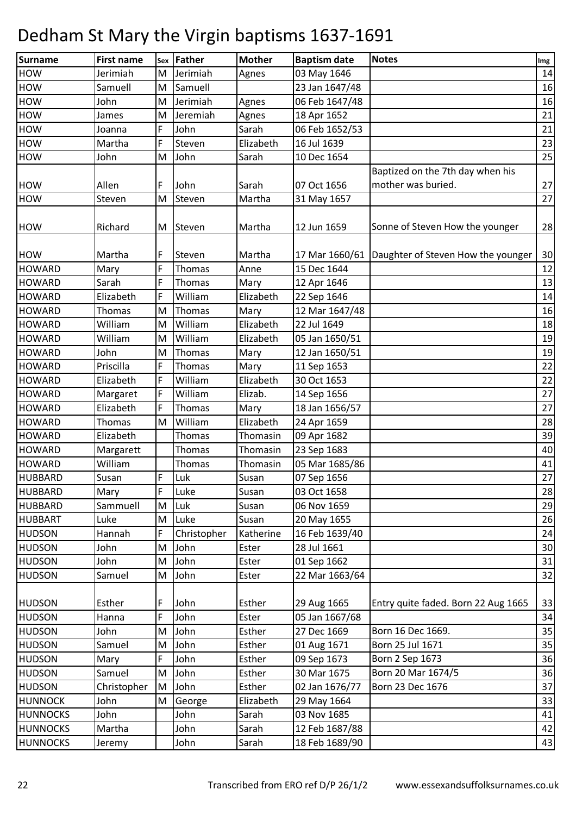| Surname         | <b>First name</b> | Sex | Father        | <b>Mother</b> | <b>Baptism date</b> | <b>Notes</b>                                      | Img |
|-----------------|-------------------|-----|---------------|---------------|---------------------|---------------------------------------------------|-----|
| <b>HOW</b>      | Jerimiah          | M   | Jerimiah      | Agnes         | 03 May 1646         |                                                   | 14  |
| <b>HOW</b>      | Samuell           | M   | Samuell       |               | 23 Jan 1647/48      |                                                   | 16  |
| <b>HOW</b>      | John              | M   | Jerimiah      | Agnes         | 06 Feb 1647/48      |                                                   | 16  |
| <b>HOW</b>      | James             | M   | Jeremiah      | Agnes         | 18 Apr 1652         |                                                   | 21  |
| <b>HOW</b>      | Joanna            | F   | John          | Sarah         | 06 Feb 1652/53      |                                                   | 21  |
| <b>HOW</b>      | Martha            | F   | Steven        | Elizabeth     | 16 Jul 1639         |                                                   | 23  |
| <b>HOW</b>      | John              | M   | John          | Sarah         | 10 Dec 1654         |                                                   | 25  |
|                 |                   |     |               |               |                     | Baptized on the 7th day when his                  |     |
| <b>HOW</b>      | Allen             | F   | John          | Sarah         | 07 Oct 1656         | mother was buried.                                | 27  |
| <b>HOW</b>      | Steven            | M   | Steven        | Martha        | 31 May 1657         |                                                   | 27  |
|                 |                   |     |               |               |                     |                                                   |     |
| <b>HOW</b>      | Richard           | M   | Steven        | Martha        | 12 Jun 1659         | Sonne of Steven How the younger                   | 28  |
|                 |                   |     |               |               |                     |                                                   |     |
| <b>HOW</b>      | Martha            | F   | Steven        | Martha        |                     | 17 Mar 1660/61 Daughter of Steven How the younger | 30  |
| <b>HOWARD</b>   | Mary              | F   | Thomas        | Anne          | 15 Dec 1644         |                                                   | 12  |
| <b>HOWARD</b>   | Sarah             | F   | Thomas        | Mary          | 12 Apr 1646         |                                                   | 13  |
| <b>HOWARD</b>   | Elizabeth         | F   | William       | Elizabeth     | 22 Sep 1646         |                                                   | 14  |
| <b>HOWARD</b>   | Thomas            | M   | Thomas        | Mary          | 12 Mar 1647/48      |                                                   | 16  |
| <b>HOWARD</b>   | William           | M   | William       | Elizabeth     | 22 Jul 1649         |                                                   | 18  |
| <b>HOWARD</b>   | William           | M   | William       | Elizabeth     | 05 Jan 1650/51      |                                                   | 19  |
| <b>HOWARD</b>   | John              | M   | Thomas        | Mary          | 12 Jan 1650/51      |                                                   | 19  |
| <b>HOWARD</b>   | Priscilla         | F   | <b>Thomas</b> | Mary          | 11 Sep 1653         |                                                   | 22  |
| <b>HOWARD</b>   | Elizabeth         | F   | William       | Elizabeth     | 30 Oct 1653         |                                                   | 22  |
| <b>HOWARD</b>   | Margaret          | F   | William       | Elizab.       | 14 Sep 1656         |                                                   | 27  |
| <b>HOWARD</b>   | Elizabeth         | F   | <b>Thomas</b> | Mary          | 18 Jan 1656/57      |                                                   | 27  |
| <b>HOWARD</b>   | Thomas            | M   | William       | Elizabeth     | 24 Apr 1659         |                                                   | 28  |
| <b>HOWARD</b>   | Elizabeth         |     | <b>Thomas</b> | Thomasin      | 09 Apr 1682         |                                                   | 39  |
| <b>HOWARD</b>   | Margarett         |     | Thomas        | Thomasin      | 23 Sep 1683         |                                                   | 40  |
| <b>HOWARD</b>   | William           |     | Thomas        | Thomasin      | 05 Mar 1685/86      |                                                   | 41  |
| <b>HUBBARD</b>  | Susan             | F   | Luk           | Susan         | 07 Sep 1656         |                                                   | 27  |
| <b>HUBBARD</b>  | Mary              | F   | Luke          | Susan         | 03 Oct 1658         |                                                   | 28  |
| <b>HUBBARD</b>  | Sammuell          | M   | Luk           | Susan         | 06 Nov 1659         |                                                   | 29  |
| <b>HUBBART</b>  | Luke              | M   | Luke          | Susan         | 20 May 1655         |                                                   | 26  |
| <b>HUDSON</b>   | Hannah            | F   | Christopher   | Katherine     | 16 Feb 1639/40      |                                                   | 24  |
| <b>HUDSON</b>   | John              | M   | John          | Ester         | 28 Jul 1661         |                                                   | 30  |
| <b>HUDSON</b>   | John              | M   | John          | Ester         | 01 Sep 1662         |                                                   | 31  |
| <b>HUDSON</b>   | Samuel            | M   | John          | Ester         | 22 Mar 1663/64      |                                                   | 32  |
| <b>HUDSON</b>   | Esther            | F   | John          | Esther        | 29 Aug 1665         | Entry quite faded. Born 22 Aug 1665               | 33  |
| <b>HUDSON</b>   | Hanna             | F   | John          | Ester         | 05 Jan 1667/68      |                                                   | 34  |
| <b>HUDSON</b>   | John              | M   | John          | Esther        | 27 Dec 1669         | Born 16 Dec 1669.                                 | 35  |
| <b>HUDSON</b>   | Samuel            | M   | John          | Esther        | 01 Aug 1671         | Born 25 Jul 1671                                  | 35  |
| <b>HUDSON</b>   | Mary              | F   | John          | Esther        | 09 Sep 1673         | Born 2 Sep 1673                                   | 36  |
| <b>HUDSON</b>   | Samuel            | M   | John          | Esther        | 30 Mar 1675         | Born 20 Mar 1674/5                                | 36  |
| <b>HUDSON</b>   | Christopher       | M   | John          | Esther        | 02 Jan 1676/77      | Born 23 Dec 1676                                  | 37  |
| <b>HUNNOCK</b>  | John              | M   | George        | Elizabeth     | 29 May 1664         |                                                   | 33  |
| <b>HUNNOCKS</b> | John              |     | John          | Sarah         | 03 Nov 1685         |                                                   | 41  |
| <b>HUNNOCKS</b> | Martha            |     | John          | Sarah         | 12 Feb 1687/88      |                                                   | 42  |
| <b>HUNNOCKS</b> | Jeremy            |     | John          | Sarah         | 18 Feb 1689/90      |                                                   | 43  |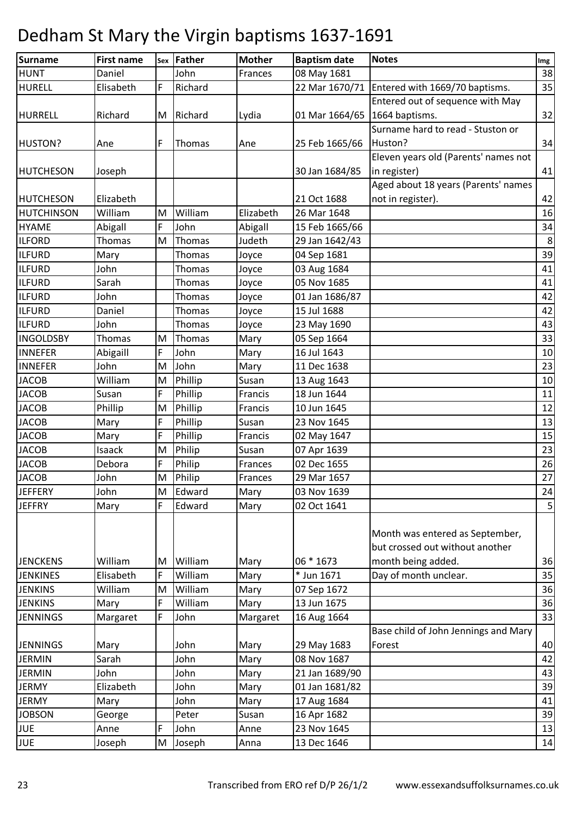| Surname           | <b>First name</b> | Sex | Father        | <b>Mother</b> | <b>Baptism date</b> | <b>Notes</b>                         | Img        |
|-------------------|-------------------|-----|---------------|---------------|---------------------|--------------------------------------|------------|
| <b>HUNT</b>       | Daniel            |     | John          | Frances       | 08 May 1681         |                                      | 38         |
| <b>HURELL</b>     | Elisabeth         | F   | Richard       |               | 22 Mar 1670/71      | Entered with 1669/70 baptisms.       | 35         |
|                   |                   |     |               |               |                     | Entered out of sequence with May     |            |
| <b>HURRELL</b>    | Richard           | M   | Richard       | Lydia         | 01 Mar 1664/65      | 1664 baptisms.                       | 32         |
|                   |                   |     |               |               |                     | Surname hard to read - Stuston or    |            |
| HUSTON?           | Ane               | F   | Thomas        | Ane           | 25 Feb 1665/66      | Huston?                              | 34         |
|                   |                   |     |               |               |                     | Eleven years old (Parents' names not |            |
| <b>HUTCHESON</b>  | Joseph            |     |               |               | 30 Jan 1684/85      | in register)                         | 41         |
|                   |                   |     |               |               |                     | Aged about 18 years (Parents' names  |            |
| <b>HUTCHESON</b>  | Elizabeth         |     |               |               | 21 Oct 1688         | not in register).                    | 42         |
| <b>HUTCHINSON</b> | William           | M   | William       | Elizabeth     | 26 Mar 1648         |                                      | 16         |
| <b>HYAME</b>      | Abigall           | F   | John          | Abigall       | 15 Feb 1665/66      |                                      | 34         |
| <b>ILFORD</b>     | Thomas            | M   | Thomas        | Judeth        | 29 Jan 1642/43      |                                      | $\,8\,$    |
| <b>ILFURD</b>     | Mary              |     | Thomas        | Joyce         | 04 Sep 1681         |                                      | 39         |
| <b>ILFURD</b>     | John              |     | <b>Thomas</b> | Joyce         | 03 Aug 1684         |                                      | 41         |
| <b>ILFURD</b>     | Sarah             |     | Thomas        | Joyce         | 05 Nov 1685         |                                      | 41         |
| <b>ILFURD</b>     | John              |     | Thomas        | Joyce         | 01 Jan 1686/87      |                                      | 42         |
| <b>ILFURD</b>     | Daniel            |     | Thomas        | Joyce         | 15 Jul 1688         |                                      | 42         |
| <b>ILFURD</b>     | John              |     | Thomas        | Joyce         | 23 May 1690         |                                      | 43         |
| <b>INGOLDSBY</b>  | Thomas            | M   | Thomas        | Mary          | 05 Sep 1664         |                                      | 33         |
| <b>INNEFER</b>    | Abigaill          | F   | John          | Mary          | 16 Jul 1643         |                                      | 10         |
| <b>INNEFER</b>    | John              | M   | John          | Mary          | 11 Dec 1638         |                                      | 23         |
| <b>JACOB</b>      | William           | M   | Phillip       | Susan         | 13 Aug 1643         |                                      | $10\,$     |
| <b>JACOB</b>      | Susan             | F   | Phillip       | Francis       | 18 Jun 1644         |                                      | 11         |
| <b>JACOB</b>      | Phillip           | M   | Phillip       | Francis       | 10 Jun 1645         |                                      | 12         |
| <b>JACOB</b>      | Mary              | F   | Phillip       | Susan         | 23 Nov 1645         |                                      | 13         |
| <b>JACOB</b>      | Mary              | F   | Phillip       | Francis       | 02 May 1647         |                                      | 15         |
| <b>JACOB</b>      | Isaack            | M   | Philip        | Susan         | 07 Apr 1639         |                                      | 23         |
| <b>JACOB</b>      | Debora            | F   | Philip        | Frances       | 02 Dec 1655         |                                      | 26         |
| <b>JACOB</b>      | John              | M   | Philip        | Frances       | 29 Mar 1657         |                                      | 27         |
| <b>JEFFERY</b>    | John              | M   | Edward        | Mary          | 03 Nov 1639         |                                      | 24         |
| <b>JEFFRY</b>     | Mary              | F   | Edward        | Mary          | 02 Oct 1641         |                                      | $\sqrt{5}$ |
|                   |                   |     |               |               |                     |                                      |            |
|                   |                   |     |               |               |                     | Month was entered as September,      |            |
|                   |                   |     |               |               |                     | but crossed out without another      |            |
| <b>JENCKENS</b>   | William           | M   | William       | Mary          | 06 * 1673           | month being added.                   | 36         |
| <b>JENKINES</b>   | Elisabeth         | F   | William       | Mary          | * Jun 1671          | Day of month unclear.                | 35         |
| <b>JENKINS</b>    | William           | M   | William       | Mary          | 07 Sep 1672         |                                      | 36         |
| <b>JENKINS</b>    | Mary              | F   | William       | Mary          | 13 Jun 1675         |                                      | 36         |
| <b>JENNINGS</b>   | Margaret          | F   | John          | Margaret      | 16 Aug 1664         |                                      | 33         |
|                   |                   |     |               |               |                     | Base child of John Jennings and Mary |            |
| <b>JENNINGS</b>   | Mary              |     | John          | Mary          | 29 May 1683         | Forest                               | 40         |
| <b>JERMIN</b>     | Sarah             |     | John          | Mary          | 08 Nov 1687         |                                      | 42         |
| <b>JERMIN</b>     | John              |     | John          | Mary          | 21 Jan 1689/90      |                                      | 43         |
| <b>JERMY</b>      | Elizabeth         |     | John          | Mary          | 01 Jan 1681/82      |                                      | 39         |
| <b>JERMY</b>      | Mary              |     | John          | Mary          | 17 Aug 1684         |                                      | 41         |
| <b>JOBSON</b>     | George            |     | Peter         | Susan         | 16 Apr 1682         |                                      | 39         |
| <b>JUE</b>        | Anne              | F   | John          | Anne          | 23 Nov 1645         |                                      | 13         |
| <b>JUE</b>        | Joseph            | M   | Joseph        | Anna          | 13 Dec 1646         |                                      | 14         |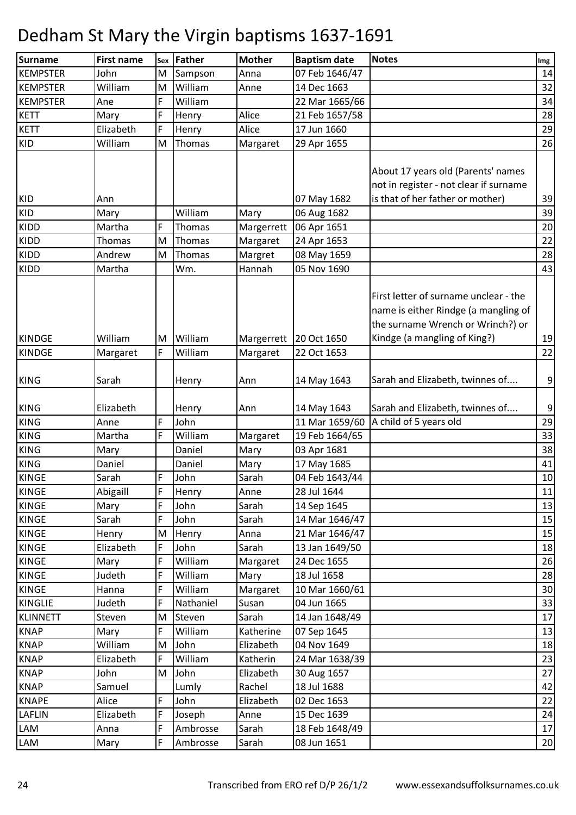| <b>Surname</b>  | <b>First name</b> | <b>Sex</b> | Father    | <b>Mother</b> | <b>Baptism date</b> | <b>Notes</b>                                                                                                                                       | Img    |
|-----------------|-------------------|------------|-----------|---------------|---------------------|----------------------------------------------------------------------------------------------------------------------------------------------------|--------|
| <b>KEMPSTER</b> | John              | M          | Sampson   | Anna          | 07 Feb 1646/47      |                                                                                                                                                    | 14     |
| <b>KEMPSTER</b> | William           | M          | William   | Anne          | 14 Dec 1663         |                                                                                                                                                    | 32     |
| <b>KEMPSTER</b> | Ane               | F          | William   |               | 22 Mar 1665/66      |                                                                                                                                                    | 34     |
| <b>KETT</b>     | Mary              | F          | Henry     | Alice         | 21 Feb 1657/58      |                                                                                                                                                    | 28     |
| <b>KETT</b>     | Elizabeth         | F          | Henry     | Alice         | 17 Jun 1660         |                                                                                                                                                    | 29     |
| KID             | William           | M          | Thomas    | Margaret      | 29 Apr 1655         |                                                                                                                                                    | 26     |
|                 |                   |            |           |               |                     | About 17 years old (Parents' names                                                                                                                 |        |
|                 |                   |            |           |               |                     | not in register - not clear if surname                                                                                                             |        |
| <b>KID</b>      | Ann               |            |           |               | 07 May 1682         | is that of her father or mother)                                                                                                                   | 39     |
| KID             | Mary              |            | William   | Mary          | 06 Aug 1682         |                                                                                                                                                    | 39     |
| <b>KIDD</b>     | Martha            | F          | Thomas    | Margerrett    | 06 Apr 1651         |                                                                                                                                                    | 20     |
| <b>KIDD</b>     | Thomas            | M          | Thomas    | Margaret      | 24 Apr 1653         |                                                                                                                                                    | 22     |
| KIDD            | Andrew            | M          | Thomas    | Margret       | 08 May 1659         |                                                                                                                                                    | 28     |
| <b>KIDD</b>     | Martha            |            | Wm.       | Hannah        | 05 Nov 1690         |                                                                                                                                                    | 43     |
| <b>KINDGE</b>   | William           | M          | William   | Margerrett    | 20 Oct 1650         | First letter of surname unclear - the<br>name is either Rindge (a mangling of<br>the surname Wrench or Wrinch?) or<br>Kindge (a mangling of King?) | 19     |
| <b>KINDGE</b>   | Margaret          | F          | William   | Margaret      | 22 Oct 1653         |                                                                                                                                                    | 22     |
|                 |                   |            |           |               |                     |                                                                                                                                                    |        |
| <b>KING</b>     | Sarah             |            | Henry     | Ann           | 14 May 1643         | Sarah and Elizabeth, twinnes of                                                                                                                    | 9      |
| <b>KING</b>     | Elizabeth         |            | Henry     | Ann           | 14 May 1643         | Sarah and Elizabeth, twinnes of                                                                                                                    | 9      |
| <b>KING</b>     | Anne              | F          | John      |               | 11 Mar 1659/60      | A child of 5 years old                                                                                                                             | 29     |
| <b>KING</b>     | Martha            | F          | William   | Margaret      | 19 Feb 1664/65      |                                                                                                                                                    | 33     |
| <b>KING</b>     | Mary              |            | Daniel    | Mary          | 03 Apr 1681         |                                                                                                                                                    | 38     |
| <b>KING</b>     | Daniel            |            | Daniel    | Mary          | 17 May 1685         |                                                                                                                                                    | 41     |
| <b>KINGE</b>    | Sarah             | F          | John      | Sarah         | 04 Feb 1643/44      |                                                                                                                                                    | $10\,$ |
| <b>KINGE</b>    | Abigaill          | F          | Henry     | Anne          | 28 Jul 1644         |                                                                                                                                                    | 11     |
| <b>KINGE</b>    | Mary              | F          | John      | Sarah         | 14 Sep 1645         |                                                                                                                                                    | 13     |
| <b>KINGE</b>    | Sarah             | F          | John      | Sarah         | 14 Mar 1646/47      |                                                                                                                                                    | 15     |
| KINGE           | Henry             | M          | Henry     | Anna          | 21 Mar 1646/47      |                                                                                                                                                    | 15     |
| <b>KINGE</b>    | Elizabeth         | F          | John      | Sarah         | 13 Jan 1649/50      |                                                                                                                                                    | 18     |
| KINGE           | Mary              | F          | William   | Margaret      | 24 Dec 1655         |                                                                                                                                                    | 26     |
| <b>KINGE</b>    | Judeth            | F          | William   | Mary          | 18 Jul 1658         |                                                                                                                                                    | 28     |
| <b>KINGE</b>    | Hanna             | F          | William   | Margaret      | 10 Mar 1660/61      |                                                                                                                                                    | 30     |
| <b>KINGLIE</b>  | Judeth            | F          | Nathaniel | Susan         | 04 Jun 1665         |                                                                                                                                                    | 33     |
| <b>KLINNETT</b> | Steven            | M          | Steven    | Sarah         | 14 Jan 1648/49      |                                                                                                                                                    | 17     |
| <b>KNAP</b>     | Mary              | F          | William   | Katherine     | 07 Sep 1645         |                                                                                                                                                    | 13     |
| <b>KNAP</b>     | William           | M          | John      | Elizabeth     | 04 Nov 1649         |                                                                                                                                                    | 18     |
| <b>KNAP</b>     | Elizabeth         | F          | William   | Katherin      | 24 Mar 1638/39      |                                                                                                                                                    | 23     |
| <b>KNAP</b>     | John              | M          | John      | Elizabeth     | 30 Aug 1657         |                                                                                                                                                    | 27     |
| <b>KNAP</b>     | Samuel            |            | Lumly     | Rachel        | 18 Jul 1688         |                                                                                                                                                    | 42     |
| <b>KNAPE</b>    | Alice             | F          | John      | Elizabeth     | 02 Dec 1653         |                                                                                                                                                    | 22     |
| LAFLIN          | Elizabeth         | F          | Joseph    | Anne          | 15 Dec 1639         |                                                                                                                                                    | 24     |
| LAM             | Anna              | F          | Ambrosse  | Sarah         | 18 Feb 1648/49      |                                                                                                                                                    | 17     |
| LAM             | Mary              | F          | Ambrosse  | Sarah         | 08 Jun 1651         |                                                                                                                                                    | 20     |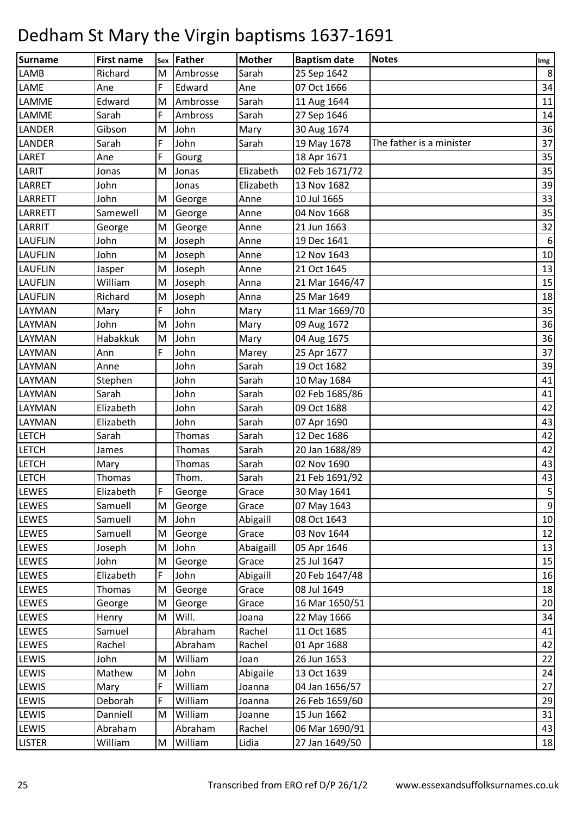| Surname        | <b>First name</b> | Sex | Father        | <b>Mother</b> | <b>Baptism date</b> | <b>Notes</b>             | Img          |
|----------------|-------------------|-----|---------------|---------------|---------------------|--------------------------|--------------|
| LAMB           | Richard           | M   | Ambrosse      | Sarah         | 25 Sep 1642         |                          | 8            |
| LAME           | Ane               | F   | Edward        | Ane           | 07 Oct 1666         |                          | 34           |
| LAMME          | Edward            | M   | Ambrosse      | Sarah         | 11 Aug 1644         |                          | 11           |
| LAMME          | Sarah             | F   | Ambross       | Sarah         | 27 Sep 1646         |                          | 14           |
| LANDER         | Gibson            | M   | John          | Mary          | 30 Aug 1674         |                          | 36           |
| LANDER         | Sarah             | F   | John          | Sarah         | 19 May 1678         | The father is a minister | 37           |
| LARET          | Ane               | F   | Gourg         |               | 18 Apr 1671         |                          | 35           |
| LARIT          | Jonas             | M   | Jonas         | Elizabeth     | 02 Feb 1671/72      |                          | 35           |
| LARRET         | John              |     | Jonas         | Elizabeth     | 13 Nov 1682         |                          | 39           |
| LARRETT        | John              | M   | George        | Anne          | 10 Jul 1665         |                          | 33           |
| LARRETT        | Samewell          | M   | George        | Anne          | 04 Nov 1668         |                          | 35           |
| LARRIT         | George            | M   | George        | Anne          | 21 Jun 1663         |                          | 32           |
| <b>LAUFLIN</b> | John              | M   | Joseph        | Anne          | 19 Dec 1641         |                          | 6            |
| <b>LAUFLIN</b> | John              | M   | Joseph        | Anne          | 12 Nov 1643         |                          | 10           |
| <b>LAUFLIN</b> | Jasper            | M   | Joseph        | Anne          | 21 Oct 1645         |                          | 13           |
| LAUFLIN        | William           | M   | Joseph        | Anna          | 21 Mar 1646/47      |                          | 15           |
| <b>LAUFLIN</b> | Richard           | M   | Joseph        | Anna          | 25 Mar 1649         |                          | 18           |
| LAYMAN         | Mary              | F   | John          | Mary          | 11 Mar 1669/70      |                          | 35           |
| LAYMAN         | John              | M   | John          | Mary          | 09 Aug 1672         |                          | 36           |
| LAYMAN         | Habakkuk          | M   | John          | Mary          | 04 Aug 1675         |                          | 36           |
| LAYMAN         | Ann               | F   | John          | Marey         | 25 Apr 1677         |                          | 37           |
| LAYMAN         | Anne              |     | John          | Sarah         | 19 Oct 1682         |                          | 39           |
| LAYMAN         | Stephen           |     | John          | Sarah         | 10 May 1684         |                          | 41           |
| LAYMAN         | Sarah             |     | John          | Sarah         | 02 Feb 1685/86      |                          | 41           |
| LAYMAN         | Elizabeth         |     | John          | Sarah         | 09 Oct 1688         |                          | 42           |
| LAYMAN         | Elizabeth         |     | John          | Sarah         | 07 Apr 1690         |                          | 43           |
| <b>LETCH</b>   | Sarah             |     | <b>Thomas</b> | Sarah         | 12 Dec 1686         |                          | 42           |
| <b>LETCH</b>   | James             |     | Thomas        | Sarah         | 20 Jan 1688/89      |                          | 42           |
| <b>LETCH</b>   | Mary              |     | <b>Thomas</b> | Sarah         | 02 Nov 1690         |                          | 43           |
| <b>LETCH</b>   | Thomas            |     | Thom.         | Sarah         | 21 Feb 1691/92      |                          | 43           |
| LEWES          | Elizabeth         | F   | George        | Grace         | 30 May 1641         |                          | $\mathbf{5}$ |
| <b>LEWES</b>   | Samuell           | M   | George        | Grace         | 07 May 1643         |                          | 9            |
| LEWES          | Samuell           | M   | John          | Abigaill      | 08 Oct 1643         |                          | 10           |
| LEWES          | Samuell           | M   | George        | Grace         | 03 Nov 1644         |                          | 12           |
| LEWES          | Joseph            | M   | John          | Abaigaill     | 05 Apr 1646         |                          | 13           |
| LEWES          | John              | M   | George        | Grace         | 25 Jul 1647         |                          | 15           |
| LEWES          | Elizabeth         | F   | John          | Abigaill      | 20 Feb 1647/48      |                          | 16           |
| LEWES          | Thomas            | M   | George        | Grace         | 08 Jul 1649         |                          | 18           |
| LEWES          | George            | M   | George        | Grace         | 16 Mar 1650/51      |                          | 20           |
| LEWES          | Henry             | M   | Will.         | Joana         | 22 May 1666         |                          | 34           |
| LEWES          | Samuel            |     | Abraham       | Rachel        | 11 Oct 1685         |                          | 41           |
| LEWES          | Rachel            |     | Abraham       | Rachel        | 01 Apr 1688         |                          | 42           |
| LEWIS          | John              | M   | William       | Joan          | 26 Jun 1653         |                          | 22           |
| LEWIS          | Mathew            | M   | John          | Abigaile      | 13 Oct 1639         |                          | 24           |
| LEWIS          | Mary              | F   | William       | Joanna        | 04 Jan 1656/57      |                          | 27           |
| LEWIS          | Deborah           | F   | William       | Joanna        | 26 Feb 1659/60      |                          | 29           |
| LEWIS          | Danniell          | M   | William       | Joanne        | 15 Jun 1662         |                          | 31           |
| LEWIS          | Abraham           |     | Abraham       | Rachel        | 06 Mar 1690/91      |                          | 43           |
| <b>LISTER</b>  | William           | M   | William       | Lidia         | 27 Jan 1649/50      |                          | 18           |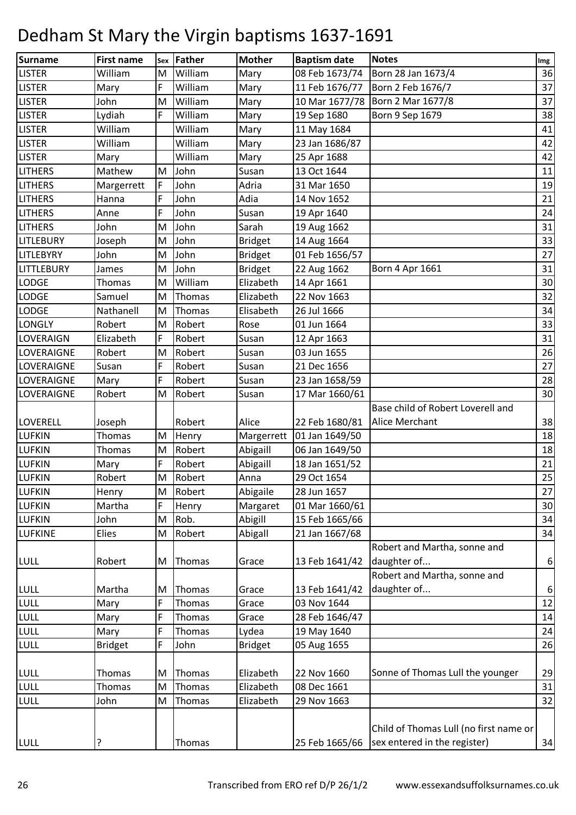| Surname           | <b>First name</b> | Sex | Father  | <b>Mother</b>  | <b>Baptism date</b> | <b>Notes</b>                           | Img |
|-------------------|-------------------|-----|---------|----------------|---------------------|----------------------------------------|-----|
| <b>LISTER</b>     | William           | M   | William | Mary           | 08 Feb 1673/74      | Born 28 Jan 1673/4                     | 36  |
| <b>LISTER</b>     | Mary              | F   | William | Mary           | 11 Feb 1676/77      | Born 2 Feb 1676/7                      | 37  |
| <b>LISTER</b>     | John              | M   | William | Mary           |                     | 10 Mar 1677/78   Born 2 Mar 1677/8     | 37  |
| <b>LISTER</b>     | Lydiah            | F   | William | Mary           | 19 Sep 1680         | Born 9 Sep 1679                        | 38  |
| <b>LISTER</b>     | William           |     | William | Mary           | 11 May 1684         |                                        | 41  |
| <b>LISTER</b>     | William           |     | William | Mary           | 23 Jan 1686/87      |                                        | 42  |
| <b>LISTER</b>     | Mary              |     | William | Mary           | 25 Apr 1688         |                                        | 42  |
| <b>LITHERS</b>    | Mathew            | M   | John    | Susan          | 13 Oct 1644         |                                        | 11  |
| <b>LITHERS</b>    | Margerrett        | F   | John    | Adria          | 31 Mar 1650         |                                        | 19  |
| <b>LITHERS</b>    | Hanna             | F   | John    | Adia           | 14 Nov 1652         |                                        | 21  |
| <b>LITHERS</b>    | Anne              | F   | John    | Susan          | 19 Apr 1640         |                                        | 24  |
| <b>LITHERS</b>    | John              | M   | John    | Sarah          | 19 Aug 1662         |                                        | 31  |
| <b>LITLEBURY</b>  | Joseph            | M   | John    | <b>Bridget</b> | 14 Aug 1664         |                                        | 33  |
| <b>LITLEBYRY</b>  | John              | M   | John    | <b>Bridget</b> | 01 Feb 1656/57      |                                        | 27  |
| <b>LITTLEBURY</b> | James             | M   | John    | <b>Bridget</b> | 22 Aug 1662         | Born 4 Apr 1661                        | 31  |
| <b>LODGE</b>      | Thomas            | M   | William | Elizabeth      | 14 Apr 1661         |                                        | 30  |
| <b>LODGE</b>      | Samuel            | M   | Thomas  | Elizabeth      | 22 Nov 1663         |                                        | 32  |
| <b>LODGE</b>      | Nathanell         | M   | Thomas  | Elisabeth      | 26 Jul 1666         |                                        | 34  |
| <b>LONGLY</b>     | Robert            | M   | Robert  | Rose           | 01 Jun 1664         |                                        | 33  |
| <b>LOVERAIGN</b>  | Elizabeth         | F   | Robert  | Susan          | 12 Apr 1663         |                                        | 31  |
| LOVERAIGNE        | Robert            | M   | Robert  | Susan          | 03 Jun 1655         |                                        | 26  |
| LOVERAIGNE        | Susan             | F   | Robert  | Susan          | 21 Dec 1656         |                                        | 27  |
| <b>LOVERAIGNE</b> | Mary              | F   | Robert  | Susan          | 23 Jan 1658/59      |                                        | 28  |
| <b>LOVERAIGNE</b> | Robert            | M   | Robert  | Susan          | 17 Mar 1660/61      |                                        | 30  |
|                   |                   |     |         |                |                     | Base child of Robert Loverell and      |     |
| <b>LOVERELL</b>   | Joseph            |     | Robert  | Alice          | 22 Feb 1680/81      | <b>Alice Merchant</b>                  | 38  |
| <b>LUFKIN</b>     | Thomas            | M   | Henry   | Margerrett     | 01 Jan 1649/50      |                                        | 18  |
| <b>LUFKIN</b>     | Thomas            | M   | Robert  | Abigaill       | 06 Jan 1649/50      |                                        | 18  |
| <b>LUFKIN</b>     | Mary              | F   | Robert  | Abigaill       | 18 Jan 1651/52      |                                        | 21  |
| <b>LUFKIN</b>     | Robert            | M   | Robert  | Anna           | 29 Oct 1654         |                                        | 25  |
| <b>LUFKIN</b>     | Henry             | M   | Robert  | Abigaile       | 28 Jun 1657         |                                        | 27  |
| <b>LUFKIN</b>     | Martha            | F   | Henry   | Margaret       | 01 Mar 1660/61      |                                        | 30  |
| <b>LUFKIN</b>     | John              | M   | Rob.    | Abigill        | 15 Feb 1665/66      |                                        | 34  |
| <b>LUFKINE</b>    | Elies             | M   | Robert  | Abigall        | 21 Jan 1667/68      |                                        | 34  |
|                   |                   |     |         |                |                     | Robert and Martha, sonne and           |     |
| LULL              | Robert            | M   | Thomas  | Grace          | 13 Feb 1641/42      | daughter of                            | 6   |
|                   |                   |     |         |                |                     | Robert and Martha, sonne and           |     |
| <b>LULL</b>       | Martha            | M   | Thomas  | Grace          | 13 Feb 1641/42      | daughter of                            | 6   |
| LULL              | Mary              | F   | Thomas  | Grace          | 03 Nov 1644         |                                        | 12  |
| LULL              | Mary              | F   | Thomas  | Grace          | 28 Feb 1646/47      |                                        | 14  |
| LULL              | Mary              | F   | Thomas  | Lydea          | 19 May 1640         |                                        | 24  |
| LULL              | <b>Bridget</b>    | F   | John    | <b>Bridget</b> | 05 Aug 1655         |                                        | 26  |
|                   |                   |     |         |                |                     |                                        |     |
| <b>LULL</b>       | Thomas            | M   | Thomas  | Elizabeth      | 22 Nov 1660         | Sonne of Thomas Lull the younger       | 29  |
| LULL              | Thomas            | M   | Thomas  | Elizabeth      | 08 Dec 1661         |                                        | 31  |
| LULL              | John              | M   | Thomas  | Elizabeth      | 29 Nov 1663         |                                        | 32  |
|                   |                   |     |         |                |                     |                                        |     |
|                   |                   |     |         |                |                     | Child of Thomas Lull (no first name or |     |
| <b>LULL</b>       | ?                 |     | Thomas  |                | 25 Feb 1665/66      | sex entered in the register)           | 34  |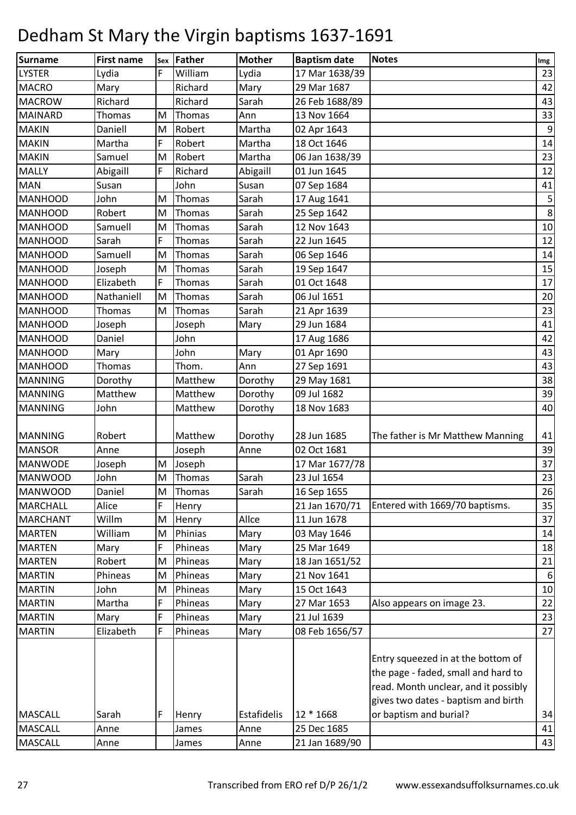| <b>Surname</b>  | <b>First name</b> | Sex       | Father  | <b>Mother</b> | <b>Baptism date</b> | <b>Notes</b>                         | Img              |
|-----------------|-------------------|-----------|---------|---------------|---------------------|--------------------------------------|------------------|
| <b>LYSTER</b>   | Lydia             | F         | William | Lydia         | 17 Mar 1638/39      |                                      | 23               |
| <b>MACRO</b>    | Mary              |           | Richard | Mary          | 29 Mar 1687         |                                      | 42               |
| <b>MACROW</b>   | Richard           |           | Richard | Sarah         | 26 Feb 1688/89      |                                      | 43               |
| <b>MAINARD</b>  | Thomas            | M         | Thomas  | Ann           | 13 Nov 1664         |                                      | 33               |
| <b>MAKIN</b>    | Daniell           | M         | Robert  | Martha        | 02 Apr 1643         |                                      | 9                |
| <b>MAKIN</b>    | Martha            | F         | Robert  | Martha        | 18 Oct 1646         |                                      | 14               |
| <b>MAKIN</b>    | Samuel            | M         | Robert  | Martha        | 06 Jan 1638/39      |                                      | 23               |
| <b>MALLY</b>    | Abigaill          | F         | Richard | Abigaill      | 01 Jun 1645         |                                      | 12               |
| <b>MAN</b>      | Susan             |           | John    | Susan         | 07 Sep 1684         |                                      | 41               |
| <b>MANHOOD</b>  | John              | M         | Thomas  | Sarah         | 17 Aug 1641         |                                      | 5                |
| <b>MANHOOD</b>  | Robert            | M         | Thomas  | Sarah         | 25 Sep 1642         |                                      | 8                |
| <b>MANHOOD</b>  | Samuell           | M         | Thomas  | Sarah         | 12 Nov 1643         |                                      | $10\,$           |
| <b>MANHOOD</b>  | Sarah             | F         | Thomas  | Sarah         | 22 Jun 1645         |                                      | 12               |
| <b>MANHOOD</b>  | Samuell           | M         | Thomas  | Sarah         | 06 Sep 1646         |                                      | 14               |
| <b>MANHOOD</b>  | Joseph            | M         | Thomas  | Sarah         | 19 Sep 1647         |                                      | 15               |
| <b>MANHOOD</b>  | Elizabeth         | F         | Thomas  | Sarah         | 01 Oct 1648         |                                      | 17               |
| <b>MANHOOD</b>  | Nathaniell        | M         | Thomas  | Sarah         | 06 Jul 1651         |                                      | 20               |
| <b>MANHOOD</b>  | Thomas            | M         | Thomas  | Sarah         | 21 Apr 1639         |                                      | 23               |
| <b>MANHOOD</b>  | Joseph            |           | Joseph  | Mary          | 29 Jun 1684         |                                      | 41               |
| <b>MANHOOD</b>  | Daniel            |           | John    |               | 17 Aug 1686         |                                      | 42               |
| <b>MANHOOD</b>  | Mary              |           | John    | Mary          | 01 Apr 1690         |                                      | 43               |
| <b>MANHOOD</b>  | Thomas            |           | Thom.   | Ann           | 27 Sep 1691         |                                      | 43               |
| <b>MANNING</b>  | Dorothy           |           | Matthew | Dorothy       | 29 May 1681         |                                      | 38               |
| <b>MANNING</b>  | Matthew           |           | Matthew | Dorothy       | 09 Jul 1682         |                                      | 39               |
| <b>MANNING</b>  | John              |           | Matthew | Dorothy       | 18 Nov 1683         |                                      | 40               |
|                 |                   |           |         |               |                     |                                      |                  |
| <b>MANNING</b>  | Robert            |           | Matthew | Dorothy       | 28 Jun 1685         | The father is Mr Matthew Manning     | 41               |
| <b>MANSOR</b>   | Anne              |           | Joseph  | Anne          | 02 Oct 1681         |                                      | 39               |
| <b>MANWODE</b>  | Joseph            | M         | Joseph  |               | 17 Mar 1677/78      |                                      | 37               |
| <b>MANWOOD</b>  | John              | ${\sf M}$ | Thomas  | Sarah         | 23 Jul 1654         |                                      | 23               |
| <b>MANWOOD</b>  | Daniel            | M         | Thomas  | Sarah         | 16 Sep 1655         |                                      | 26               |
| <b>MARCHALL</b> | Alice             | F         | Henry   |               | 21 Jan 1670/71      | Entered with 1669/70 baptisms.       | 35               |
| <b>MARCHANT</b> | Willm             | M         | Henry   | Allce         | 11 Jun 1678         |                                      | 37               |
| <b>MARTEN</b>   | William           | M         | Phinias | Mary          | 03 May 1646         |                                      | 14               |
| <b>MARTEN</b>   | Mary              | F         | Phineas | Mary          | 25 Mar 1649         |                                      | 18               |
| <b>MARTEN</b>   | Robert            | M         | Phineas | Mary          | 18 Jan 1651/52      |                                      | 21               |
| <b>MARTIN</b>   | Phineas           | M         | Phineas | Mary          | 21 Nov 1641         |                                      | $6 \overline{6}$ |
| <b>MARTIN</b>   | John              | M         | Phineas | Mary          | 15 Oct 1643         |                                      | 10               |
| <b>MARTIN</b>   | Martha            | F         | Phineas | Mary          | 27 Mar 1653         | Also appears on image 23.            | 22               |
| <b>MARTIN</b>   | Mary              | F         | Phineas | Mary          | 21 Jul 1639         |                                      | 23               |
| <b>MARTIN</b>   | Elizabeth         | F         | Phineas | Mary          | 08 Feb 1656/57      |                                      | 27               |
|                 |                   |           |         |               |                     |                                      |                  |
|                 |                   |           |         |               |                     | Entry squeezed in at the bottom of   |                  |
|                 |                   |           |         |               |                     | the page - faded, small and hard to  |                  |
|                 |                   |           |         |               |                     | read. Month unclear, and it possibly |                  |
|                 |                   |           |         |               |                     | gives two dates - baptism and birth  |                  |
| <b>MASCALL</b>  | Sarah             | F         | Henry   | Estafidelis   | 12 * 1668           | or baptism and burial?               | 34               |
| <b>MASCALL</b>  | Anne              |           | James   | Anne          | 25 Dec 1685         |                                      | 41               |
| <b>MASCALL</b>  | Anne              |           | James   | Anne          | 21 Jan 1689/90      |                                      | 43               |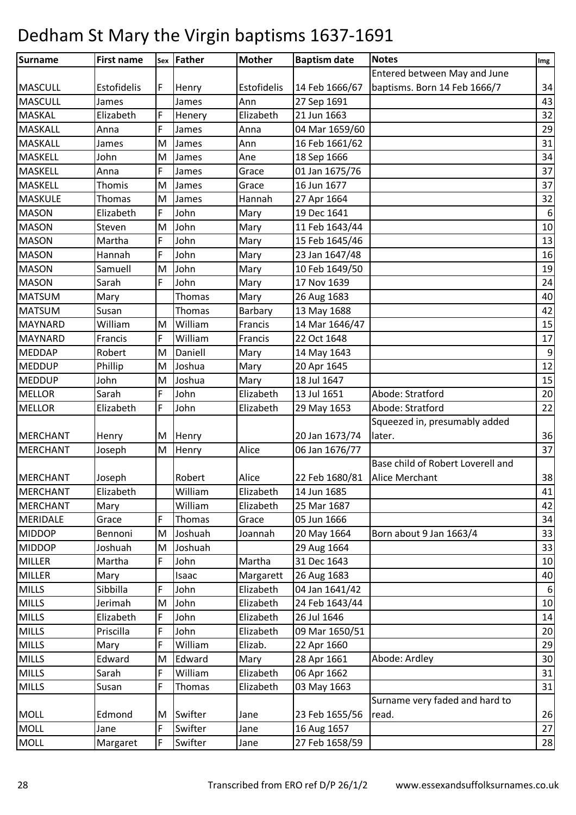| <b>Surname</b>  | <b>First name</b> |   | sex Father | <b>Mother</b> | <b>Baptism date</b> | <b>Notes</b>                      | Img              |
|-----------------|-------------------|---|------------|---------------|---------------------|-----------------------------------|------------------|
|                 |                   |   |            |               |                     | Entered between May and June      |                  |
| <b>MASCULL</b>  | Estofidelis       | F | Henry      | Estofidelis   | 14 Feb 1666/67      | baptisms. Born 14 Feb 1666/7      | 34               |
| <b>MASCULL</b>  | James             |   | James      | Ann           | 27 Sep 1691         |                                   | 43               |
| <b>MASKAL</b>   | Elizabeth         | F | Henery     | Elizabeth     | 21 Jun 1663         |                                   | 32               |
| <b>MASKALL</b>  | Anna              | F | James      | Anna          | 04 Mar 1659/60      |                                   | 29               |
| <b>MASKALL</b>  | James             | M | James      | Ann           | 16 Feb 1661/62      |                                   | 31               |
| MASKELL         | John              | M | James      | Ane           | 18 Sep 1666         |                                   | 34               |
| <b>MASKELL</b>  | Anna              | F | James      | Grace         | 01 Jan 1675/76      |                                   | 37               |
| <b>MASKELL</b>  | Thomis            | M | James      | Grace         | 16 Jun 1677         |                                   | 37               |
| <b>MASKULE</b>  | Thomas            | M | James      | Hannah        | 27 Apr 1664         |                                   | 32               |
| <b>MASON</b>    | Elizabeth         | F | John       | Mary          | 19 Dec 1641         |                                   | 6                |
| <b>MASON</b>    | Steven            | M | John       | Mary          | 11 Feb 1643/44      |                                   | 10               |
| <b>MASON</b>    | Martha            | F | John       | Mary          | 15 Feb 1645/46      |                                   | 13               |
| <b>MASON</b>    | Hannah            | F | John       | Mary          | 23 Jan 1647/48      |                                   | 16               |
| <b>MASON</b>    | Samuell           | M | John       | Mary          | 10 Feb 1649/50      |                                   | 19               |
| <b>MASON</b>    | Sarah             | F | John       | Mary          | 17 Nov 1639         |                                   | 24               |
| <b>MATSUM</b>   | Mary              |   | Thomas     | Mary          | 26 Aug 1683         |                                   | 40               |
| <b>MATSUM</b>   | Susan             |   | Thomas     | Barbary       | 13 May 1688         |                                   | 42               |
| <b>MAYNARD</b>  | William           | M | William    | Francis       | 14 Mar 1646/47      |                                   | 15               |
| <b>MAYNARD</b>  | Francis           | F | William    | Francis       | 22 Oct 1648         |                                   | 17               |
| <b>MEDDAP</b>   | Robert            | M | Daniell    | Mary          | 14 May 1643         |                                   | $\boldsymbol{9}$ |
| <b>MEDDUP</b>   | Phillip           | M | Joshua     | Mary          | 20 Apr 1645         |                                   | 12               |
| <b>MEDDUP</b>   | John              | M | Joshua     | Mary          | 18 Jul 1647         |                                   | 15               |
| <b>MELLOR</b>   | Sarah             | F | John       | Elizabeth     | 13 Jul 1651         | Abode: Stratford                  | 20               |
| <b>MELLOR</b>   | Elizabeth         | F | John       | Elizabeth     | 29 May 1653         | Abode: Stratford                  | 22               |
|                 |                   |   |            |               |                     | Squeezed in, presumably added     |                  |
| <b>MERCHANT</b> | Henry             | M | Henry      |               | 20 Jan 1673/74      | later.                            | 36               |
| <b>MERCHANT</b> | Joseph            | M | Henry      | Alice         | 06 Jan 1676/77      |                                   | 37               |
|                 |                   |   |            |               |                     | Base child of Robert Loverell and |                  |
| MERCHANT        | Joseph            |   | Robert     | Alice         | 22 Feb 1680/81      | <b>Alice Merchant</b>             | 38               |
| MERCHANT        | Elizabeth         |   | William    | Elizabeth     | 14 Jun 1685         |                                   | 41               |
| <b>MERCHANT</b> | Mary              |   | William    | Elizabeth     | 25 Mar 1687         |                                   | 42               |
| <b>MERIDALE</b> | Grace             | F | Thomas     | Grace         | 05 Jun 1666         |                                   | 34               |
| <b>MIDDOP</b>   | Bennoni           | M | Joshuah    | Joannah       | 20 May 1664         | Born about 9 Jan 1663/4           | 33               |
| <b>MIDDOP</b>   | Joshuah           | M | Joshuah    |               | 29 Aug 1664         |                                   | 33               |
| <b>MILLER</b>   | Martha            | F | John       | Martha        | 31 Dec 1643         |                                   | 10               |
| <b>MILLER</b>   | Mary              |   | Isaac      | Margarett     | 26 Aug 1683         |                                   | 40               |
| <b>MILLS</b>    | Sibbilla          | F | John       | Elizabeth     | 04 Jan 1641/42      |                                   | 6                |
| <b>MILLS</b>    | Jerimah           | M | John       | Elizabeth     | 24 Feb 1643/44      |                                   | 10               |
| <b>MILLS</b>    | Elizabeth         | F | John       | Elizabeth     | 26 Jul 1646         |                                   | 14               |
| <b>MILLS</b>    | Priscilla         | F | John       | Elizabeth     | 09 Mar 1650/51      |                                   | 20               |
| <b>MILLS</b>    | Mary              | F | William    | Elizab.       | 22 Apr 1660         |                                   | 29               |
| <b>MILLS</b>    | Edward            | M | Edward     | Mary          | 28 Apr 1661         | Abode: Ardley                     | 30               |
| <b>MILLS</b>    | Sarah             | F | William    | Elizabeth     | 06 Apr 1662         |                                   | 31               |
| <b>MILLS</b>    | Susan             | F | Thomas     | Elizabeth     | 03 May 1663         |                                   | 31               |
|                 |                   |   |            |               |                     | Surname very faded and hard to    |                  |
| <b>MOLL</b>     | Edmond            | M | Swifter    | Jane          | 23 Feb 1655/56      | read.                             | 26               |
| <b>MOLL</b>     | Jane              | F | Swifter    | Jane          | 16 Aug 1657         |                                   | 27               |
| <b>MOLL</b>     | Margaret          | F | Swifter    | Jane          | 27 Feb 1658/59      |                                   | 28               |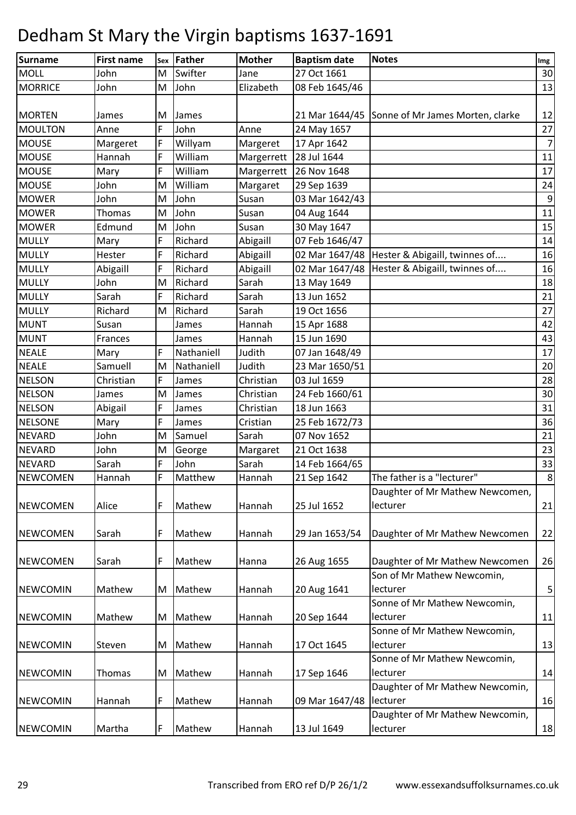| <b>Surname</b>  | <b>First name</b> | Sex | Father     | <b>Mother</b> | <b>Baptism date</b> | <b>Notes</b>                                    | Img            |
|-----------------|-------------------|-----|------------|---------------|---------------------|-------------------------------------------------|----------------|
| <b>MOLL</b>     | John              | M   | Swifter    | Jane          | 27 Oct 1661         |                                                 | 30             |
| <b>MORRICE</b>  | John              | M   | John       | Elizabeth     | 08 Feb 1645/46      |                                                 | 13             |
|                 |                   |     |            |               |                     |                                                 |                |
| <b>MORTEN</b>   | James             | M   | James      |               |                     | 21 Mar 1644/45 Sonne of Mr James Morten, clarke | 12             |
| <b>MOULTON</b>  | Anne              | F   | John       | Anne          | 24 May 1657         |                                                 | 27             |
| <b>MOUSE</b>    | Margeret          | F   | Willyam    | Margeret      | 17 Apr 1642         |                                                 | $\overline{7}$ |
| <b>MOUSE</b>    | Hannah            | F   | William    | Margerrett    | 28 Jul 1644         |                                                 | 11             |
| <b>MOUSE</b>    | Mary              | F   | William    | Margerrett    | 26 Nov 1648         |                                                 | 17             |
| <b>MOUSE</b>    | John              | M   | William    | Margaret      | 29 Sep 1639         |                                                 | 24             |
| <b>MOWER</b>    | John              | M   | John       | Susan         | 03 Mar 1642/43      |                                                 | 9              |
| <b>MOWER</b>    | Thomas            | M   | John       | Susan         | 04 Aug 1644         |                                                 | 11             |
| <b>MOWER</b>    | Edmund            | M   | John       | Susan         | 30 May 1647         |                                                 | 15             |
| <b>MULLY</b>    | Mary              | F   | Richard    | Abigaill      | 07 Feb 1646/47      |                                                 | 14             |
| <b>MULLY</b>    | Hester            | F   | Richard    | Abigaill      | 02 Mar 1647/48      | Hester & Abigaill, twinnes of                   | 16             |
| <b>MULLY</b>    | Abigaill          | F   | Richard    | Abigaill      | 02 Mar 1647/48      | Hester & Abigaill, twinnes of                   | 16             |
| <b>MULLY</b>    | John              | M   | Richard    | Sarah         | 13 May 1649         |                                                 | 18             |
| <b>MULLY</b>    | Sarah             | F   | Richard    | Sarah         | 13 Jun 1652         |                                                 | 21             |
| <b>MULLY</b>    | Richard           | M   | Richard    | Sarah         | 19 Oct 1656         |                                                 | 27             |
| <b>MUNT</b>     | Susan             |     | James      | Hannah        | 15 Apr 1688         |                                                 | 42             |
| <b>MUNT</b>     | Frances           |     | James      | Hannah        | 15 Jun 1690         |                                                 | 43             |
| <b>NEALE</b>    | Mary              | F   | Nathaniell | Judith        | 07 Jan 1648/49      |                                                 | 17             |
| <b>NEALE</b>    | Samuell           | M   | Nathaniell | Judith        | 23 Mar 1650/51      |                                                 | 20             |
| <b>NELSON</b>   | Christian         | F   | James      | Christian     | 03 Jul 1659         |                                                 | 28             |
| <b>NELSON</b>   | James             | M   | James      | Christian     | 24 Feb 1660/61      |                                                 | 30             |
| <b>NELSON</b>   | Abigail           | F   | James      | Christian     | 18 Jun 1663         |                                                 | 31             |
| <b>NELSONE</b>  | Mary              | F   | James      | Cristian      | 25 Feb 1672/73      |                                                 | 36             |
| <b>NEVARD</b>   | John              | M   | Samuel     | Sarah         | 07 Nov 1652         |                                                 | 21             |
| <b>NEVARD</b>   | John              | M   | George     | Margaret      | 21 Oct 1638         |                                                 | 23             |
| <b>NEVARD</b>   | Sarah             | F   | John       | Sarah         | 14 Feb 1664/65      |                                                 | 33             |
| <b>NEWCOMEN</b> | Hannah            | F   | Matthew    | Hannah        | 21 Sep 1642         | The father is a "lecturer"                      | 8 <sup>1</sup> |
| <b>NEWCOMEN</b> | Alice             | F   | Mathew     | Hannah        | 25 Jul 1652         | Daughter of Mr Mathew Newcomen,<br>lecturer     | 21             |
| <b>NEWCOMEN</b> | Sarah             | F   | Mathew     | Hannah        | 29 Jan 1653/54      | Daughter of Mr Mathew Newcomen                  | 22             |
| <b>NEWCOMEN</b> | Sarah             | F   | Mathew     | Hanna         | 26 Aug 1655         | Daughter of Mr Mathew Newcomen                  | 26             |
|                 |                   |     |            |               |                     | Son of Mr Mathew Newcomin,                      |                |
| <b>NEWCOMIN</b> | Mathew            | M   | Mathew     | Hannah        | 20 Aug 1641         | lecturer                                        | 5 <sub>l</sub> |
|                 |                   |     |            |               |                     | Sonne of Mr Mathew Newcomin,                    |                |
| <b>NEWCOMIN</b> | Mathew            | M   | Mathew     | Hannah        | 20 Sep 1644         | lecturer                                        | 11             |
|                 |                   |     |            |               |                     | Sonne of Mr Mathew Newcomin,                    |                |
| <b>NEWCOMIN</b> | Steven            | M   | Mathew     | Hannah        | 17 Oct 1645         | lecturer                                        | 13             |
|                 |                   |     |            |               |                     | Sonne of Mr Mathew Newcomin,                    |                |
| <b>NEWCOMIN</b> | Thomas            | M   | Mathew     | Hannah        | 17 Sep 1646         | lecturer                                        | 14             |
|                 |                   |     |            |               |                     | Daughter of Mr Mathew Newcomin,                 |                |
| <b>NEWCOMIN</b> | Hannah            | F   | Mathew     | Hannah        | 09 Mar 1647/48      | lecturer                                        | 16             |
|                 |                   |     |            |               |                     | Daughter of Mr Mathew Newcomin,                 |                |
| <b>NEWCOMIN</b> | Martha            | F   | Mathew     | Hannah        | 13 Jul 1649         | lecturer                                        | 18             |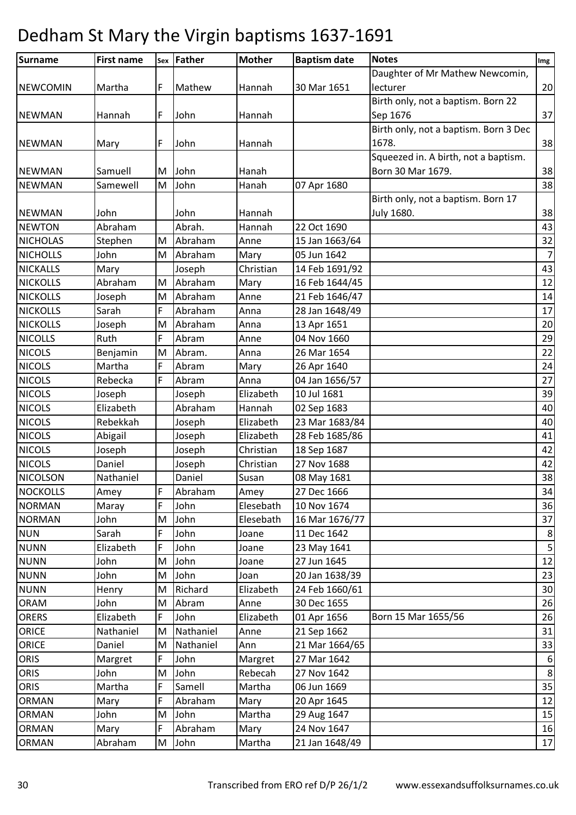| <b>Surname</b>  | <b>First name</b> |   | sex Father | <b>Mother</b> | <b>Baptism date</b> | <b>Notes</b>                          | Img            |
|-----------------|-------------------|---|------------|---------------|---------------------|---------------------------------------|----------------|
|                 |                   |   |            |               |                     | Daughter of Mr Mathew Newcomin,       |                |
| <b>NEWCOMIN</b> | Martha            | F | Mathew     | Hannah        | 30 Mar 1651         | lecturer                              | 20             |
|                 |                   |   |            |               |                     | Birth only, not a baptism. Born 22    |                |
| <b>NEWMAN</b>   | Hannah            | F | John       | Hannah        |                     | Sep 1676                              | 37             |
|                 |                   |   |            |               |                     | Birth only, not a baptism. Born 3 Dec |                |
| <b>NEWMAN</b>   | Mary              | F | John       | Hannah        |                     | 1678.                                 | 38             |
|                 |                   |   |            |               |                     | Squeezed in. A birth, not a baptism.  |                |
| <b>NEWMAN</b>   | Samuell           | M | John       | Hanah         |                     | Born 30 Mar 1679.                     | 38             |
| <b>NEWMAN</b>   | Samewell          | M | John       | Hanah         | 07 Apr 1680         |                                       | 38             |
|                 |                   |   |            |               |                     | Birth only, not a baptism. Born 17    |                |
| <b>NEWMAN</b>   | John              |   | John       | Hannah        |                     | <b>July 1680.</b>                     | 38             |
| <b>NEWTON</b>   | Abraham           |   | Abrah.     | Hannah        | 22 Oct 1690         |                                       | 43             |
| <b>NICHOLAS</b> | Stephen           | M | Abraham    | Anne          | 15 Jan 1663/64      |                                       | 32             |
| <b>NICHOLLS</b> | John              | M | Abraham    | Mary          | 05 Jun 1642         |                                       | $\overline{7}$ |
| <b>NICKALLS</b> | Mary              |   | Joseph     | Christian     | 14 Feb 1691/92      |                                       | 43             |
| <b>NICKOLLS</b> | Abraham           | M | Abraham    | Mary          | 16 Feb 1644/45      |                                       | 12             |
| <b>NICKOLLS</b> | Joseph            | M | Abraham    | Anne          | 21 Feb 1646/47      |                                       | 14             |
| <b>NICKOLLS</b> | Sarah             | F | Abraham    | Anna          | 28 Jan 1648/49      |                                       | 17             |
| <b>NICKOLLS</b> | Joseph            | M | Abraham    | Anna          | 13 Apr 1651         |                                       | 20             |
| <b>NICOLLS</b>  | Ruth              | F | Abram      | Anne          | 04 Nov 1660         |                                       | 29             |
| <b>NICOLS</b>   | Benjamin          | M | Abram.     | Anna          | 26 Mar 1654         |                                       | 22             |
| <b>NICOLS</b>   | Martha            | F | Abram      | Mary          | 26 Apr 1640         |                                       | 24             |
| <b>NICOLS</b>   | Rebecka           | F | Abram      | Anna          | 04 Jan 1656/57      |                                       | 27             |
| <b>NICOLS</b>   | Joseph            |   | Joseph     | Elizabeth     | 10 Jul 1681         |                                       | 39             |
| <b>NICOLS</b>   | Elizabeth         |   | Abraham    | Hannah        | 02 Sep 1683         |                                       | 40             |
| <b>NICOLS</b>   | Rebekkah          |   | Joseph     | Elizabeth     | 23 Mar 1683/84      |                                       | 40             |
| <b>NICOLS</b>   | Abigail           |   | Joseph     | Elizabeth     | 28 Feb 1685/86      |                                       | 41             |
| <b>NICOLS</b>   | Joseph            |   | Joseph     | Christian     | 18 Sep 1687         |                                       | 42             |
| <b>NICOLS</b>   | Daniel            |   | Joseph     | Christian     | 27 Nov 1688         |                                       | 42             |
| <b>NICOLSON</b> | Nathaniel         |   | Daniel     | Susan         | 08 May 1681         |                                       | 38             |
| <b>NOCKOLLS</b> | Amey              | F | Abraham    | Amey          | 27 Dec 1666         |                                       | 34             |
| <b>NORMAN</b>   | Maray             | F | John       | Elesebath     | 10 Nov 1674         |                                       | 36             |
| <b>NORMAN</b>   | John              | M | John       | Elesebath     | 16 Mar 1676/77      |                                       | 37             |
| <b>NUN</b>      | Sarah             | F | John       | Joane         | 11 Dec 1642         |                                       | 8              |
| <b>NUNN</b>     | Elizabeth         | F | John       | Joane         | 23 May 1641         |                                       | $\overline{5}$ |
| <b>NUNN</b>     | John              | M | John       | Joane         | 27 Jun 1645         |                                       | 12             |
| <b>NUNN</b>     | John              | M | John       | Joan          | 20 Jan 1638/39      |                                       | 23             |
| <b>NUNN</b>     | Henry             | M | Richard    | Elizabeth     | 24 Feb 1660/61      |                                       | 30             |
| ORAM            | John              | M | Abram      | Anne          | 30 Dec 1655         |                                       | 26             |
| <b>ORERS</b>    | Elizabeth         | F | John       | Elizabeth     | 01 Apr 1656         | Born 15 Mar 1655/56                   | 26             |
| <b>ORICE</b>    | Nathaniel         | M | Nathaniel  | Anne          | 21 Sep 1662         |                                       | 31             |
| <b>ORICE</b>    | Daniel            | M | Nathaniel  | Ann           | 21 Mar 1664/65      |                                       | 33             |
| ORIS            | Margret           | F | John       | Margret       | 27 Mar 1642         |                                       | 6              |
| ORIS            | John              | M | John       | Rebecah       | 27 Nov 1642         |                                       | 8              |
| ORIS            | Martha            | F | Samell     | Martha        | 06 Jun 1669         |                                       | 35             |
| ORMAN           | Mary              | F | Abraham    | Mary          | 20 Apr 1645         |                                       | 12             |
| ORMAN           | John              | M | John       | Martha        | 29 Aug 1647         |                                       | 15             |
| <b>ORMAN</b>    | Mary              | F | Abraham    | Mary          | 24 Nov 1647         |                                       | 16             |
| ORMAN           | Abraham           | M | John       | Martha        | 21 Jan 1648/49      |                                       | $17\,$         |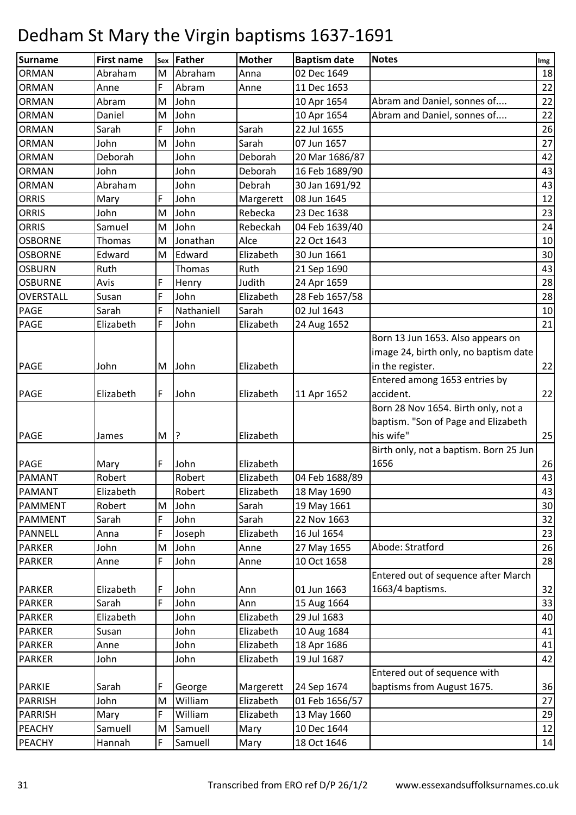| <b>Surname</b>                 | <b>First name</b> | Sex    | Father       | <b>Mother</b> | <b>Baptism date</b> | <b>Notes</b>                           | Img |
|--------------------------------|-------------------|--------|--------------|---------------|---------------------|----------------------------------------|-----|
| <b>ORMAN</b>                   | Abraham           | M      | Abraham      | Anna          | 02 Dec 1649         |                                        | 18  |
| <b>ORMAN</b>                   | Anne              | F      | Abram        | Anne          | 11 Dec 1653         |                                        | 22  |
| <b>ORMAN</b>                   | Abram             | M      | John         |               | 10 Apr 1654         | Abram and Daniel, sonnes of            | 22  |
| <b>ORMAN</b>                   | Daniel            | M      | John         |               | 10 Apr 1654         | Abram and Daniel, sonnes of            | 22  |
| <b>ORMAN</b>                   | Sarah             | F      | John         | Sarah         | 22 Jul 1655         |                                        | 26  |
| <b>ORMAN</b>                   | John              | M      | John         | Sarah         | 07 Jun 1657         |                                        | 27  |
| <b>ORMAN</b>                   | Deborah           |        | John         | Deborah       | 20 Mar 1686/87      |                                        | 42  |
| <b>ORMAN</b>                   | John              |        | John         | Deborah       | 16 Feb 1689/90      |                                        | 43  |
| <b>ORMAN</b>                   | Abraham           |        | John         | Debrah        | 30 Jan 1691/92      |                                        | 43  |
| <b>ORRIS</b>                   | Mary              | F      | John         | Margerett     | 08 Jun 1645         |                                        | 12  |
| <b>ORRIS</b>                   | John              | M      | John         | Rebecka       | 23 Dec 1638         |                                        | 23  |
| <b>ORRIS</b>                   | Samuel            | M      | John         | Rebeckah      | 04 Feb 1639/40      |                                        | 24  |
| <b>OSBORNE</b>                 | Thomas            | M      | Jonathan     | Alce          | 22 Oct 1643         |                                        | 10  |
| <b>OSBORNE</b>                 | Edward            | M      | Edward       | Elizabeth     | 30 Jun 1661         |                                        | 30  |
| <b>OSBURN</b>                  | Ruth              |        | Thomas       | Ruth          | 21 Sep 1690         |                                        | 43  |
| <b>OSBURNE</b>                 | Avis              | F      | Henry        | Judith        | 24 Apr 1659         |                                        | 28  |
| OVERSTALL                      | Susan             | F      | John         | Elizabeth     | 28 Feb 1657/58      |                                        | 28  |
| PAGE                           | Sarah             | F      | Nathaniell   | Sarah         | 02 Jul 1643         |                                        | 10  |
| <b>PAGE</b>                    | Elizabeth         | F      | John         | Elizabeth     | 24 Aug 1652         |                                        | 21  |
|                                |                   |        |              |               |                     | Born 13 Jun 1653. Also appears on      |     |
|                                |                   |        |              |               |                     | image 24, birth only, no baptism date  |     |
| <b>PAGE</b>                    | John              | M      | John         | Elizabeth     |                     | in the register.                       | 22  |
|                                |                   |        |              |               |                     | Entered among 1653 entries by          |     |
| <b>PAGE</b>                    | Elizabeth         | F      | John         | Elizabeth     | 11 Apr 1652         | accident.                              | 22  |
|                                |                   |        |              |               |                     | Born 28 Nov 1654. Birth only, not a    |     |
|                                |                   |        |              |               |                     | baptism. "Son of Page and Elizabeth    |     |
| <b>PAGE</b>                    | James             | M      | 3            | Elizabeth     |                     | his wife"                              | 25  |
|                                |                   |        |              |               |                     | Birth only, not a baptism. Born 25 Jun |     |
| <b>PAGE</b>                    | Mary              | F      | John         | Elizabeth     |                     | 1656                                   | 26  |
| <b>PAMANT</b>                  | Robert            |        | Robert       | Elizabeth     | 04 Feb 1688/89      |                                        | 43  |
| <b>PAMANT</b>                  | Elizabeth         |        | Robert       | Elizabeth     | 18 May 1690         |                                        | 43  |
| <b>PAMMENT</b>                 | Robert            | M      | John         | Sarah         | 19 May 1661         |                                        | 30  |
| <b>PAMMENT</b>                 | Sarah             | F      | John         | Sarah         | 22 Nov 1663         |                                        | 32  |
| <b>PANNELL</b>                 | Anna              | F      | Joseph       | Elizabeth     | 16 Jul 1654         |                                        | 23  |
| <b>PARKER</b>                  | John              | M<br>F | John         | Anne          | 27 May 1655         | Abode: Stratford                       | 26  |
| <b>PARKER</b>                  | Anne              |        | John         | Anne          | 10 Oct 1658         | Entered out of sequence after March    | 28  |
|                                | Elizabeth         | F      |              |               | 01 Jun 1663         | 1663/4 baptisms.                       | 32  |
| <b>PARKER</b><br><b>PARKER</b> | Sarah             | F      | John<br>John | Ann<br>Ann    | 15 Aug 1664         |                                        | 33  |
| <b>PARKER</b>                  | Elizabeth         |        | John         | Elizabeth     | 29 Jul 1683         |                                        | 40  |
| <b>PARKER</b>                  | Susan             |        | John         | Elizabeth     | 10 Aug 1684         |                                        | 41  |
| <b>PARKER</b>                  | Anne              |        | John         | Elizabeth     | 18 Apr 1686         |                                        | 41  |
| <b>PARKER</b>                  | John              |        | John         | Elizabeth     | 19 Jul 1687         |                                        | 42  |
|                                |                   |        |              |               |                     | Entered out of sequence with           |     |
| <b>PARKIE</b>                  | Sarah             | F      | George       | Margerett     | 24 Sep 1674         | baptisms from August 1675.             | 36  |
| <b>PARRISH</b>                 | John              | M      | William      | Elizabeth     | 01 Feb 1656/57      |                                        | 27  |
| <b>PARRISH</b>                 | Mary              | F      | William      | Elizabeth     | 13 May 1660         |                                        | 29  |
| PEACHY                         | Samuell           | M      | Samuell      | Mary          | 10 Dec 1644         |                                        | 12  |
| <b>PEACHY</b>                  | Hannah            | F      | Samuell      | Mary          | 18 Oct 1646         |                                        | 14  |
|                                |                   |        |              |               |                     |                                        |     |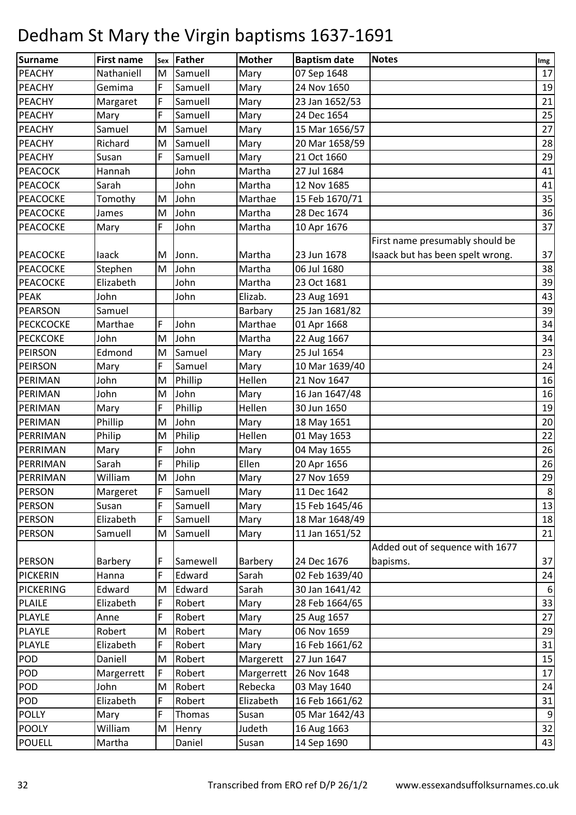| <b>Surname</b>   | <b>First name</b> | Sex | Father   | <b>Mother</b> | <b>Baptism date</b> | <b>Notes</b>                     | Img            |
|------------------|-------------------|-----|----------|---------------|---------------------|----------------------------------|----------------|
| PEACHY           | Nathaniell        | M   | Samuell  | Mary          | 07 Sep 1648         |                                  | 17             |
| <b>PEACHY</b>    | Gemima            | F   | Samuell  | Mary          | 24 Nov 1650         |                                  | 19             |
| PEACHY           | Margaret          | F   | Samuell  | Mary          | 23 Jan 1652/53      |                                  | 21             |
| <b>PEACHY</b>    | Mary              | F   | Samuell  | Mary          | 24 Dec 1654         |                                  | 25             |
| <b>PEACHY</b>    | Samuel            | M   | Samuel   | Mary          | 15 Mar 1656/57      |                                  | 27             |
| PEACHY           | Richard           | M   | Samuell  | Mary          | 20 Mar 1658/59      |                                  | 28             |
| <b>PEACHY</b>    | Susan             | F   | Samuell  | Mary          | 21 Oct 1660         |                                  | 29             |
| <b>PEACOCK</b>   | Hannah            |     | John     | Martha        | 27 Jul 1684         |                                  | 41             |
| <b>PEACOCK</b>   | Sarah             |     | John     | Martha        | 12 Nov 1685         |                                  | 41             |
| <b>PEACOCKE</b>  | Tomothy           | M   | John     | Marthae       | 15 Feb 1670/71      |                                  | 35             |
| <b>PEACOCKE</b>  | James             | M   | John     | Martha        | 28 Dec 1674         |                                  | 36             |
| PEACOCKE         | Mary              | F   | John     | Martha        | 10 Apr 1676         |                                  | 37             |
|                  |                   |     |          |               |                     | First name presumably should be  |                |
| PEACOCKE         | laack             | M   | Jonn.    | Martha        | 23 Jun 1678         | Isaack but has been spelt wrong. | 37             |
| PEACOCKE         | Stephen           | M   | John     | Martha        | 06 Jul 1680         |                                  | 38             |
| <b>PEACOCKE</b>  | Elizabeth         |     | John     | Martha        | 23 Oct 1681         |                                  | 39             |
| PEAK             | John              |     | John     | Elizab.       | 23 Aug 1691         |                                  | 43             |
| <b>PEARSON</b>   | Samuel            |     |          | Barbary       | 25 Jan 1681/82      |                                  | 39             |
| <b>PECKCOCKE</b> | Marthae           | F   | John     | Marthae       | 01 Apr 1668         |                                  | 34             |
| <b>PECKCOKE</b>  | John              | M   | John     | Martha        | 22 Aug 1667         |                                  | 34             |
| PEIRSON          | Edmond            | M   | Samuel   | Mary          | 25 Jul 1654         |                                  | 23             |
| <b>PEIRSON</b>   | Mary              | F   | Samuel   | Mary          | 10 Mar 1639/40      |                                  | 24             |
| PERIMAN          | John              | M   | Phillip  | Hellen        | 21 Nov 1647         |                                  | 16             |
| PERIMAN          | John              | M   | John     | Mary          | 16 Jan 1647/48      |                                  | 16             |
| PERIMAN          | Mary              | F   | Phillip  | Hellen        | 30 Jun 1650         |                                  | 19             |
| PERIMAN          | Phillip           | M   | John     | Mary          | 18 May 1651         |                                  | 20             |
| PERRIMAN         | Philip            | M   | Philip   | Hellen        | 01 May 1653         |                                  | 22             |
| PERRIMAN         | Mary              | F   | John     | Mary          | 04 May 1655         |                                  | 26             |
| PERRIMAN         | Sarah             | F   | Philip   | Ellen         | 20 Apr 1656         |                                  | 26             |
| PERRIMAN         | William           | M   | John     | Mary          | 27 Nov 1659         |                                  | 29             |
| <b>PERSON</b>    | Margeret          | F   | Samuell  | Mary          | 11 Dec 1642         |                                  | 8 <sup>1</sup> |
| <b>PERSON</b>    | Susan             | F   | Samuell  | Mary          | 15 Feb 1645/46      |                                  | 13             |
| <b>PERSON</b>    | Elizabeth         | F   | Samuell  | Mary          | 18 Mar 1648/49      |                                  | 18             |
| <b>PERSON</b>    | Samuell           | M   | Samuell  | Mary          | 11 Jan 1651/52      |                                  | 21             |
|                  |                   |     |          |               |                     | Added out of sequence with 1677  |                |
| <b>PERSON</b>    | Barbery           | F   | Samewell | Barbery       | 24 Dec 1676         | bapisms.                         | 37             |
| PICKERIN         | Hanna             | F   | Edward   | Sarah         | 02 Feb 1639/40      |                                  | 24             |
| <b>PICKERING</b> | Edward            | M   | Edward   | Sarah         | 30 Jan 1641/42      |                                  | 6              |
| <b>PLAILE</b>    | Elizabeth         | F   | Robert   | Mary          | 28 Feb 1664/65      |                                  | 33             |
| <b>PLAYLE</b>    | Anne              | F   | Robert   | Mary          | 25 Aug 1657         |                                  | 27             |
| PLAYLE           | Robert            | M   | Robert   | Mary          | 06 Nov 1659         |                                  | 29             |
| <b>PLAYLE</b>    | Elizabeth         | F   | Robert   | Mary          | 16 Feb 1661/62      |                                  | 31             |
| POD              | Daniell           | M   | Robert   | Margerett     | 27 Jun 1647         |                                  | 15             |
| POD              | Margerrett        | F   | Robert   | Margerrett    | 26 Nov 1648         |                                  | 17             |
| POD              | John              | M   | Robert   | Rebecka       | 03 May 1640         |                                  | 24             |
| POD              | Elizabeth         | F   | Robert   | Elizabeth     | 16 Feb 1661/62      |                                  | 31             |
| <b>POLLY</b>     | Mary              | F   | Thomas   | Susan         | 05 Mar 1642/43      |                                  | 9              |
| <b>POOLY</b>     | William           | M   | Henry    | Judeth        | 16 Aug 1663         |                                  | 32             |
| <b>POUELL</b>    | Martha            |     | Daniel   | Susan         | 14 Sep 1690         |                                  | 43             |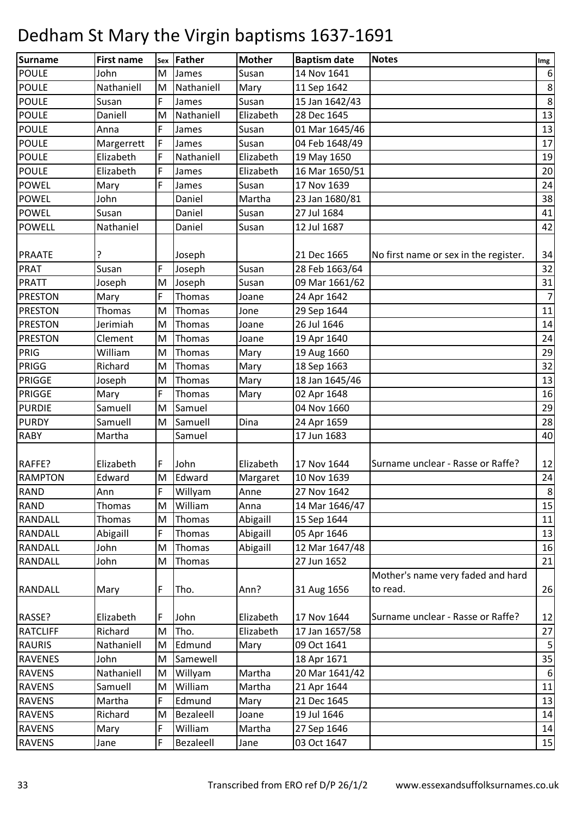| Surname         | <b>First name</b> | Sex | Father        | <b>Mother</b> | <b>Baptism date</b> | <b>Notes</b>                                  | Img            |
|-----------------|-------------------|-----|---------------|---------------|---------------------|-----------------------------------------------|----------------|
| <b>POULE</b>    | John              | M   | James         | Susan         | 14 Nov 1641         |                                               | 6              |
| <b>POULE</b>    | Nathaniell        | M   | Nathaniell    | Mary          | 11 Sep 1642         |                                               | $\bf 8$        |
| <b>POULE</b>    | Susan             | F   | James         | Susan         | 15 Jan 1642/43      |                                               | $8\phantom{1}$ |
| <b>POULE</b>    | Daniell           | M   | Nathaniell    | Elizabeth     | 28 Dec 1645         |                                               | 13             |
| <b>POULE</b>    | Anna              | F   | James         | Susan         | 01 Mar 1645/46      |                                               | 13             |
| <b>POULE</b>    | Margerrett        | F   | James         | Susan         | 04 Feb 1648/49      |                                               | 17             |
| <b>POULE</b>    | Elizabeth         | F   | Nathaniell    | Elizabeth     | 19 May 1650         |                                               | 19             |
| <b>POULE</b>    | Elizabeth         | F   | James         | Elizabeth     | 16 Mar 1650/51      |                                               | 20             |
| <b>POWEL</b>    | Mary              | F   | James         | Susan         | 17 Nov 1639         |                                               | 24             |
| <b>POWEL</b>    | John              |     | Daniel        | Martha        | 23 Jan 1680/81      |                                               | 38             |
| <b>POWEL</b>    | Susan             |     | Daniel        | Susan         | 27 Jul 1684         |                                               | 41             |
| <b>POWELL</b>   | Nathaniel         |     | Daniel        | Susan         | 12 Jul 1687         |                                               | 42             |
| <b>PRAATE</b>   |                   |     | Joseph        |               | 21 Dec 1665         | No first name or sex in the register.         | 34             |
| <b>PRAT</b>     | Susan             | F   | Joseph        | Susan         | 28 Feb 1663/64      |                                               | 32             |
| PRATT           | Joseph            | M   | Joseph        | Susan         | 09 Mar 1661/62      |                                               | 31             |
| <b>PRESTON</b>  | Mary              | F   | <b>Thomas</b> | Joane         | 24 Apr 1642         |                                               | 7              |
| <b>PRESTON</b>  | Thomas            | M   | Thomas        | Jone          | 29 Sep 1644         |                                               | 11             |
| <b>PRESTON</b>  | Jerimiah          | M   | Thomas        | Joane         | 26 Jul 1646         |                                               | 14             |
| <b>PRESTON</b>  | Clement           | M   | Thomas        | Joane         | 19 Apr 1640         |                                               | 24             |
| PRIG            | William           | M   | Thomas        | Mary          | 19 Aug 1660         |                                               | 29             |
| PRIGG           | Richard           | M   | Thomas        | Mary          | 18 Sep 1663         |                                               | 32             |
| <b>PRIGGE</b>   | Joseph            | M   | Thomas        | Mary          | 18 Jan 1645/46      |                                               | 13             |
| <b>PRIGGE</b>   | Mary              | F.  | Thomas        | Mary          | 02 Apr 1648         |                                               | 16             |
| <b>PURDIE</b>   | Samuell           | M   | Samuel        |               | 04 Nov 1660         |                                               | 29             |
| <b>PURDY</b>    | Samuell           | M   | Samuell       | Dina          | 24 Apr 1659         |                                               | 28             |
| <b>RABY</b>     | Martha            |     | Samuel        |               | 17 Jun 1683         |                                               | 40             |
|                 |                   |     |               |               |                     |                                               |                |
| RAFFE?          | Elizabeth         | F   | John          | Elizabeth     | 17 Nov 1644         | Surname unclear - Rasse or Raffe?             | 12             |
| <b>RAMPTON</b>  | Edward            | M   | Edward        | Margaret      | 10 Nov 1639         |                                               | 24             |
| <b>RAND</b>     | Ann               | F   | Willyam       | Anne          | 27 Nov 1642         |                                               | 8 <sup>1</sup> |
| <b>RAND</b>     | Thomas            | M   | William       | Anna          | 14 Mar 1646/47      |                                               | 15             |
| <b>RANDALL</b>  | Thomas            | M   | Thomas        | Abigaill      | 15 Sep 1644         |                                               | $11\,$         |
| RANDALL         | Abigaill          | F   | Thomas        | Abigaill      | 05 Apr 1646         |                                               | 13             |
| <b>RANDALL</b>  | John              | M   | Thomas        | Abigaill      | 12 Mar 1647/48      |                                               | 16             |
| <b>RANDALL</b>  | John              | M   | Thomas        |               | 27 Jun 1652         |                                               | 21             |
| <b>RANDALL</b>  | Mary              | F   | Tho.          | Ann?          | 31 Aug 1656         | Mother's name very faded and hard<br>to read. | 26             |
| RASSE?          | Elizabeth         | F   | John          | Elizabeth     | 17 Nov 1644         | Surname unclear - Rasse or Raffe?             | 12             |
| <b>RATCLIFF</b> | Richard           | M   | Tho.          | Elizabeth     | 17 Jan 1657/58      |                                               | 27             |
| <b>RAURIS</b>   | Nathaniell        | M   | Edmund        | Mary          | 09 Oct 1641         |                                               | $\mathbf{5}$   |
| <b>RAVENES</b>  | John              | M   | Samewell      |               | 18 Apr 1671         |                                               | 35             |
| <b>RAVENS</b>   | Nathaniell        | M   | Willyam       | Martha        | 20 Mar 1641/42      |                                               | 6              |
| <b>RAVENS</b>   | Samuell           | M   | William       | Martha        | 21 Apr 1644         |                                               | 11             |
| <b>RAVENS</b>   | Martha            | F   | Edmund        | Mary          | 21 Dec 1645         |                                               | 13             |
| <b>RAVENS</b>   | Richard           | M   | Bezaleell     | Joane         | 19 Jul 1646         |                                               | 14             |
| <b>RAVENS</b>   | Mary              | F   | William       | Martha        | 27 Sep 1646         |                                               | 14             |
| <b>RAVENS</b>   | Jane              | F   | Bezaleell     | Jane          | 03 Oct 1647         |                                               | 15             |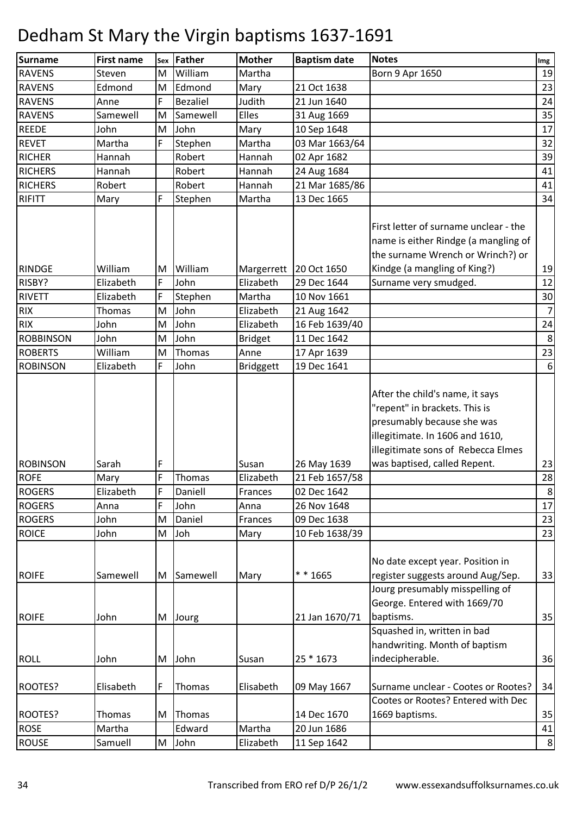| <b>Surname</b>   | <b>First name</b> | Sex | Father          | <b>Mother</b>      | <b>Baptism date</b> | <b>Notes</b>                                                                                                                                                                                            | Img                  |
|------------------|-------------------|-----|-----------------|--------------------|---------------------|---------------------------------------------------------------------------------------------------------------------------------------------------------------------------------------------------------|----------------------|
| <b>RAVENS</b>    | Steven            | M   | William         | Martha             |                     | Born 9 Apr 1650                                                                                                                                                                                         | 19                   |
| <b>RAVENS</b>    | Edmond            | M   | Edmond          | Mary               | 21 Oct 1638         |                                                                                                                                                                                                         | 23                   |
| <b>RAVENS</b>    | Anne              | F   | <b>Bezaliel</b> | Judith             | 21 Jun 1640         |                                                                                                                                                                                                         | 24                   |
| <b>RAVENS</b>    | Samewell          | M   | Samewell        | Elles              | 31 Aug 1669         |                                                                                                                                                                                                         | 35                   |
| <b>REEDE</b>     | John              | M   | John            | Mary               | 10 Sep 1648         |                                                                                                                                                                                                         | 17                   |
| <b>REVET</b>     | Martha            | F   | Stephen         | Martha             | 03 Mar 1663/64      |                                                                                                                                                                                                         | 32                   |
| <b>RICHER</b>    | Hannah            |     | Robert          | Hannah             | 02 Apr 1682         |                                                                                                                                                                                                         | 39                   |
| <b>RICHERS</b>   | Hannah            |     | Robert          | Hannah             | 24 Aug 1684         |                                                                                                                                                                                                         | 41                   |
| <b>RICHERS</b>   | Robert            |     | Robert          | Hannah             | 21 Mar 1685/86      |                                                                                                                                                                                                         | 41                   |
| RIFITT           | Mary              | F   | Stephen         | Martha             | 13 Dec 1665         |                                                                                                                                                                                                         | 34                   |
| <b>RINDGE</b>    | William           | M   | William         | Margerrett         | 20 Oct 1650         | First letter of surname unclear - the<br>name is either Rindge (a mangling of<br>the surname Wrench or Wrinch?) or<br>Kindge (a mangling of King?)                                                      | 19                   |
| RISBY?           | Elizabeth         | F   | John            | Elizabeth          | 29 Dec 1644         | Surname very smudged.                                                                                                                                                                                   | 12                   |
| <b>RIVETT</b>    | Elizabeth         | F   | Stephen         | Martha             | 10 Nov 1661         |                                                                                                                                                                                                         | 30                   |
| <b>RIX</b>       | Thomas            | M   | John            | Elizabeth          | 21 Aug 1642         |                                                                                                                                                                                                         | $\overline{7}$       |
| <b>RIX</b>       | John              | M   | John            | Elizabeth          | 16 Feb 1639/40      |                                                                                                                                                                                                         | 24                   |
| <b>ROBBINSON</b> | John              | M   | John            | <b>Bridget</b>     | 11 Dec 1642         |                                                                                                                                                                                                         | 8                    |
| <b>ROBERTS</b>   | William           | M   | Thomas          | Anne               | 17 Apr 1639         |                                                                                                                                                                                                         | 23                   |
| <b>ROBINSON</b>  | Elizabeth         | F   | John            | <b>Bridggett</b>   | 19 Dec 1641         |                                                                                                                                                                                                         | 6                    |
| <b>ROBINSON</b>  | Sarah             | F   |                 |                    | 26 May 1639         | After the child's name, it says<br>"repent" in brackets. This is<br>presumably because she was<br>illegitimate. In 1606 and 1610,<br>illegitimate sons of Rebecca Elmes<br>was baptised, called Repent. |                      |
| <b>ROFE</b>      |                   | F   | Thomas          | Susan<br>Elizabeth | 21 Feb 1657/58      |                                                                                                                                                                                                         | 23<br>28             |
| <b>ROGERS</b>    | Mary<br>Elizabeth | F   | Daniell         |                    | 02 Dec 1642         |                                                                                                                                                                                                         |                      |
| <b>ROGERS</b>    | Anna              | F   | John            | Frances<br>Anna    | 26 Nov 1648         |                                                                                                                                                                                                         | 8 <sup>1</sup><br>17 |
|                  | John              | M   | Daniel          |                    |                     |                                                                                                                                                                                                         |                      |
| <b>ROGERS</b>    |                   |     |                 | Frances            | 09 Dec 1638         |                                                                                                                                                                                                         | 23                   |
| <b>ROICE</b>     | John              | M   | Joh             | Mary               | 10 Feb 1638/39      |                                                                                                                                                                                                         | 23                   |
| <b>ROIFE</b>     | Samewell          | M   | Samewell        | Mary               | * * 1665            | No date except year. Position in<br>register suggests around Aug/Sep.<br>Jourg presumably misspelling of                                                                                                | 33                   |
| <b>ROIFE</b>     | John              | M   | Jourg           |                    | 21 Jan 1670/71      | George. Entered with 1669/70<br>baptisms.                                                                                                                                                               | 35                   |
| <b>ROLL</b>      | John              | M   | John            | Susan              | 25 * 1673           | Squashed in, written in bad<br>handwriting. Month of baptism<br>indecipherable.                                                                                                                         | 36                   |
|                  |                   |     |                 |                    |                     |                                                                                                                                                                                                         |                      |
| ROOTES?          | Elisabeth         | F   | Thomas          | Elisabeth          | 09 May 1667         | Surname unclear - Cootes or Rootes?                                                                                                                                                                     | 34                   |
|                  |                   |     |                 |                    |                     | Cootes or Rootes? Entered with Dec                                                                                                                                                                      |                      |
| ROOTES?          | Thomas            | M   | Thomas          |                    | 14 Dec 1670         | 1669 baptisms.                                                                                                                                                                                          | 35                   |
| <b>ROSE</b>      | Martha            |     | Edward          | Martha             | 20 Jun 1686         |                                                                                                                                                                                                         | 41                   |
| <b>ROUSE</b>     | Samuell           | M   | John            | Elizabeth          | 11 Sep 1642         |                                                                                                                                                                                                         | 8 <sub>l</sub>       |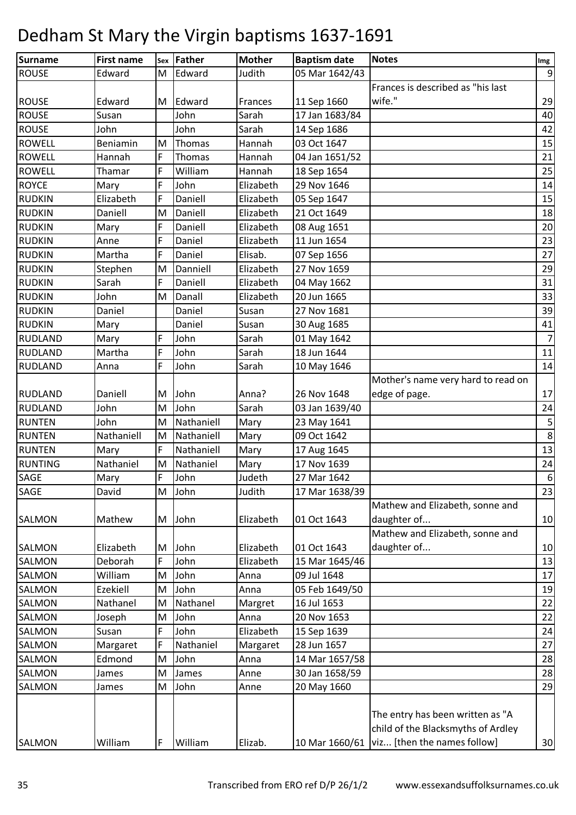| Surname        | <b>First name</b> | Sex | Father     | <b>Mother</b> | <b>Baptism date</b> | <b>Notes</b>                                                           | Img             |
|----------------|-------------------|-----|------------|---------------|---------------------|------------------------------------------------------------------------|-----------------|
| <b>ROUSE</b>   | Edward            | M   | Edward     | Judith        | 05 Mar 1642/43      |                                                                        | 9               |
|                |                   |     |            |               |                     | Frances is described as "his last                                      |                 |
| <b>ROUSE</b>   | Edward            | M   | Edward     | Frances       | 11 Sep 1660         | wife."                                                                 | 29              |
| <b>ROUSE</b>   | Susan             |     | John       | Sarah         | 17 Jan 1683/84      |                                                                        | 40              |
| <b>ROUSE</b>   | John              |     | John       | Sarah         | 14 Sep 1686         |                                                                        | 42              |
| <b>ROWELL</b>  | Beniamin          | M   | Thomas     | Hannah        | 03 Oct 1647         |                                                                        | 15              |
| <b>ROWELL</b>  | Hannah            | F   | Thomas     | Hannah        | 04 Jan 1651/52      |                                                                        | 21              |
| <b>ROWELL</b>  | Thamar            | F   | William    | Hannah        | 18 Sep 1654         |                                                                        | 25              |
| <b>ROYCE</b>   | Mary              | F   | John       | Elizabeth     | 29 Nov 1646         |                                                                        | 14              |
| <b>RUDKIN</b>  | Elizabeth         | F   | Daniell    | Elizabeth     | 05 Sep 1647         |                                                                        | 15              |
| <b>RUDKIN</b>  | Daniell           | M   | Daniell    | Elizabeth     | 21 Oct 1649         |                                                                        | 18              |
| <b>RUDKIN</b>  | Mary              | F   | Daniell    | Elizabeth     | 08 Aug 1651         |                                                                        | 20              |
| <b>RUDKIN</b>  | Anne              | F   | Daniel     | Elizabeth     | 11 Jun 1654         |                                                                        | 23              |
| <b>RUDKIN</b>  | Martha            | F   | Daniel     | Elisab.       | 07 Sep 1656         |                                                                        | 27              |
| <b>RUDKIN</b>  | Stephen           | M   | Danniell   | Elizabeth     | 27 Nov 1659         |                                                                        | 29              |
| <b>RUDKIN</b>  | Sarah             | F   | Daniell    | Elizabeth     | 04 May 1662         |                                                                        | 31              |
| <b>RUDKIN</b>  | John              | M   | Danall     | Elizabeth     | 20 Jun 1665         |                                                                        | 33              |
| <b>RUDKIN</b>  | Daniel            |     | Daniel     | Susan         | 27 Nov 1681         |                                                                        | 39              |
| <b>RUDKIN</b>  | Mary              |     | Daniel     | Susan         | 30 Aug 1685         |                                                                        | 41              |
| <b>RUDLAND</b> | Mary              | F   | John       | Sarah         | 01 May 1642         |                                                                        | 7               |
| <b>RUDLAND</b> | Martha            | F   | John       | Sarah         | 18 Jun 1644         |                                                                        | $11\,$          |
| <b>RUDLAND</b> | Anna              | F   | John       | Sarah         | 10 May 1646         |                                                                        | 14              |
|                |                   |     |            |               |                     | Mother's name very hard to read on                                     |                 |
| <b>RUDLAND</b> | Daniell           | M   | John       | Anna?         | 26 Nov 1648         | edge of page.                                                          | 17 <sup>1</sup> |
| <b>RUDLAND</b> | John              | M   | John       | Sarah         | 03 Jan 1639/40      |                                                                        | 24              |
| <b>RUNTEN</b>  | John              | M   | Nathaniell | Mary          | 23 May 1641         |                                                                        | 5               |
| <b>RUNTEN</b>  | Nathaniell        | M   | Nathaniell | Mary          | 09 Oct 1642         |                                                                        | $\,8\,$         |
| <b>RUNTEN</b>  | Mary              | F   | Nathaniell | Mary          | 17 Aug 1645         |                                                                        | 13              |
| <b>RUNTING</b> | Nathaniel         | M   | Nathaniel  | Mary          | 17 Nov 1639         |                                                                        | 24              |
| <b>SAGE</b>    | Mary              | F   | John       | Judeth        | 27 Mar 1642         |                                                                        | $6 \mid$        |
| SAGE           | David             | M   | John       | Judith        | 17 Mar 1638/39      |                                                                        | 23              |
|                |                   |     |            |               |                     | Mathew and Elizabeth, sonne and                                        |                 |
| <b>SALMON</b>  | Mathew            | M   | John       | Elizabeth     | 01 Oct 1643         | daughter of                                                            | 10              |
|                |                   |     |            |               |                     | Mathew and Elizabeth, sonne and                                        |                 |
| <b>SALMON</b>  | Elizabeth         | M   | John       | Elizabeth     | 01 Oct 1643         | daughter of                                                            | 10              |
| <b>SALMON</b>  | Deborah           | F   | John       | Elizabeth     | 15 Mar 1645/46      |                                                                        | 13              |
| <b>SALMON</b>  | William           | M   | John       | Anna          | 09 Jul 1648         |                                                                        | 17              |
| <b>SALMON</b>  | Ezekiell          | M   | John       | Anna          | 05 Feb 1649/50      |                                                                        | 19              |
| SALMON         | Nathanel          | M   | Nathanel   | Margret       | 16 Jul 1653         |                                                                        | 22              |
| SALMON         | Joseph            | M   | John       | Anna          | 20 Nov 1653         |                                                                        | 22              |
| SALMON         | Susan             | F   | John       | Elizabeth     | 15 Sep 1639         |                                                                        | 24              |
| SALMON         | Margaret          | F   | Nathaniel  | Margaret      | 28 Jun 1657         |                                                                        | 27              |
| SALMON         | Edmond            | M   | John       | Anna          | 14 Mar 1657/58      |                                                                        | 28              |
| SALMON         | James             | M   | James      | Anne          | 30 Jan 1658/59      |                                                                        | 28              |
| SALMON         | James             | M   | John       | Anne          | 20 May 1660         |                                                                        | 29              |
|                |                   |     |            |               |                     | The entry has been written as "A<br>child of the Blacksmyths of Ardley |                 |
| SALMON         | William           | F   | William    | Elizab.       |                     | 10 Mar 1660/61   viz [then the names follow]                           | 30              |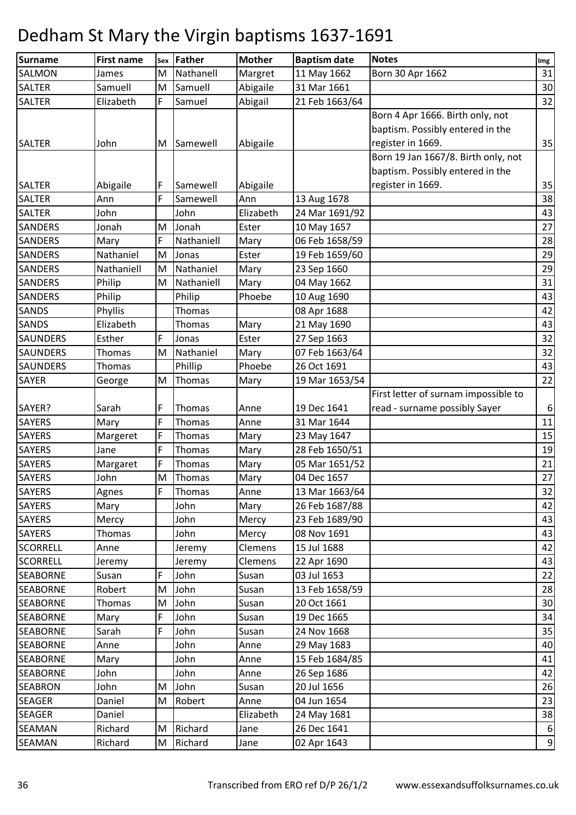| <b>Surname</b>  | <b>First name</b> | Sex | Father     | <b>Mother</b> | <b>Baptism date</b> | <b>Notes</b>                         | Img              |
|-----------------|-------------------|-----|------------|---------------|---------------------|--------------------------------------|------------------|
| SALMON          | James             | M   | Nathanell  | Margret       | 11 May 1662         | Born 30 Apr 1662                     | 31               |
| <b>SALTER</b>   | Samuell           | M   | Samuell    | Abigaile      | 31 Mar 1661         |                                      | 30               |
| <b>SALTER</b>   | Elizabeth         | F   | Samuel     | Abigail       | 21 Feb 1663/64      |                                      | 32               |
|                 |                   |     |            |               |                     | Born 4 Apr 1666. Birth only, not     |                  |
|                 |                   |     |            |               |                     | baptism. Possibly entered in the     |                  |
| <b>SALTER</b>   | John              | M   | Samewell   | Abigaile      |                     | register in 1669.                    | 35               |
|                 |                   |     |            |               |                     | Born 19 Jan 1667/8. Birth only, not  |                  |
|                 |                   |     |            |               |                     | baptism. Possibly entered in the     |                  |
| <b>SALTER</b>   | Abigaile          | F   | Samewell   | Abigaile      |                     | register in 1669.                    | 35               |
| <b>SALTER</b>   | Ann               | F   | Samewell   | Ann           | 13 Aug 1678         |                                      | 38               |
| <b>SALTER</b>   | John              |     | John       | Elizabeth     | 24 Mar 1691/92      |                                      | 43               |
| SANDERS         | Jonah             | M   | Jonah      | Ester         | 10 May 1657         |                                      | 27               |
| <b>SANDERS</b>  | Mary              | F   | Nathaniell | Mary          | 06 Feb 1658/59      |                                      | 28               |
| SANDERS         | Nathaniel         | M   | Jonas      | Ester         | 19 Feb 1659/60      |                                      | 29               |
| <b>SANDERS</b>  | Nathaniell        | M   | Nathaniel  | Mary          | 23 Sep 1660         |                                      | 29               |
| SANDERS         | Philip            | M   | Nathaniell | Mary          | 04 May 1662         |                                      | 31               |
| <b>SANDERS</b>  | Philip            |     | Philip     | Phoebe        | 10 Aug 1690         |                                      | 43               |
| SANDS           | Phyllis           |     | Thomas     |               | 08 Apr 1688         |                                      | 42               |
| <b>SANDS</b>    | Elizabeth         |     | Thomas     | Mary          | 21 May 1690         |                                      | 43               |
| <b>SAUNDERS</b> | Esther            | F   | Jonas      | Ester         | 27 Sep 1663         |                                      | 32               |
| SAUNDERS        | Thomas            | M   | Nathaniel  | Mary          | 07 Feb 1663/64      |                                      | 32               |
| SAUNDERS        | Thomas            |     | Phillip    | Phoebe        | 26 Oct 1691         |                                      | 43               |
| SAYER           | George            | M   | Thomas     | Mary          | 19 Mar 1653/54      |                                      | 22               |
|                 |                   |     |            |               |                     | First letter of surnam impossible to |                  |
| SAYER?          | Sarah             | F   | Thomas     | Anne          | 19 Dec 1641         | read - surname possibly Sayer        | $\boldsymbol{6}$ |
| <b>SAYERS</b>   | Mary              | F   | Thomas     | Anne          | 31 Mar 1644         |                                      | 11               |
| <b>SAYERS</b>   | Margeret          | F   | Thomas     | Mary          | 23 May 1647         |                                      | 15               |
| <b>SAYERS</b>   | Jane              | F   | Thomas     | Mary          | 28 Feb 1650/51      |                                      | 19               |
| <b>SAYERS</b>   | Margaret          | F   | Thomas     | Mary          | 05 Mar 1651/52      |                                      | 21               |
| <b>SAYERS</b>   | John              | M   | Thomas     | Mary          | 04 Dec 1657         |                                      | 27               |
| <b>SAYERS</b>   | Agnes             | F   | Thomas     | Anne          | 13 Mar 1663/64      |                                      | 32               |
| <b>SAYERS</b>   | Mary              |     | John       | Mary          | 26 Feb 1687/88      |                                      | 42               |
| <b>SAYERS</b>   | Mercy             |     | John       | Mercy         | 23 Feb 1689/90      |                                      | 43               |
| <b>SAYERS</b>   | Thomas            |     | John       | Mercy         | 08 Nov 1691         |                                      | 43               |
| <b>SCORRELL</b> | Anne              |     | Jeremy     | Clemens       | 15 Jul 1688         |                                      | 42               |
| <b>SCORRELL</b> | Jeremy            |     | Jeremy     | Clemens       | 22 Apr 1690         |                                      | 43               |
| <b>SEABORNE</b> | Susan             | F   | John       | Susan         | 03 Jul 1653         |                                      | 22               |
| <b>SEABORNE</b> | Robert            | M   | John       | Susan         | 13 Feb 1658/59      |                                      | 28               |
| <b>SEABORNE</b> | Thomas            | M   | John       | Susan         | 20 Oct 1661         |                                      | 30               |
| <b>SEABORNE</b> | Mary              | F   | John       | Susan         | 19 Dec 1665         |                                      | 34               |
| <b>SEABORNE</b> | Sarah             | F   | John       | Susan         | 24 Nov 1668         |                                      | 35               |
| <b>SEABORNE</b> | Anne              |     | John       | Anne          | 29 May 1683         |                                      | 40               |
| <b>SEABORNE</b> | Mary              |     | John       | Anne          | 15 Feb 1684/85      |                                      | 41               |
| <b>SEABORNE</b> | John              |     | John       | Anne          | 26 Sep 1686         |                                      | 42               |
| <b>SEABRON</b>  | John              | M   | John       | Susan         | 20 Jul 1656         |                                      | 26               |
| <b>SEAGER</b>   | Daniel            | M   | Robert     | Anne          | 04 Jun 1654         |                                      | 23               |
| <b>SEAGER</b>   | Daniel            |     |            | Elizabeth     | 24 May 1681         |                                      | 38               |
| SEAMAN          | Richard           | M   | Richard    | Jane          | 26 Dec 1641         |                                      | 6                |
| SEAMAN          | Richard           | M   | Richard    | Jane          | 02 Apr 1643         |                                      | $\boldsymbol{9}$ |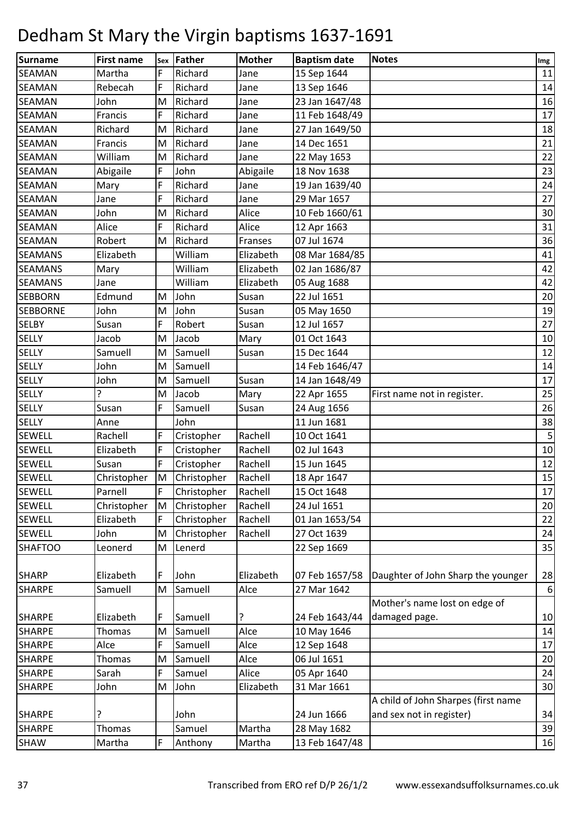| <b>Surname</b>  | <b>First name</b> | Sex | Father      | <b>Mother</b> | <b>Baptism date</b> | <b>Notes</b>                        | Img            |
|-----------------|-------------------|-----|-------------|---------------|---------------------|-------------------------------------|----------------|
| SEAMAN          | Martha            | F   | Richard     | Jane          | 15 Sep 1644         |                                     | 11             |
| <b>SEAMAN</b>   | Rebecah           | F   | Richard     | Jane          | 13 Sep 1646         |                                     | 14             |
| <b>SEAMAN</b>   | John              | M   | Richard     | Jane          | 23 Jan 1647/48      |                                     | 16             |
| <b>SEAMAN</b>   | Francis           | F   | Richard     | Jane          | 11 Feb 1648/49      |                                     | 17             |
| <b>SEAMAN</b>   | Richard           | M   | Richard     | Jane          | 27 Jan 1649/50      |                                     | 18             |
| <b>SEAMAN</b>   | Francis           | M   | Richard     | Jane          | 14 Dec 1651         |                                     | 21             |
| <b>SEAMAN</b>   | William           | M   | Richard     | Jane          | 22 May 1653         |                                     | 22             |
| <b>SEAMAN</b>   | Abigaile          | F   | John        | Abigaile      | 18 Nov 1638         |                                     | 23             |
| <b>SEAMAN</b>   | Mary              | F   | Richard     | Jane          | 19 Jan 1639/40      |                                     | 24             |
| SEAMAN          | Jane              | F   | Richard     | Jane          | 29 Mar 1657         |                                     | 27             |
| SEAMAN          | John              | M   | Richard     | Alice         | 10 Feb 1660/61      |                                     | 30             |
| <b>SEAMAN</b>   | Alice             | F   | Richard     | Alice         | 12 Apr 1663         |                                     | 31             |
| <b>SEAMAN</b>   | Robert            | M   | Richard     | Franses       | 07 Jul 1674         |                                     | 36             |
| <b>SEAMANS</b>  | Elizabeth         |     | William     | Elizabeth     | 08 Mar 1684/85      |                                     | 41             |
| <b>SEAMANS</b>  | Mary              |     | William     | Elizabeth     | 02 Jan 1686/87      |                                     | 42             |
| <b>SEAMANS</b>  | Jane              |     | William     | Elizabeth     | 05 Aug 1688         |                                     | 42             |
| <b>SEBBORN</b>  | Edmund            | M   | John        | Susan         | 22 Jul 1651         |                                     | 20             |
| <b>SEBBORNE</b> | John              | M   | John        | Susan         | 05 May 1650         |                                     | 19             |
| <b>SELBY</b>    | Susan             | F   | Robert      | Susan         | 12 Jul 1657         |                                     | 27             |
| <b>SELLY</b>    | Jacob             | M   | Jacob       | Mary          | 01 Oct 1643         |                                     | 10             |
| <b>SELLY</b>    | Samuell           | M   | Samuell     | Susan         | 15 Dec 1644         |                                     | 12             |
| <b>SELLY</b>    | John              | M   | Samuell     |               | 14 Feb 1646/47      |                                     | 14             |
| <b>SELLY</b>    | John              | M   | Samuell     | Susan         | 14 Jan 1648/49      |                                     | 17             |
| <b>SELLY</b>    | ?                 | M   | Jacob       | Mary          | 22 Apr 1655         | First name not in register.         | 25             |
| <b>SELLY</b>    | Susan             | F   | Samuell     | Susan         | 24 Aug 1656         |                                     | 26             |
| <b>SELLY</b>    | Anne              |     | John        |               | 11 Jun 1681         |                                     | 38             |
| <b>SEWELL</b>   | Rachell           | F   | Cristopher  | Rachell       | 10 Oct 1641         |                                     | $\overline{5}$ |
| <b>SEWELL</b>   | Elizabeth         | F   | Cristopher  | Rachell       | 02 Jul 1643         |                                     | 10             |
| <b>SEWELL</b>   | Susan             | F   | Cristopher  | Rachell       | 15 Jun 1645         |                                     | 12             |
| <b>SEWELL</b>   | Christopher       | M   | Christopher | Rachell       | 18 Apr 1647         |                                     | 15             |
| <b>SEWELL</b>   | Parnell           | F   | Christopher | Rachell       | 15 Oct 1648         |                                     | 17             |
| SEWELL          | Christopher       | M   | Christopher | Rachell       | 24 Jul 1651         |                                     | 20             |
| SEWELL          | Elizabeth         | F   | Christopher | Rachell       | 01 Jan 1653/54      |                                     | 22             |
| <b>SEWELL</b>   | John              | M   | Christopher | Rachell       | 27 Oct 1639         |                                     | 24             |
| <b>SHAFTOO</b>  | Leonerd           | M   | Lenerd      |               | 22 Sep 1669         |                                     | 35             |
| <b>SHARP</b>    | Elizabeth         | F   | John        | Elizabeth     | 07 Feb 1657/58      | Daughter of John Sharp the younger  | 28             |
| <b>SHARPE</b>   | Samuell           | M   | Samuell     | Alce          | 27 Mar 1642         |                                     | $6 \mid$       |
|                 |                   |     |             |               |                     | Mother's name lost on edge of       |                |
| <b>SHARPE</b>   | Elizabeth         | F   | Samuell     | ?             | 24 Feb 1643/44      | damaged page.                       | 10             |
| <b>SHARPE</b>   | Thomas            | M   | Samuell     | Alce          | 10 May 1646         |                                     | 14             |
| <b>SHARPE</b>   | Alce              | F   | Samuell     | Alce          | 12 Sep 1648         |                                     | 17             |
| <b>SHARPE</b>   | Thomas            | M   | Samuell     | Alce          | 06 Jul 1651         |                                     | 20             |
| <b>SHARPE</b>   | Sarah             | F   | Samuel      | Alice         | 05 Apr 1640         |                                     | 24             |
| <b>SHARPE</b>   | John              | M   | John        | Elizabeth     | 31 Mar 1661         |                                     | 30             |
|                 |                   |     |             |               |                     | A child of John Sharpes (first name |                |
| <b>SHARPE</b>   | ?                 |     | John        |               | 24 Jun 1666         | and sex not in register)            | 34             |
| <b>SHARPE</b>   | Thomas            |     | Samuel      | Martha        | 28 May 1682         |                                     | 39             |
| <b>SHAW</b>     | Martha            | F   | Anthony     | Martha        | 13 Feb 1647/48      |                                     | 16             |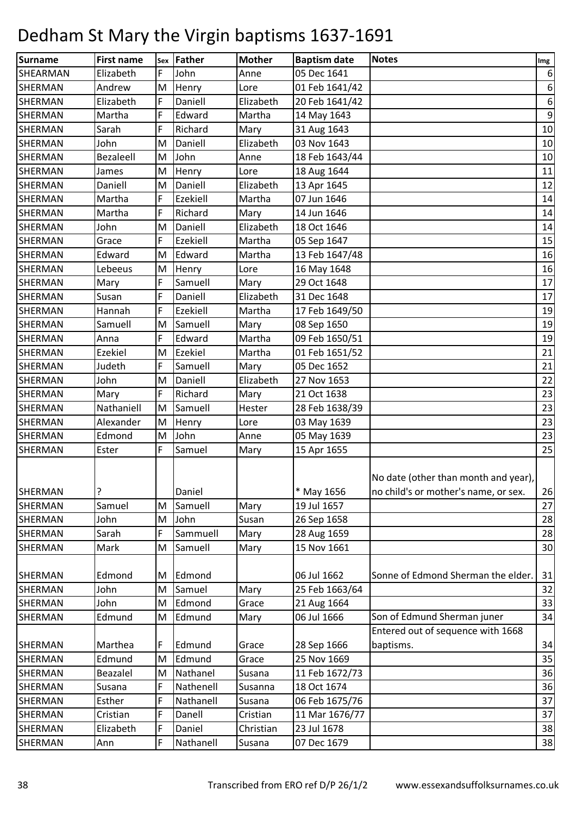| <b>Surname</b> | <b>First name</b> | Sex | Father          | <b>Mother</b> | <b>Baptism date</b> | <b>Notes</b>                                                                 | Img            |
|----------------|-------------------|-----|-----------------|---------------|---------------------|------------------------------------------------------------------------------|----------------|
| SHEARMAN       | Elizabeth         | F   | John            | Anne          | 05 Dec 1641         |                                                                              | 6              |
| <b>SHERMAN</b> | Andrew            | M   | Henry           | Lore          | 01 Feb 1641/42      |                                                                              | 6 <sup>1</sup> |
| <b>SHERMAN</b> | Elizabeth         | F   | Daniell         | Elizabeth     | 20 Feb 1641/42      |                                                                              | 6 <sup>1</sup> |
| <b>SHERMAN</b> | Martha            | F   | Edward          | Martha        | 14 May 1643         |                                                                              | 9              |
| <b>SHERMAN</b> | Sarah             | F   | Richard         | Mary          | 31 Aug 1643         |                                                                              | 10             |
| <b>SHERMAN</b> | John              | M   | Daniell         | Elizabeth     | 03 Nov 1643         |                                                                              | 10             |
| SHERMAN        | Bezaleell         | M   | John            | Anne          | 18 Feb 1643/44      |                                                                              | 10             |
| <b>SHERMAN</b> | James             | M   | Henry           | Lore          | 18 Aug 1644         |                                                                              | 11             |
| <b>SHERMAN</b> | Daniell           | M   | Daniell         | Elizabeth     | 13 Apr 1645         |                                                                              | 12             |
| SHERMAN        | Martha            | F   | Ezekiell        | Martha        | 07 Jun 1646         |                                                                              | 14             |
| <b>SHERMAN</b> | Martha            | F   | Richard         | Mary          | 14 Jun 1646         |                                                                              | 14             |
| SHERMAN        | John              | M   | Daniell         | Elizabeth     | 18 Oct 1646         |                                                                              | 14             |
| <b>SHERMAN</b> | Grace             | F   | <b>Ezekiell</b> | Martha        | 05 Sep 1647         |                                                                              | 15             |
| <b>SHERMAN</b> | Edward            | M   | Edward          | Martha        | 13 Feb 1647/48      |                                                                              | 16             |
| SHERMAN        | Lebeeus           | M   | Henry           | Lore          | 16 May 1648         |                                                                              | 16             |
| <b>SHERMAN</b> | Mary              | F   | Samuell         | Mary          | 29 Oct 1648         |                                                                              | 17             |
| SHERMAN        | Susan             | F   | Daniell         | Elizabeth     | 31 Dec 1648         |                                                                              | 17             |
| <b>SHERMAN</b> | Hannah            | F   | <b>Ezekiell</b> | Martha        | 17 Feb 1649/50      |                                                                              | 19             |
| <b>SHERMAN</b> | Samuell           | M   | Samuell         | Mary          | 08 Sep 1650         |                                                                              | 19             |
| SHERMAN        | Anna              | F   | Edward          | Martha        | 09 Feb 1650/51      |                                                                              | 19             |
| SHERMAN        | Ezekiel           | M   | <b>Ezekiel</b>  | Martha        | 01 Feb 1651/52      |                                                                              | 21             |
| SHERMAN        | Judeth            | F   | Samuell         | Mary          | 05 Dec 1652         |                                                                              | 21             |
| <b>SHERMAN</b> | John              | M   | Daniell         | Elizabeth     | 27 Nov 1653         |                                                                              | 22             |
| <b>SHERMAN</b> | Mary              | F   | Richard         | Mary          | 21 Oct 1638         |                                                                              | 23             |
| SHERMAN        | Nathaniell        | M   | Samuell         | Hester        | 28 Feb 1638/39      |                                                                              | 23             |
| <b>SHERMAN</b> | Alexander         | M   | Henry           | Lore          | 03 May 1639         |                                                                              | 23             |
| <b>SHERMAN</b> | Edmond            | M   | John            | Anne          | 05 May 1639         |                                                                              | 23             |
| SHERMAN        | Ester             | F   | Samuel          | Mary          | 15 Apr 1655         |                                                                              | 25             |
| SHERMAN        | ?                 |     | Daniel          |               | * May 1656          | No date (other than month and year),<br>no child's or mother's name, or sex. | 26             |
| <b>SHERMAN</b> | Samuel            | M   | Samuell         | Mary          | 19 Jul 1657         |                                                                              | 27             |
| <b>SHERMAN</b> | John              | M   | John            | Susan         | 26 Sep 1658         |                                                                              | 28             |
| <b>SHERMAN</b> | Sarah             | F   | Sammuell        | Mary          | 28 Aug 1659         |                                                                              | 28             |
| <b>SHERMAN</b> | Mark              | M   | Samuell         | Mary          | 15 Nov 1661         |                                                                              | 30             |
| SHERMAN        | Edmond            | M   | Edmond          |               | 06 Jul 1662         | Sonne of Edmond Sherman the elder.                                           | 31             |
| SHERMAN        | John              | M   | Samuel          | Mary          | 25 Feb 1663/64      |                                                                              | 32             |
| <b>SHERMAN</b> | John              | M   | Edmond          | Grace         | 21 Aug 1664         |                                                                              | 33             |
| <b>SHERMAN</b> | Edmund            | M   | Edmund          | Mary          | 06 Jul 1666         | Son of Edmund Sherman juner                                                  | 34             |
|                |                   |     |                 |               |                     | Entered out of sequence with 1668                                            |                |
| SHERMAN        | Marthea           | F   | Edmund          | Grace         | 28 Sep 1666         | baptisms.                                                                    | 34             |
| <b>SHERMAN</b> | Edmund            | M   | Edmund          | Grace         | 25 Nov 1669         |                                                                              | 35             |
| <b>SHERMAN</b> | Beazalel          | M   | Nathanel        | Susana        | 11 Feb 1672/73      |                                                                              | 36             |
| <b>SHERMAN</b> | Susana            | F   | Nathenell       | Susanna       | 18 Oct 1674         |                                                                              | 36             |
| SHERMAN        | Esther            | F   | Nathanell       | Susana        | 06 Feb 1675/76      |                                                                              | 37             |
| SHERMAN        | Cristian          | F   | Danell          | Cristian      | 11 Mar 1676/77      |                                                                              | 37             |
| SHERMAN        | Elizabeth         | F   | Daniel          | Christian     | 23 Jul 1678         |                                                                              | 38             |
| SHERMAN        | Ann               | F   | Nathanell       | Susana        | 07 Dec 1679         |                                                                              | 38             |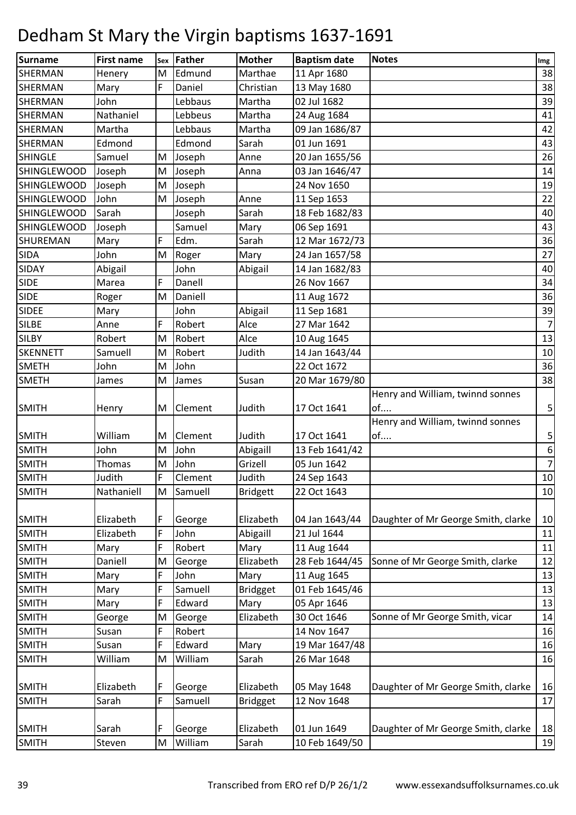| Surname            | <b>First name</b> | Sex | Father  | <b>Mother</b>   | <b>Baptism date</b> | <b>Notes</b>                        | Img            |
|--------------------|-------------------|-----|---------|-----------------|---------------------|-------------------------------------|----------------|
| SHERMAN            | Henery            | M   | Edmund  | Marthae         | 11 Apr 1680         |                                     | 38             |
| <b>SHERMAN</b>     | Mary              | F   | Daniel  | Christian       | 13 May 1680         |                                     | 38             |
| <b>SHERMAN</b>     | John              |     | Lebbaus | Martha          | 02 Jul 1682         |                                     | 39             |
| <b>SHERMAN</b>     | Nathaniel         |     | Lebbeus | Martha          | 24 Aug 1684         |                                     | 41             |
| SHERMAN            | Martha            |     | Lebbaus | Martha          | 09 Jan 1686/87      |                                     | 42             |
| SHERMAN            | Edmond            |     | Edmond  | Sarah           | 01 Jun 1691         |                                     | 43             |
| <b>SHINGLE</b>     | Samuel            | M   | Joseph  | Anne            | 20 Jan 1655/56      |                                     | 26             |
| <b>SHINGLEWOOD</b> | Joseph            | M   | Joseph  | Anna            | 03 Jan 1646/47      |                                     | 14             |
| <b>SHINGLEWOOD</b> | Joseph            | M   | Joseph  |                 | 24 Nov 1650         |                                     | 19             |
| <b>SHINGLEWOOD</b> | John              | M   | Joseph  | Anne            | 11 Sep 1653         |                                     | 22             |
| <b>SHINGLEWOOD</b> | Sarah             |     | Joseph  | Sarah           | 18 Feb 1682/83      |                                     | 40             |
| <b>SHINGLEWOOD</b> | Joseph            |     | Samuel  | Mary            | 06 Sep 1691         |                                     | 43             |
| <b>SHUREMAN</b>    | Mary              | F   | Edm.    | Sarah           | 12 Mar 1672/73      |                                     | 36             |
| <b>SIDA</b>        | John              | M   | Roger   | Mary            | 24 Jan 1657/58      |                                     | 27             |
| SIDAY              | Abigail           |     | John    | Abigail         | 14 Jan 1682/83      |                                     | 40             |
| <b>SIDE</b>        | Marea             | F   | Danell  |                 | 26 Nov 1667         |                                     | 34             |
| <b>SIDE</b>        | Roger             | M   | Daniell |                 | 11 Aug 1672         |                                     | 36             |
| <b>SIDEE</b>       | Mary              |     | John    | Abigail         | 11 Sep 1681         |                                     | 39             |
| <b>SILBE</b>       | Anne              | F   | Robert  | Alce            | 27 Mar 1642         |                                     | $\overline{7}$ |
| <b>SILBY</b>       | Robert            | M   | Robert  | Alce            | 10 Aug 1645         |                                     | 13             |
| <b>SKENNETT</b>    | Samuell           | M   | Robert  | Judith          | 14 Jan 1643/44      |                                     | 10             |
| <b>SMETH</b>       | John              | M   | John    |                 | 22 Oct 1672         |                                     | 36             |
| <b>SMETH</b>       | James             | M   | James   | Susan           | 20 Mar 1679/80      |                                     | 38             |
|                    |                   |     |         |                 |                     | Henry and William, twinnd sonnes    |                |
| <b>SMITH</b>       | Henry             | M   | Clement | Judith          | 17 Oct 1641         | of                                  | $\mathbf{5}$   |
|                    |                   |     |         |                 |                     | Henry and William, twinnd sonnes    |                |
| <b>SMITH</b>       | William           | M   | Clement | Judith          | 17 Oct 1641         | of                                  | $\mathsf{5}$   |
| <b>SMITH</b>       | John              | M   | John    | Abigaill        | 13 Feb 1641/42      |                                     | 6 <sup>1</sup> |
| <b>SMITH</b>       | Thomas            | M   | John    | Grizell         | 05 Jun 1642         |                                     | 7 <sup>1</sup> |
| <b>SMITH</b>       | Judith            | F   | Clement | Judith          | 24 Sep 1643         |                                     | 10             |
| <b>SMITH</b>       | Nathaniell        | M   | Samuell | <b>Bridgett</b> | 22 Oct 1643         |                                     | 10             |
| <b>SMITH</b>       | Elizabeth         | F   | George  | Elizabeth       | 04 Jan 1643/44      | Daughter of Mr George Smith, clarke | 10             |
| <b>SMITH</b>       | Elizabeth         | F   | John    | Abigaill        | 21 Jul 1644         |                                     | $11\,$         |
| <b>SMITH</b>       | Mary              | F   | Robert  | Mary            | 11 Aug 1644         |                                     | 11             |
| <b>SMITH</b>       | Daniell           | M   | George  | Elizabeth       | 28 Feb 1644/45      | Sonne of Mr George Smith, clarke    | 12             |
| <b>SMITH</b>       | Mary              | F   | John    | Mary            | 11 Aug 1645         |                                     | 13             |
| <b>SMITH</b>       | Mary              | F   | Samuell | <b>Bridgget</b> | 01 Feb 1645/46      |                                     | 13             |
| <b>SMITH</b>       | Mary              | F   | Edward  | Mary            | 05 Apr 1646         |                                     | 13             |
| <b>SMITH</b>       | George            | M   | George  | Elizabeth       | 30 Oct 1646         | Sonne of Mr George Smith, vicar     | 14             |
| <b>SMITH</b>       | Susan             | F   | Robert  |                 | 14 Nov 1647         |                                     | 16             |
| <b>SMITH</b>       | Susan             | F   | Edward  | Mary            | 19 Mar 1647/48      |                                     | 16             |
| <b>SMITH</b>       | William           | M   | William | Sarah           | 26 Mar 1648         |                                     | 16             |
|                    |                   |     |         |                 |                     |                                     |                |
| <b>SMITH</b>       | Elizabeth         | F   | George  | Elizabeth       | 05 May 1648         | Daughter of Mr George Smith, clarke | 16             |
| <b>SMITH</b>       | Sarah             | F   | Samuell | <b>Bridgget</b> | 12 Nov 1648         |                                     | 17             |
|                    |                   |     |         |                 |                     |                                     |                |
| <b>SMITH</b>       | Sarah             | F   | George  | Elizabeth       | 01 Jun 1649         | Daughter of Mr George Smith, clarke | 18             |
| <b>SMITH</b>       | Steven            | M   | William | Sarah           | 10 Feb 1649/50      |                                     | 19             |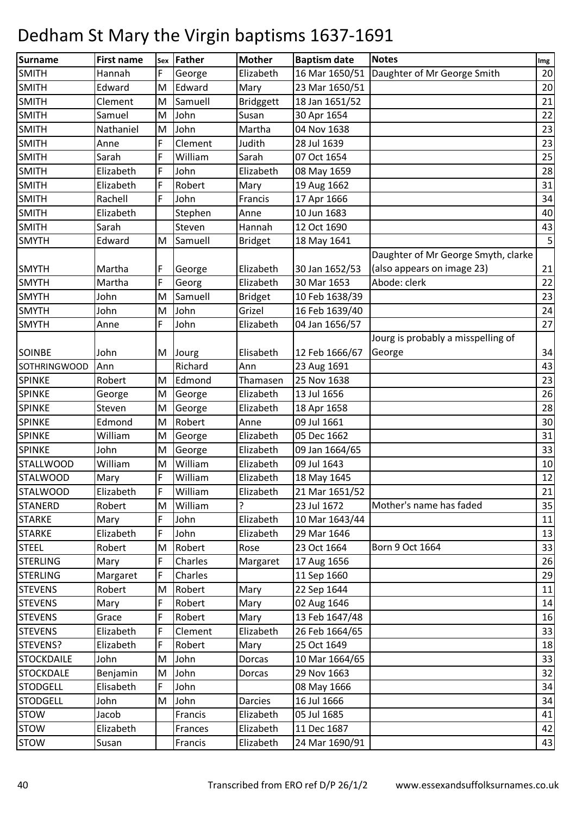| <b>Surname</b>      | <b>First name</b> | Sex | Father  | <b>Mother</b>    | <b>Baptism date</b> | <b>Notes</b>                        | Img |
|---------------------|-------------------|-----|---------|------------------|---------------------|-------------------------------------|-----|
| <b>SMITH</b>        | Hannah            | F   | George  | Elizabeth        | 16 Mar 1650/51      | Daughter of Mr George Smith         | 20  |
| <b>SMITH</b>        | Edward            | M   | Edward  | Mary             | 23 Mar 1650/51      |                                     | 20  |
| <b>SMITH</b>        | Clement           | M   | Samuell | <b>Bridggett</b> | 18 Jan 1651/52      |                                     | 21  |
| <b>SMITH</b>        | Samuel            | M   | John    | Susan            | 30 Apr 1654         |                                     | 22  |
| <b>SMITH</b>        | Nathaniel         | M   | John    | Martha           | 04 Nov 1638         |                                     | 23  |
| <b>SMITH</b>        | Anne              | F   | Clement | Judith           | 28 Jul 1639         |                                     | 23  |
| <b>SMITH</b>        | Sarah             | F   | William | Sarah            | 07 Oct 1654         |                                     | 25  |
| <b>SMITH</b>        | Elizabeth         | F   | John    | Elizabeth        | 08 May 1659         |                                     | 28  |
| <b>SMITH</b>        | Elizabeth         | F   | Robert  | Mary             | 19 Aug 1662         |                                     | 31  |
| <b>SMITH</b>        | Rachell           | F   | John    | Francis          | 17 Apr 1666         |                                     | 34  |
| <b>SMITH</b>        | Elizabeth         |     | Stephen | Anne             | 10 Jun 1683         |                                     | 40  |
| <b>SMITH</b>        | Sarah             |     | Steven  | Hannah           | 12 Oct 1690         |                                     | 43  |
| <b>SMYTH</b>        | Edward            | M   | Samuell | <b>Bridget</b>   | 18 May 1641         |                                     | 5   |
|                     |                   |     |         |                  |                     | Daughter of Mr George Smyth, clarke |     |
| <b>SMYTH</b>        | Martha            | F   | George  | Elizabeth        | 30 Jan 1652/53      | (also appears on image 23)          | 21  |
| <b>SMYTH</b>        | Martha            | F   | Georg   | Elizabeth        | 30 Mar 1653         | Abode: clerk                        | 22  |
| <b>SMYTH</b>        | John              | M   | Samuell | <b>Bridget</b>   | 10 Feb 1638/39      |                                     | 23  |
| <b>SMYTH</b>        | John              | M   | John    | Grizel           | 16 Feb 1639/40      |                                     | 24  |
| <b>SMYTH</b>        | Anne              | F   | John    | Elizabeth        | 04 Jan 1656/57      |                                     | 27  |
|                     |                   |     |         |                  |                     | Jourg is probably a misspelling of  |     |
| <b>SOINBE</b>       | John              | M   | Jourg   | Elisabeth        | 12 Feb 1666/67      | George                              | 34  |
| <b>SOTHRINGWOOD</b> | Ann               |     | Richard | Ann              | 23 Aug 1691         |                                     | 43  |
| <b>SPINKE</b>       | Robert            | M   | Edmond  | Thamasen         | 25 Nov 1638         |                                     | 23  |
| <b>SPINKE</b>       | George            | M   | George  | Elizabeth        | 13 Jul 1656         |                                     | 26  |
| <b>SPINKE</b>       | Steven            | M   | George  | Elizabeth        | 18 Apr 1658         |                                     | 28  |
| <b>SPINKE</b>       | Edmond            | M   | Robert  | Anne             | 09 Jul 1661         |                                     | 30  |
| <b>SPINKE</b>       | William           | M   | George  | Elizabeth        | 05 Dec 1662         |                                     | 31  |
| <b>SPINKE</b>       | John              | M   | George  | Elizabeth        | 09 Jan 1664/65      |                                     | 33  |
| <b>STALLWOOD</b>    | William           | M   | William | Elizabeth        | 09 Jul 1643         |                                     | 10  |
| <b>STALWOOD</b>     | Mary              | F   | William | Elizabeth        | 18 May 1645         |                                     | 12  |
| <b>STALWOOD</b>     | Elizabeth         | F   | William | Elizabeth        | 21 Mar 1651/52      |                                     | 21  |
| <b>STANERD</b>      | Robert            | M   | William | ç                | 23 Jul 1672         | Mother's name has faded             | 35  |
| <b>STARKE</b>       | Mary              | F   | John    | Elizabeth        | 10 Mar 1643/44      |                                     | 11  |
| <b>STARKE</b>       | Elizabeth         | F   | John    | Elizabeth        | 29 Mar 1646         |                                     | 13  |
| <b>STEEL</b>        | Robert            | M   | Robert  | Rose             | 23 Oct 1664         | Born 9 Oct 1664                     | 33  |
| <b>STERLING</b>     | Mary              | F   | Charles | Margaret         | 17 Aug 1656         |                                     | 26  |
| <b>STERLING</b>     | Margaret          | F   | Charles |                  | 11 Sep 1660         |                                     | 29  |
| <b>STEVENS</b>      | Robert            | M   | Robert  | Mary             | 22 Sep 1644         |                                     | 11  |
| <b>STEVENS</b>      | Mary              | F   | Robert  | Mary             | 02 Aug 1646         |                                     | 14  |
| <b>STEVENS</b>      | Grace             | F   | Robert  | Mary             | 13 Feb 1647/48      |                                     | 16  |
| <b>STEVENS</b>      | Elizabeth         | F   | Clement | Elizabeth        | 26 Feb 1664/65      |                                     | 33  |
| STEVENS?            | Elizabeth         | F   | Robert  | Mary             | 25 Oct 1649         |                                     | 18  |
| <b>STOCKDAILE</b>   | John              | M   | John    | Dorcas           | 10 Mar 1664/65      |                                     | 33  |
| <b>STOCKDALE</b>    | Benjamin          | M   | John    | Dorcas           | 29 Nov 1663         |                                     | 32  |
| <b>STODGELL</b>     | Elisabeth         | F   | John    |                  | 08 May 1666         |                                     | 34  |
| <b>STODGELL</b>     | John              | M   | John    | <b>Darcies</b>   | 16 Jul 1666         |                                     | 34  |
| <b>STOW</b>         | Jacob             |     | Francis | Elizabeth        | 05 Jul 1685         |                                     | 41  |
| <b>STOW</b>         | Elizabeth         |     | Frances | Elizabeth        | 11 Dec 1687         |                                     | 42  |
| <b>STOW</b>         | Susan             |     | Francis | Elizabeth        | 24 Mar 1690/91      |                                     | 43  |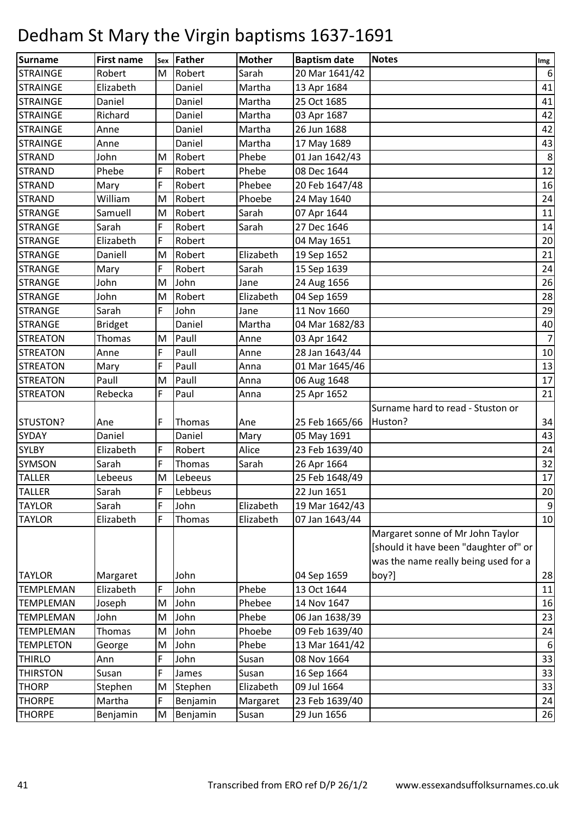| <b>Surname</b>   | <b>First name</b> | Sex | Father   | <b>Mother</b> | <b>Baptism date</b> | <b>Notes</b>                          | Img            |
|------------------|-------------------|-----|----------|---------------|---------------------|---------------------------------------|----------------|
| <b>STRAINGE</b>  | Robert            | M   | Robert   | Sarah         | 20 Mar 1641/42      |                                       | 6              |
| <b>STRAINGE</b>  | Elizabeth         |     | Daniel   | Martha        | 13 Apr 1684         |                                       | 41             |
| <b>STRAINGE</b>  | Daniel            |     | Daniel   | Martha        | 25 Oct 1685         |                                       | 41             |
| <b>STRAINGE</b>  | Richard           |     | Daniel   | Martha        | 03 Apr 1687         |                                       | 42             |
| <b>STRAINGE</b>  | Anne              |     | Daniel   | Martha        | 26 Jun 1688         |                                       | 42             |
| <b>STRAINGE</b>  | Anne              |     | Daniel   | Martha        | 17 May 1689         |                                       | 43             |
| <b>STRAND</b>    | John              | M   | Robert   | Phebe         | 01 Jan 1642/43      |                                       | 8              |
| <b>STRAND</b>    | Phebe             | F   | Robert   | Phebe         | 08 Dec 1644         |                                       | 12             |
| <b>STRAND</b>    | Mary              | F   | Robert   | Phebee        | 20 Feb 1647/48      |                                       | 16             |
| <b>STRAND</b>    | William           | M   | Robert   | Phoebe        | 24 May 1640         |                                       | 24             |
| <b>STRANGE</b>   | Samuell           | M   | Robert   | Sarah         | 07 Apr 1644         |                                       | 11             |
| <b>STRANGE</b>   | Sarah             | F   | Robert   | Sarah         | 27 Dec 1646         |                                       | 14             |
| <b>STRANGE</b>   | Elizabeth         | F   | Robert   |               | 04 May 1651         |                                       | 20             |
| <b>STRANGE</b>   | Daniell           | M   | Robert   | Elizabeth     | 19 Sep 1652         |                                       | 21             |
| <b>STRANGE</b>   | Mary              | F   | Robert   | Sarah         | 15 Sep 1639         |                                       | 24             |
| <b>STRANGE</b>   | John              | M   | John     | Jane          | 24 Aug 1656         |                                       | 26             |
| <b>STRANGE</b>   | John              | M   | Robert   | Elizabeth     | 04 Sep 1659         |                                       | 28             |
| <b>STRANGE</b>   | Sarah             | F   | John     | Jane          | 11 Nov 1660         |                                       | 29             |
| <b>STRANGE</b>   | <b>Bridget</b>    |     | Daniel   | Martha        | 04 Mar 1682/83      |                                       | 40             |
| <b>STREATON</b>  | Thomas            | M   | Paull    | Anne          | 03 Apr 1642         |                                       | $\overline{7}$ |
| <b>STREATON</b>  | Anne              | F   | Paull    | Anne          | 28 Jan 1643/44      |                                       | 10             |
| <b>STREATON</b>  | Mary              | F   | Paull    | Anna          | 01 Mar 1645/46      |                                       | 13             |
| <b>STREATON</b>  | Paull             | M   | Paull    | Anna          | 06 Aug 1648         |                                       | 17             |
| <b>STREATON</b>  | Rebecka           | F   | Paul     | Anna          | 25 Apr 1652         |                                       | 21             |
|                  |                   |     |          |               |                     | Surname hard to read - Stuston or     |                |
| STUSTON?         | Ane               | F   | Thomas   | Ane           | 25 Feb 1665/66      | Huston?                               | 34             |
| <b>SYDAY</b>     | Daniel            |     | Daniel   | Mary          | 05 May 1691         |                                       | 43             |
| <b>SYLBY</b>     | Elizabeth         | F   | Robert   | Alice         | 23 Feb 1639/40      |                                       | 24             |
| <b>SYMSON</b>    | Sarah             | F   | Thomas   | Sarah         | 26 Apr 1664         |                                       | 32             |
| <b>TALLER</b>    | Lebeeus           | M   | Lebeeus  |               | 25 Feb 1648/49      |                                       | 17             |
| <b>TALLER</b>    | Sarah             | F   | Lebbeus  |               | 22 Jun 1651         |                                       | 20             |
| <b>TAYLOR</b>    | Sarah             | F   | John     | Elizabeth     | 19 Mar 1642/43      |                                       | 9              |
| <b>TAYLOR</b>    | Elizabeth         | F   | Thomas   | Elizabeth     | 07 Jan 1643/44      |                                       | 10             |
|                  |                   |     |          |               |                     | Margaret sonne of Mr John Taylor      |                |
|                  |                   |     |          |               |                     | [should it have been "daughter of" or |                |
|                  |                   |     |          |               |                     | was the name really being used for a  |                |
| <b>TAYLOR</b>    | Margaret          |     | John     |               | 04 Sep 1659         | boy?]                                 | 28             |
| <b>TEMPLEMAN</b> | Elizabeth         | F   | John     | Phebe         | 13 Oct 1644         |                                       | 11             |
| <b>TEMPLEMAN</b> | Joseph            | M   | John     | Phebee        | 14 Nov 1647         |                                       | 16             |
| <b>TEMPLEMAN</b> | John              | M   | John     | Phebe         | 06 Jan 1638/39      |                                       | 23             |
| <b>TEMPLEMAN</b> | Thomas            | M   | John     | Phoebe        | 09 Feb 1639/40      |                                       | 24             |
| <b>TEMPLETON</b> | George            | M   | John     | Phebe         | 13 Mar 1641/42      |                                       | $6 \mid$       |
| <b>THIRLO</b>    | Ann               | F   | John     | Susan         | 08 Nov 1664         |                                       | 33             |
| <b>THIRSTON</b>  | Susan             | F   | James    | Susan         | 16 Sep 1664         |                                       | 33             |
| <b>THORP</b>     | Stephen           | M   | Stephen  | Elizabeth     | 09 Jul 1664         |                                       | 33             |
| <b>THORPE</b>    | Martha            | F   | Benjamin | Margaret      | 23 Feb 1639/40      |                                       | 24             |
| <b>THORPE</b>    | Benjamin          | M   | Benjamin | Susan         | 29 Jun 1656         |                                       | 26             |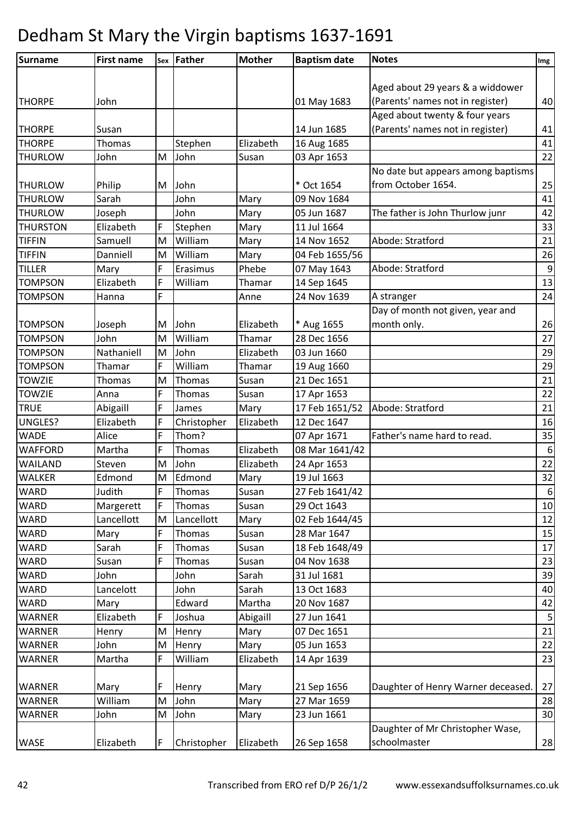| <b>Surname</b>  | <b>First name</b> |   | Sex Father  | <b>Mother</b> | <b>Baptism date</b> | <b>Notes</b>                       | Img              |
|-----------------|-------------------|---|-------------|---------------|---------------------|------------------------------------|------------------|
|                 |                   |   |             |               |                     |                                    |                  |
|                 |                   |   |             |               |                     | Aged about 29 years & a widdower   |                  |
| <b>THORPE</b>   | John              |   |             |               | 01 May 1683         | (Parents' names not in register)   | 40               |
|                 |                   |   |             |               |                     | Aged about twenty & four years     |                  |
| <b>THORPE</b>   | Susan             |   |             |               | 14 Jun 1685         | (Parents' names not in register)   | 41               |
| <b>THORPE</b>   | Thomas            |   | Stephen     | Elizabeth     | 16 Aug 1685         |                                    | 41               |
| <b>THURLOW</b>  | John              | M | John        | Susan         | 03 Apr 1653         |                                    | 22               |
|                 |                   |   |             |               |                     | No date but appears among baptisms |                  |
| <b>THURLOW</b>  | Philip            | M | John        |               | * Oct 1654          | from October 1654.                 | 25               |
| <b>THURLOW</b>  | Sarah             |   | John        | Mary          | 09 Nov 1684         |                                    | 41               |
| <b>THURLOW</b>  | Joseph            |   | John        | Mary          | 05 Jun 1687         | The father is John Thurlow junr    | 42               |
| <b>THURSTON</b> | Elizabeth         | F | Stephen     | Mary          | 11 Jul 1664         |                                    | 33               |
| <b>TIFFIN</b>   | Samuell           | M | William     | Mary          | 14 Nov 1652         | Abode: Stratford                   | 21               |
| <b>TIFFIN</b>   | Danniell          | M | William     | Mary          | 04 Feb 1655/56      |                                    | 26               |
| <b>TILLER</b>   | Mary              | F | Erasimus    | Phebe         | 07 May 1643         | Abode: Stratford                   | $\boldsymbol{9}$ |
| <b>TOMPSON</b>  | Elizabeth         | F | William     | Thamar        | 14 Sep 1645         |                                    | 13               |
| <b>TOMPSON</b>  | Hanna             | F |             | Anne          | 24 Nov 1639         | A stranger                         | 24               |
|                 |                   |   |             |               |                     | Day of month not given, year and   |                  |
| <b>TOMPSON</b>  | Joseph            | M | John        | Elizabeth     | * Aug 1655          | month only.                        | 26               |
| <b>TOMPSON</b>  | John              | M | William     | Thamar        | 28 Dec 1656         |                                    | 27               |
| <b>TOMPSON</b>  | Nathaniell        | M | John        | Elizabeth     | 03 Jun 1660         |                                    | 29               |
| <b>TOMPSON</b>  | Thamar            | F | William     | Thamar        | 19 Aug 1660         |                                    | 29               |
| <b>TOWZIE</b>   | <b>Thomas</b>     | M | Thomas      | Susan         | 21 Dec 1651         |                                    | 21               |
| <b>TOWZIE</b>   | Anna              | F | Thomas      | Susan         | 17 Apr 1653         |                                    | 22               |
| <b>TRUE</b>     | Abigaill          | F | James       | Mary          | 17 Feb 1651/52      | Abode: Stratford                   | 21               |
| <b>UNGLES?</b>  | Elizabeth         | F | Christopher | Elizabeth     | 12 Dec 1647         |                                    | 16               |
| <b>WADE</b>     | Alice             | F | Thom?       |               | 07 Apr 1671         | Father's name hard to read.        | 35               |
| <b>WAFFORD</b>  | Martha            | F | Thomas      | Elizabeth     | 08 Mar 1641/42      |                                    | $\boldsymbol{6}$ |
| WAILAND         | Steven            | M | John        | Elizabeth     | 24 Apr 1653         |                                    | 22               |
| <b>WALKER</b>   | Edmond            | M | Edmond      | Mary          | 19 Jul 1663         |                                    | 32               |
| WARD            | Judith            | F | Thomas      | Susan         | 27 Feb 1641/42      |                                    | 6                |
| <b>WARD</b>     | Margerett         | F | Thomas      | Susan         | 29 Oct 1643         |                                    | 10               |
| WARD            | Lancellott        | M | Lancellott  | Mary          | 02 Feb 1644/45      |                                    | 12               |
| <b>WARD</b>     | Mary              | F | Thomas      | Susan         | 28 Mar 1647         |                                    | 15               |
| <b>WARD</b>     | Sarah             | F | Thomas      | Susan         | 18 Feb 1648/49      |                                    | 17               |
| <b>WARD</b>     | Susan             | F | Thomas      | Susan         | 04 Nov 1638         |                                    | 23               |
| <b>WARD</b>     | John              |   | John        | Sarah         | 31 Jul 1681         |                                    | 39               |
| WARD            | Lancelott         |   | John        | Sarah         | 13 Oct 1683         |                                    | 40               |
| <b>WARD</b>     | Mary              |   | Edward      | Martha        | 20 Nov 1687         |                                    | 42               |
| WARNER          | Elizabeth         | F | Joshua      | Abigaill      | 27 Jun 1641         |                                    | 5                |
| <b>WARNER</b>   | Henry             | M | Henry       | Mary          | 07 Dec 1651         |                                    | 21               |
| <b>WARNER</b>   | John              | M | Henry       | Mary          | 05 Jun 1653         |                                    | 22               |
| <b>WARNER</b>   | Martha            | F | William     | Elizabeth     | 14 Apr 1639         |                                    | 23               |
| <b>WARNER</b>   | Mary              | F | Henry       | Mary          | 21 Sep 1656         | Daughter of Henry Warner deceased. | 27               |
| <b>WARNER</b>   | William           | M | John        | Mary          | 27 Mar 1659         |                                    | 28               |
| <b>WARNER</b>   | John              | M | John        | Mary          | 23 Jun 1661         |                                    | 30               |
|                 |                   |   |             |               |                     | Daughter of Mr Christopher Wase,   |                  |
| <b>WASE</b>     | Elizabeth         | F | Christopher | Elizabeth     | 26 Sep 1658         | schoolmaster                       | 28               |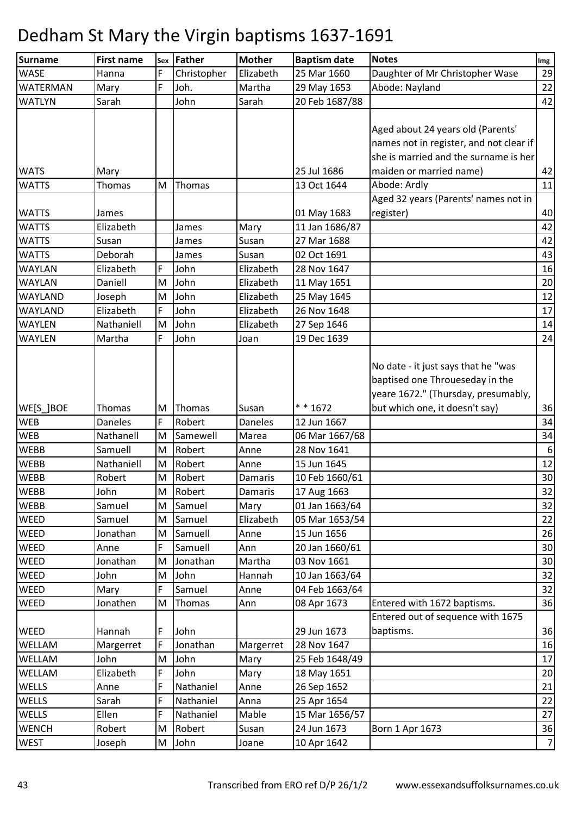| Surname         | <b>First name</b> | Sex | Father      | <b>Mother</b>  | <b>Baptism date</b> | <b>Notes</b>                                                                                                          | Img              |
|-----------------|-------------------|-----|-------------|----------------|---------------------|-----------------------------------------------------------------------------------------------------------------------|------------------|
| <b>WASE</b>     | Hanna             | F   | Christopher | Elizabeth      | 25 Mar 1660         | Daughter of Mr Christopher Wase                                                                                       | 29               |
| <b>WATERMAN</b> | Mary              | F   | Joh.        | Martha         | 29 May 1653         | Abode: Nayland                                                                                                        | 22               |
| <b>WATLYN</b>   | Sarah             |     | John        | Sarah          | 20 Feb 1687/88      |                                                                                                                       | 42               |
|                 |                   |     |             |                |                     | Aged about 24 years old (Parents'<br>names not in register, and not clear if<br>she is married and the surname is her |                  |
| <b>WATS</b>     | Mary              |     |             |                | 25 Jul 1686         | maiden or married name)                                                                                               | 42               |
| <b>WATTS</b>    | Thomas            | M   | Thomas      |                | 13 Oct 1644         | Abode: Ardly                                                                                                          | 11               |
| <b>WATTS</b>    | James             |     |             |                | 01 May 1683         | Aged 32 years (Parents' names not in<br>register)                                                                     | 40               |
| <b>WATTS</b>    | Elizabeth         |     | James       | Mary           | 11 Jan 1686/87      |                                                                                                                       | 42               |
| <b>WATTS</b>    | Susan             |     | James       | Susan          | 27 Mar 1688         |                                                                                                                       | 42               |
| <b>WATTS</b>    | Deborah           |     | James       | Susan          | 02 Oct 1691         |                                                                                                                       | 43               |
| <b>WAYLAN</b>   | Elizabeth         | F   | John        | Elizabeth      | 28 Nov 1647         |                                                                                                                       | 16               |
| <b>WAYLAN</b>   | Daniell           | M   | John        | Elizabeth      | 11 May 1651         |                                                                                                                       | 20               |
| WAYLAND         | Joseph            | M   | John        | Elizabeth      | 25 May 1645         |                                                                                                                       | 12               |
| <b>WAYLAND</b>  | Elizabeth         | F   | John        | Elizabeth      | 26 Nov 1648         |                                                                                                                       | 17               |
| <b>WAYLEN</b>   | Nathaniell        | M   | John        | Elizabeth      | 27 Sep 1646         |                                                                                                                       | 14               |
| <b>WAYLEN</b>   | Martha            | F   | John        | Joan           | 19 Dec 1639         |                                                                                                                       | 24               |
|                 |                   |     |             |                |                     | No date - it just says that he "was<br>baptised one Throueseday in the<br>yeare 1672." (Thursday, presumably,         |                  |
| WE[S_]BOE       | <b>Thomas</b>     | M   | Thomas      | Susan          | * * 1672            | but which one, it doesn't say)                                                                                        | 36               |
| <b>WEB</b>      | <b>Daneles</b>    | F   | Robert      | <b>Daneles</b> | 12 Jun 1667         |                                                                                                                       | 34               |
| <b>WEB</b>      | Nathanell         | M   | Samewell    | Marea          | 06 Mar 1667/68      |                                                                                                                       | 34               |
| <b>WEBB</b>     | Samuell           | M   | Robert      | Anne           | 28 Nov 1641         |                                                                                                                       | $\boldsymbol{6}$ |
| <b>WEBB</b>     | Nathaniell        | M   | Robert      | Anne           | 15 Jun 1645         |                                                                                                                       | 12               |
| <b>WEBB</b>     | Robert            | M   | Robert      | Damaris        | 10 Feb 1660/61      |                                                                                                                       | 30               |
| <b>WEBB</b>     | John              | M   | Robert      | Damaris        | 17 Aug 1663         |                                                                                                                       | 32               |
| <b>WEBB</b>     | Samuel            | M   | Samuel      | Mary           | 01 Jan 1663/64      |                                                                                                                       | 32               |
| <b>WEED</b>     | Samuel            | M   | Samuel      | Elizabeth      | 05 Mar 1653/54      |                                                                                                                       | 22               |
| WEED            | Jonathan          | M   | Samuell     | Anne           | 15 Jun 1656         |                                                                                                                       | 26               |
| WEED            | Anne              | F   | Samuell     | Ann            | 20 Jan 1660/61      |                                                                                                                       | 30               |
| WEED            | Jonathan          | M   | Jonathan    | Martha         | 03 Nov 1661         |                                                                                                                       | 30               |
| WEED            | John              | M   | John        | Hannah         | 10 Jan 1663/64      |                                                                                                                       | 32               |
| WEED            | Mary              | F   | Samuel      | Anne           | 04 Feb 1663/64      |                                                                                                                       | 32               |
| WEED            | Jonathen          | M   | Thomas      | Ann            | 08 Apr 1673         | Entered with 1672 baptisms.                                                                                           | 36               |
| <b>WEED</b>     | Hannah            | F   | John        |                | 29 Jun 1673         | Entered out of sequence with 1675<br>baptisms.                                                                        | 36               |
| WELLAM          | Margerret         | F   | Jonathan    | Margerret      | 28 Nov 1647         |                                                                                                                       | 16               |
| WELLAM          | John              | M   | John        | Mary           | 25 Feb 1648/49      |                                                                                                                       | 17               |
| WELLAM          | Elizabeth         | F   | John        | Mary           | 18 May 1651         |                                                                                                                       | 20               |
| WELLS           | Anne              | F   | Nathaniel   | Anne           | 26 Sep 1652         |                                                                                                                       | 21               |
| WELLS           | Sarah             | F   | Nathaniel   | Anna           | 25 Apr 1654         |                                                                                                                       | 22               |
| WELLS           | Ellen             | F   | Nathaniel   | Mable          | 15 Mar 1656/57      |                                                                                                                       | 27               |
| <b>WENCH</b>    | Robert            | M   | Robert      | Susan          | 24 Jun 1673         | Born 1 Apr 1673                                                                                                       | 36               |
| <b>WEST</b>     | Joseph            | M   | John        | Joane          | 10 Apr 1642         |                                                                                                                       | 7                |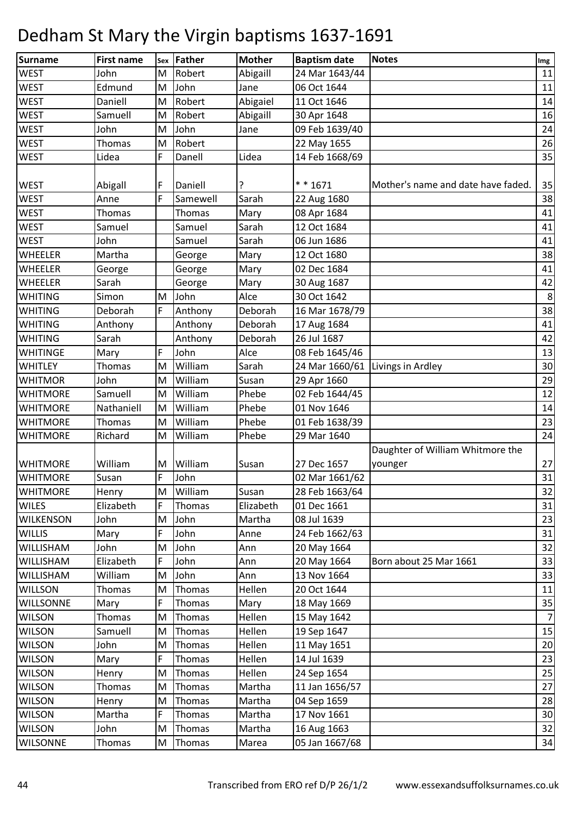| Surname          | <b>First name</b> | <b>Sex</b> | Father        | <b>Mother</b> | <b>Baptism date</b>              | <b>Notes</b>                       | Img            |
|------------------|-------------------|------------|---------------|---------------|----------------------------------|------------------------------------|----------------|
| <b>WEST</b>      | John              | M          | Robert        | Abigaill      | 24 Mar 1643/44                   |                                    | 11             |
| <b>WEST</b>      | Edmund            | M          | John          | Jane          | 06 Oct 1644                      |                                    | 11             |
| <b>WEST</b>      | Daniell           | M          | Robert        | Abigaiel      | 11 Oct 1646                      |                                    | 14             |
| <b>WEST</b>      | Samuell           | M          | Robert        | Abigaill      | 30 Apr 1648                      |                                    | 16             |
| <b>WEST</b>      | John              | M          | John          | Jane          | 09 Feb 1639/40                   |                                    | 24             |
| <b>WEST</b>      | Thomas            | M          | Robert        |               | 22 May 1655                      |                                    | 26             |
| <b>WEST</b>      | Lidea             | F          | Danell        | Lidea         | 14 Feb 1668/69                   |                                    | 35             |
|                  |                   |            |               |               |                                  |                                    |                |
| <b>WEST</b>      | Abigall           | F          | Daniell       | ?             | $* * 1671$                       | Mother's name and date have faded. | 35             |
| <b>WEST</b>      | Anne              | F          | Samewell      | Sarah         | 22 Aug 1680                      |                                    | 38             |
| <b>WEST</b>      | Thomas            |            | Thomas        | Mary          | 08 Apr 1684                      |                                    | 41             |
| <b>WEST</b>      | Samuel            |            | Samuel        | Sarah         | 12 Oct 1684                      |                                    | 41             |
| <b>WEST</b>      | John              |            | Samuel        | Sarah         | 06 Jun 1686                      |                                    | 41             |
| WHEELER          | Martha            |            | George        | Mary          | 12 Oct 1680                      |                                    | 38             |
| <b>WHEELER</b>   | George            |            | George        | Mary          | 02 Dec 1684                      |                                    | 41             |
| <b>WHEELER</b>   | Sarah             |            | George        | Mary          | 30 Aug 1687                      |                                    | 42             |
| <b>WHITING</b>   | Simon             | M          | John          | Alce          | 30 Oct 1642                      |                                    | $\,8\,$        |
| <b>WHITING</b>   | Deborah           | F          | Anthony       | Deborah       | 16 Mar 1678/79                   |                                    | 38             |
| <b>WHITING</b>   | Anthony           |            | Anthony       | Deborah       | 17 Aug 1684                      |                                    | 41             |
| <b>WHITING</b>   | Sarah             |            | Anthony       | Deborah       | 26 Jul 1687                      |                                    | 42             |
| WHITINGE         | Mary              | F          | John          | Alce          | 08 Feb 1645/46                   |                                    | 13             |
| <b>WHITLEY</b>   | Thomas            | M          | William       | Sarah         | 24 Mar 1660/61 Livings in Ardley |                                    | 30             |
| <b>WHITMOR</b>   | John              | M          | William       | Susan         | 29 Apr 1660                      |                                    | 29             |
| <b>WHITMORE</b>  | Samuell           | M          | William       | Phebe         | 02 Feb 1644/45                   |                                    | 12             |
| <b>WHITMORE</b>  | Nathaniell        | M          | William       | Phebe         | 01 Nov 1646                      |                                    | $14\,$         |
| <b>WHITMORE</b>  | Thomas            | M          | William       | Phebe         | 01 Feb 1638/39                   |                                    | 23             |
| <b>WHITMORE</b>  | Richard           | M          | William       | Phebe         | 29 Mar 1640                      |                                    | 24             |
|                  |                   |            |               |               |                                  | Daughter of William Whitmore the   |                |
| <b>WHITMORE</b>  | William           | Μ          | William       | Susan         | 27 Dec 1657                      | younger                            | 27             |
| <b>WHITMORE</b>  | Susan             | F          | John          |               | 02 Mar 1661/62                   |                                    | 31             |
| <b>WHITMORE</b>  | Henry             | M          | William       | Susan         | 28 Feb 1663/64                   |                                    | 32             |
| <b>WILES</b>     | Elizabeth         | F          | Thomas        | Elizabeth     | 01 Dec 1661                      |                                    | 31             |
| <b>WILKENSON</b> | John              | M          | John          | Martha        | 08 Jul 1639                      |                                    | 23             |
| <b>WILLIS</b>    | Mary              | F          | John          | Anne          | 24 Feb 1662/63                   |                                    | 31             |
| WILLISHAM        | John              | M          | John          | Ann           | 20 May 1664                      |                                    | 32             |
| WILLISHAM        | Elizabeth         | F          | John          | Ann           | 20 May 1664                      | Born about 25 Mar 1661             | 33             |
| WILLISHAM        | William           | M          | John          | Ann           | 13 Nov 1664                      |                                    | 33             |
| <b>WILLSON</b>   | Thomas            | M          | Thomas        | Hellen        | 20 Oct 1644                      |                                    | 11             |
| WILLSONNE        | Mary              | F.         | <b>Thomas</b> | Mary          | 18 May 1669                      |                                    | 35             |
| <b>WILSON</b>    | Thomas            | M          | Thomas        | Hellen        | 15 May 1642                      |                                    | $\overline{7}$ |
| <b>WILSON</b>    | Samuell           | M          | Thomas        | Hellen        | 19 Sep 1647                      |                                    | 15             |
| <b>WILSON</b>    | John              | M          | Thomas        | Hellen        | 11 May 1651                      |                                    | 20             |
| <b>WILSON</b>    | Mary              | F          | Thomas        | Hellen        | 14 Jul 1639                      |                                    | 23             |
| <b>WILSON</b>    | Henry             | M          | Thomas        | Hellen        | 24 Sep 1654                      |                                    | 25             |
| <b>WILSON</b>    | Thomas            | M          | Thomas        | Martha        | 11 Jan 1656/57                   |                                    | 27             |
| <b>WILSON</b>    | Henry             | M          | Thomas        | Martha        | 04 Sep 1659                      |                                    | 28             |
| <b>WILSON</b>    | Martha            | F          | Thomas        | Martha        | 17 Nov 1661                      |                                    | 30             |
| <b>WILSON</b>    | John              | M          | Thomas        | Martha        | 16 Aug 1663                      |                                    | 32             |
| <b>WILSONNE</b>  | Thomas            | M          | Thomas        | Marea         | 05 Jan 1667/68                   |                                    | 34             |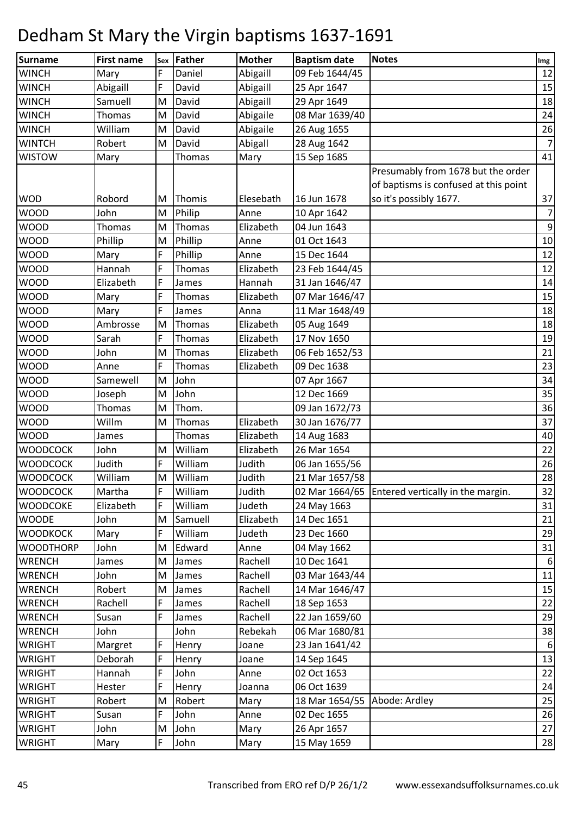| Surname          | <b>First name</b> | Sex | Father        | <b>Mother</b> | <b>Baptism date</b>          | <b>Notes</b>                                     | Img            |
|------------------|-------------------|-----|---------------|---------------|------------------------------|--------------------------------------------------|----------------|
| <b>WINCH</b>     | Mary              | F   | Daniel        | Abigaill      | 09 Feb 1644/45               |                                                  | 12             |
| <b>WINCH</b>     | Abigaill          | F   | David         | Abigaill      | 25 Apr 1647                  |                                                  | 15             |
| <b>WINCH</b>     | Samuell           | M   | David         | Abigaill      | 29 Apr 1649                  |                                                  | 18             |
| <b>WINCH</b>     | Thomas            | M   | David         | Abigaile      | 08 Mar 1639/40               |                                                  | 24             |
| <b>WINCH</b>     | William           | M   | David         | Abigaile      | 26 Aug 1655                  |                                                  | 26             |
| <b>WINTCH</b>    | Robert            | М   | David         | Abigall       | 28 Aug 1642                  |                                                  | 7              |
| <b>WISTOW</b>    | Mary              |     | Thomas        | Mary          | 15 Sep 1685                  |                                                  | 41             |
|                  |                   |     |               |               |                              | Presumably from 1678 but the order               |                |
|                  |                   |     |               |               |                              | of baptisms is confused at this point            |                |
| <b>WOD</b>       | Robord            | M   | Thomis        | Elesebath     | 16 Jun 1678                  | so it's possibly 1677.                           | 37             |
| <b>WOOD</b>      | John              | M   | Philip        | Anne          | 10 Apr 1642                  |                                                  | $\overline{7}$ |
| <b>WOOD</b>      | Thomas            | M   | Thomas        | Elizabeth     | 04 Jun 1643                  |                                                  | $9\,$          |
| <b>WOOD</b>      | Phillip           | M   | Phillip       | Anne          | 01 Oct 1643                  |                                                  | 10             |
| WOOD             | Mary              | F   | Phillip       | Anne          | 15 Dec 1644                  |                                                  | 12             |
| <b>WOOD</b>      | Hannah            | F   | <b>Thomas</b> | Elizabeth     | 23 Feb 1644/45               |                                                  | 12             |
| <b>WOOD</b>      | Elizabeth         | F   | James         | Hannah        | 31 Jan 1646/47               |                                                  | 14             |
| <b>WOOD</b>      | Mary              | F   | Thomas        | Elizabeth     | 07 Mar 1646/47               |                                                  | 15             |
| <b>WOOD</b>      | Mary              | F   | James         | Anna          | 11 Mar 1648/49               |                                                  | 18             |
| WOOD             | Ambrosse          | M   | Thomas        | Elizabeth     | 05 Aug 1649                  |                                                  | 18             |
| <b>WOOD</b>      | Sarah             | F   | Thomas        | Elizabeth     | 17 Nov 1650                  |                                                  | 19             |
| <b>WOOD</b>      | John              | M   | Thomas        | Elizabeth     | 06 Feb 1652/53               |                                                  | 21             |
| <b>WOOD</b>      | Anne              | F   | Thomas        | Elizabeth     | 09 Dec 1638                  |                                                  | 23             |
| <b>WOOD</b>      | Samewell          | M   | John          |               | 07 Apr 1667                  |                                                  | 34             |
| WOOD             | Joseph            | M   | John          |               | 12 Dec 1669                  |                                                  | 35             |
| <b>WOOD</b>      | Thomas            | M   | Thom.         |               | 09 Jan 1672/73               |                                                  | 36             |
| <b>WOOD</b>      | Willm             | M   | Thomas        | Elizabeth     | 30 Jan 1676/77               |                                                  | 37             |
| <b>WOOD</b>      | James             |     | Thomas        | Elizabeth     | 14 Aug 1683                  |                                                  | 40             |
| <b>WOODCOCK</b>  | John              | M   | William       | Elizabeth     | 26 Mar 1654                  |                                                  | 22             |
| <b>WOODCOCK</b>  | Judith            | F   | William       | Judith        | 06 Jan 1655/56               |                                                  | 26             |
| <b>WOODCOCK</b>  | William           | M   | William       | Judith        | 21 Mar 1657/58               |                                                  | 28             |
| <b>WOODCOCK</b>  | Martha            | F   | William       | Judith        |                              | 02 Mar 1664/65 Entered vertically in the margin. | 32             |
| <b>WOODCOKE</b>  | Elizabeth         | F   | William       | Judeth        | 24 May 1663                  |                                                  | 31             |
| <b>WOODE</b>     | John              | M   | Samuell       | Elizabeth     | 14 Dec 1651                  |                                                  | 21             |
| <b>WOODKOCK</b>  | Mary              | F.  | William       | Judeth        | 23 Dec 1660                  |                                                  | 29             |
| <b>WOODTHORP</b> | John              | M   | Edward        | Anne          | 04 May 1662                  |                                                  | 31             |
| <b>WRENCH</b>    | James             | M   | James         | Rachell       | 10 Dec 1641                  |                                                  | 6              |
| <b>WRENCH</b>    | John              | M   | James         | Rachell       | 03 Mar 1643/44               |                                                  | 11             |
| <b>WRENCH</b>    | Robert            | M   | James         | Rachell       | 14 Mar 1646/47               |                                                  | 15             |
| <b>WRENCH</b>    | Rachell           | F   | James         | Rachell       | 18 Sep 1653                  |                                                  | 22             |
| <b>WRENCH</b>    | Susan             | F   | James         | Rachell       | 22 Jan 1659/60               |                                                  | 29             |
| <b>WRENCH</b>    | John              |     | John          | Rebekah       | 06 Mar 1680/81               |                                                  | 38             |
| <b>WRIGHT</b>    | Margret           | F   | Henry         | Joane         | 23 Jan 1641/42               |                                                  | $6 \mid$       |
| <b>WRIGHT</b>    | Deborah           | F   | Henry         | Joane         | 14 Sep 1645                  |                                                  | 13             |
| <b>WRIGHT</b>    | Hannah            | F   | John          | Anne          | 02 Oct 1653                  |                                                  | 22             |
| <b>WRIGHT</b>    | Hester            | F   | Henry         | Joanna        | 06 Oct 1639                  |                                                  | 24             |
| <b>WRIGHT</b>    | Robert            | M   | Robert        | Mary          | 18 Mar 1654/55 Abode: Ardley |                                                  | 25             |
| <b>WRIGHT</b>    | Susan             | F   | John          | Anne          | 02 Dec 1655                  |                                                  | 26             |
| <b>WRIGHT</b>    | John              | M   | John          | Mary          | 26 Apr 1657                  |                                                  | 27             |
| <b>WRIGHT</b>    | Mary              | F   | John          | Mary          | 15 May 1659                  |                                                  | 28             |